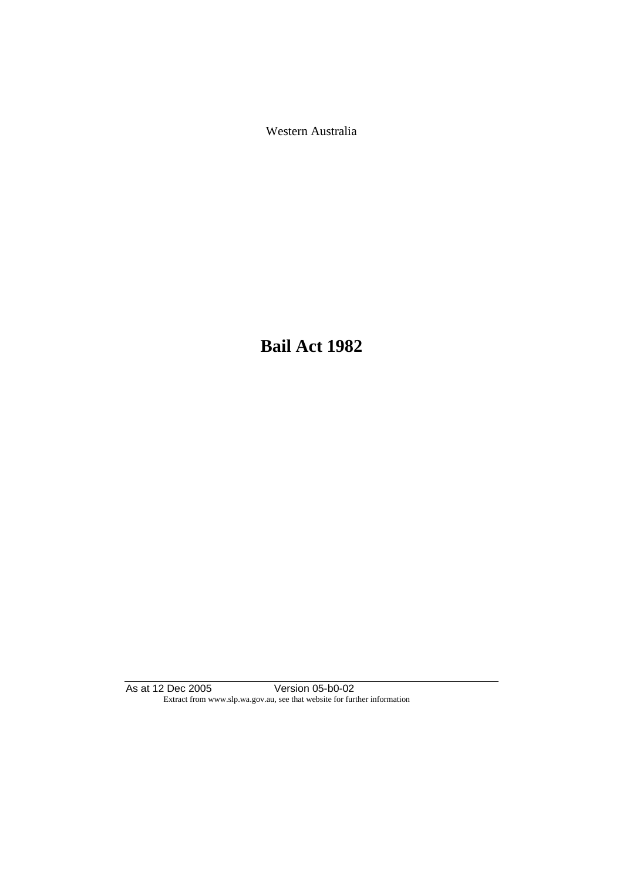Western Australia

**Bail Act 1982**

As at 12 Dec 2005 Version 05-b0-02 Extract from www.slp.wa.gov.au, see that website for further information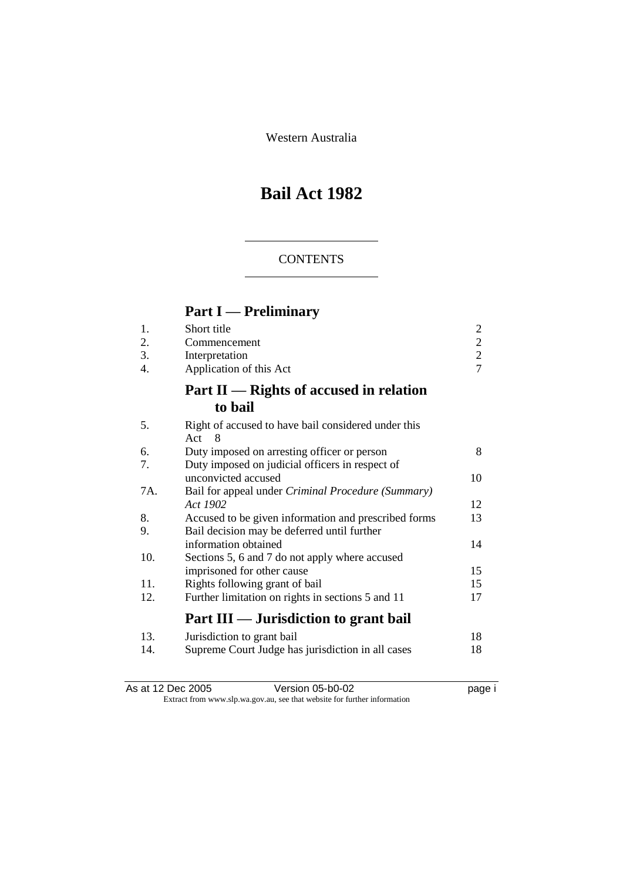Western Australia

# **Bail Act 1982**

# **CONTENTS**

# **Part I — Preliminary**

| 1.  | Short title                                                     | $\overline{c}$ |
|-----|-----------------------------------------------------------------|----------------|
| 2.  | Commencement                                                    | $\overline{2}$ |
| 3.  | Interpretation                                                  | $\overline{2}$ |
| 4.  | Application of this Act                                         | $\overline{7}$ |
|     | Part II — Rights of accused in relation<br>to bail              |                |
|     |                                                                 |                |
| 5.  | Right of accused to have bail considered under this<br>Act<br>8 |                |
| 6.  | Duty imposed on arresting officer or person                     | 8              |
| 7.  | Duty imposed on judicial officers in respect of                 |                |
|     | unconvicted accused                                             | 10             |
| 7A. | Bail for appeal under Criminal Procedure (Summary)              |                |
|     | Act 1902                                                        | 12             |
| 8.  | Accused to be given information and prescribed forms            | 13             |
| 9.  | Bail decision may be deferred until further                     |                |
|     | information obtained                                            | 14             |
| 10. | Sections 5, 6 and 7 do not apply where accused                  |                |
|     | imprisoned for other cause                                      | 15             |
| 11. | Rights following grant of bail                                  | 15             |
| 12. | Further limitation on rights in sections 5 and 11               | 17             |
|     | Part III — Jurisdiction to grant bail                           |                |
| 13. | Jurisdiction to grant bail                                      | 18             |
| 14. | Supreme Court Judge has jurisdiction in all cases               | 18             |
|     |                                                                 |                |

As at 12 Dec 2005 **Version 05-b0-02 page i** Extract from www.slp.wa.gov.au, see that website for further information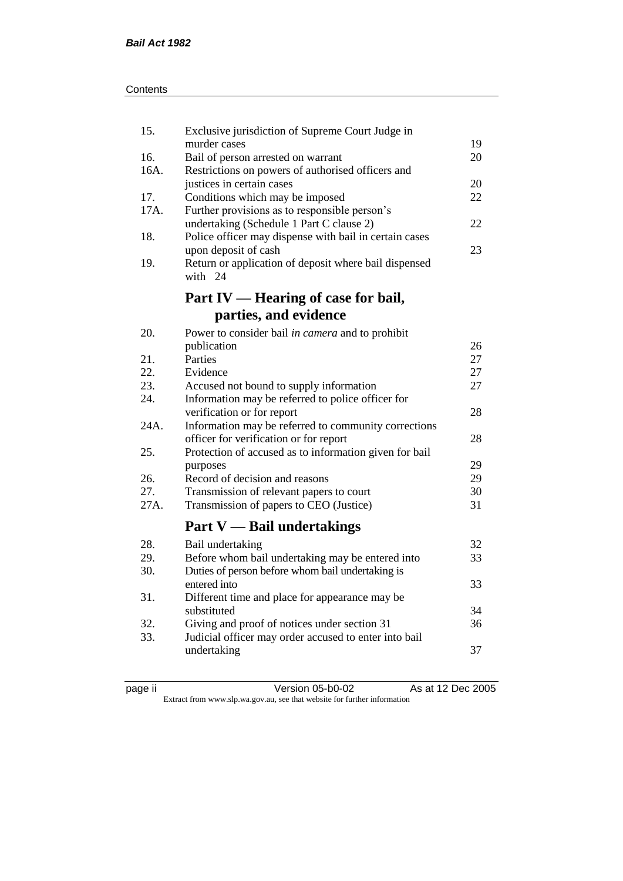| Contents |
|----------|
|----------|

| 15.        | Exclusive jurisdiction of Supreme Court Judge in                                 |          |
|------------|----------------------------------------------------------------------------------|----------|
|            | murder cases                                                                     | 19       |
| 16.        | Bail of person arrested on warrant                                               | 20       |
| 16A.       | Restrictions on powers of authorised officers and                                |          |
| 17.        | justices in certain cases                                                        | 20<br>22 |
| 17A.       | Conditions which may be imposed<br>Further provisions as to responsible person's |          |
|            | undertaking (Schedule 1 Part C clause 2)                                         | 22       |
| 18.        | Police officer may dispense with bail in certain cases                           |          |
|            | upon deposit of cash                                                             | 23       |
| 19.        | Return or application of deposit where bail dispensed                            |          |
|            | with 24                                                                          |          |
|            | Part IV — Hearing of case for bail,                                              |          |
|            | parties, and evidence                                                            |          |
|            |                                                                                  |          |
| 20.        | Power to consider bail in camera and to prohibit                                 |          |
|            | publication                                                                      | 26       |
| 21.<br>22. | Parties<br>Evidence                                                              | 27<br>27 |
| 23.        | Accused not bound to supply information                                          | 27       |
| 24.        | Information may be referred to police officer for                                |          |
|            | verification or for report                                                       | 28       |
| 24A.       | Information may be referred to community corrections                             |          |
|            | officer for verification or for report                                           | 28       |
| 25.        | Protection of accused as to information given for bail                           |          |
|            | purposes                                                                         | 29       |
| 26.        | Record of decision and reasons                                                   | 29       |
| 27.        | Transmission of relevant papers to court                                         | 30       |
| 27A.       | Transmission of papers to CEO (Justice)                                          | 31       |
|            | <b>Part V</b> — Bail undertakings                                                |          |
| 28.        | Bail undertaking                                                                 | 32       |
| 29.        | Before whom bail undertaking may be entered into                                 | 33       |
| 30.        | Duties of person before whom bail undertaking is                                 |          |
|            | entered into                                                                     | 33       |
| 31.        | Different time and place for appearance may be                                   |          |
|            | substituted                                                                      | 34       |
| 32.        | Giving and proof of notices under section 31                                     | 36       |
| 33.        | Judicial officer may order accused to enter into bail                            |          |
|            | undertaking                                                                      | 37       |
|            |                                                                                  |          |

page ii Version 05-b0-02 As at 12 Dec 2005 Extract from www.slp.wa.gov.au, see that website for further information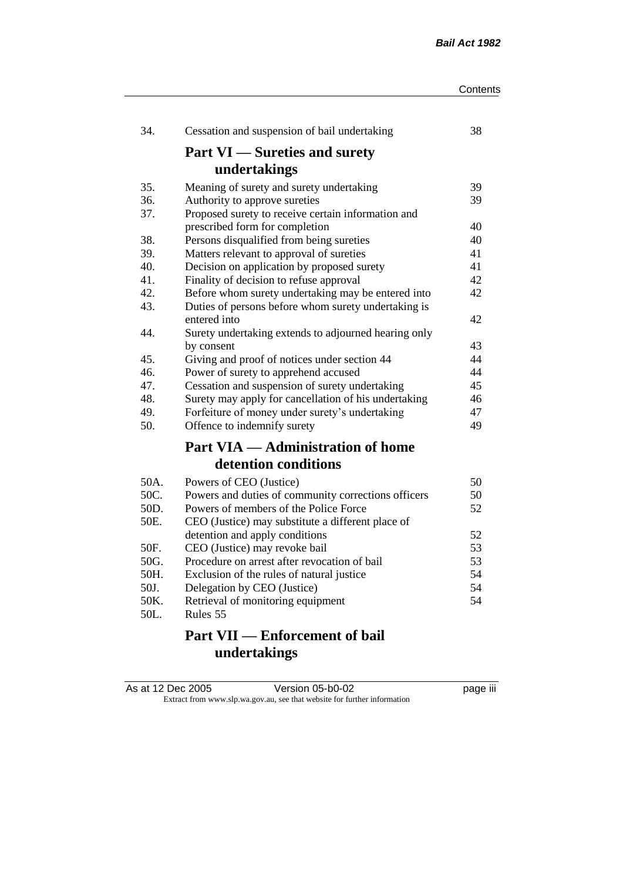| Contents |
|----------|
|----------|

| 34.  | Cessation and suspension of bail undertaking         | 38 |
|------|------------------------------------------------------|----|
|      | <b>Part VI</b> — Sureties and surety                 |    |
|      | undertakings                                         |    |
| 35.  | Meaning of surety and surety undertaking             | 39 |
| 36.  | Authority to approve sureties                        | 39 |
| 37.  | Proposed surety to receive certain information and   |    |
|      | prescribed form for completion                       | 40 |
| 38.  | Persons disqualified from being sureties             | 40 |
| 39.  | Matters relevant to approval of sureties             | 41 |
| 40.  | Decision on application by proposed surety           | 41 |
| 41.  | Finality of decision to refuse approval              | 42 |
| 42.  | Before whom surety undertaking may be entered into   | 42 |
| 43.  | Duties of persons before whom surety undertaking is  |    |
|      | entered into                                         | 42 |
| 44.  | Surety undertaking extends to adjourned hearing only |    |
|      | by consent                                           | 43 |
| 45.  | Giving and proof of notices under section 44         | 44 |
| 46.  | Power of surety to apprehend accused                 | 44 |
| 47.  | Cessation and suspension of surety undertaking       | 45 |
| 48.  | Surety may apply for cancellation of his undertaking | 46 |
| 49.  | Forfeiture of money under surety's undertaking       | 47 |
| 50.  | Offence to indemnify surety                          | 49 |
|      | <b>Part VIA — Administration of home</b>             |    |
|      | detention conditions                                 |    |
| 50A. | Powers of CEO (Justice)                              | 50 |
| 50C. | Powers and duties of community corrections officers  | 50 |
| 50D. | Powers of members of the Police Force                | 52 |
| 50E. | CEO (Justice) may substitute a different place of    |    |
|      | detention and apply conditions                       | 52 |
| 50F. | CEO (Justice) may revoke bail                        | 53 |
| 50G. | Procedure on arrest after revocation of bail         | 53 |
| 50H. | Exclusion of the rules of natural justice            | 54 |
| 50J. | Delegation by CEO (Justice)                          | 54 |
| 50K. | Retrieval of monitoring equipment                    | 54 |
| 50L. | Rules 55                                             |    |
|      |                                                      |    |

# **Part VII — Enforcement of bail undertakings**

| As at 12 Dec 2005 | Version 05-b0-02                                                         | <br>page III |
|-------------------|--------------------------------------------------------------------------|--------------|
|                   | Extract from www.slp.wa.gov.au, see that website for further information |              |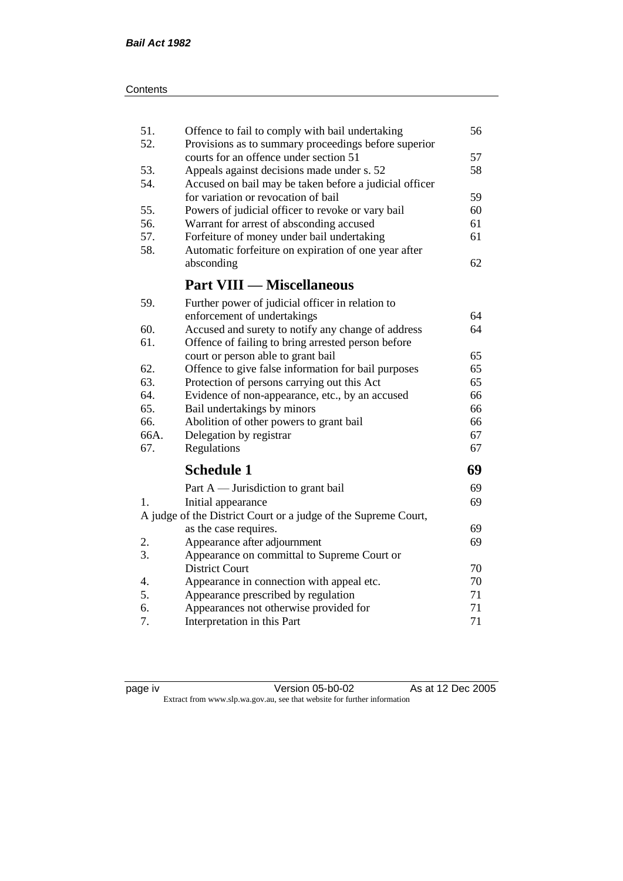| 51.<br>52. | Offence to fail to comply with bail undertaking<br>Provisions as to summary proceedings before superior | 56 |
|------------|---------------------------------------------------------------------------------------------------------|----|
|            | courts for an offence under section 51                                                                  | 57 |
| 53.        | Appeals against decisions made under s. 52                                                              | 58 |
| 54.        | Accused on bail may be taken before a judicial officer                                                  |    |
|            | for variation or revocation of bail                                                                     | 59 |
| 55.        | Powers of judicial officer to revoke or vary bail                                                       | 60 |
| 56.        | Warrant for arrest of absconding accused                                                                | 61 |
| 57.        | Forfeiture of money under bail undertaking                                                              | 61 |
| 58.        | Automatic forfeiture on expiration of one year after                                                    |    |
|            | absconding                                                                                              | 62 |
|            | <b>Part VIII — Miscellaneous</b>                                                                        |    |
| 59.        | Further power of judicial officer in relation to                                                        |    |
|            | enforcement of undertakings                                                                             | 64 |
| 60.        | Accused and surety to notify any change of address                                                      | 64 |
| 61.        | Offence of failing to bring arrested person before                                                      |    |
|            | court or person able to grant bail                                                                      | 65 |
| 62.        | Offence to give false information for bail purposes                                                     | 65 |
| 63.        | Protection of persons carrying out this Act                                                             | 65 |
| 64.        | Evidence of non-appearance, etc., by an accused                                                         | 66 |
| 65.        | Bail undertakings by minors                                                                             | 66 |
| 66.        | Abolition of other powers to grant bail                                                                 | 66 |
| 66A.       | Delegation by registrar                                                                                 | 67 |
| 67.        | Regulations                                                                                             | 67 |
|            | <b>Schedule 1</b>                                                                                       | 69 |
|            | Part A — Jurisdiction to grant bail                                                                     | 69 |
| 1.         | Initial appearance                                                                                      | 69 |
|            | A judge of the District Court or a judge of the Supreme Court,                                          |    |
|            | as the case requires.                                                                                   | 69 |
| 2.         | Appearance after adjournment                                                                            | 69 |
| 3.         | Appearance on committal to Supreme Court or                                                             |    |
|            | <b>District Court</b>                                                                                   | 70 |
| 4.         | Appearance in connection with appeal etc.                                                               | 70 |
| 5.         | Appearance prescribed by regulation                                                                     | 71 |
| 6.         | Appearances not otherwise provided for                                                                  | 71 |
| 7.         | Interpretation in this Part                                                                             | 71 |

page iv Version 05-b0-02 As at 12 Dec 2005 Extract from www.slp.wa.gov.au, see that website for further information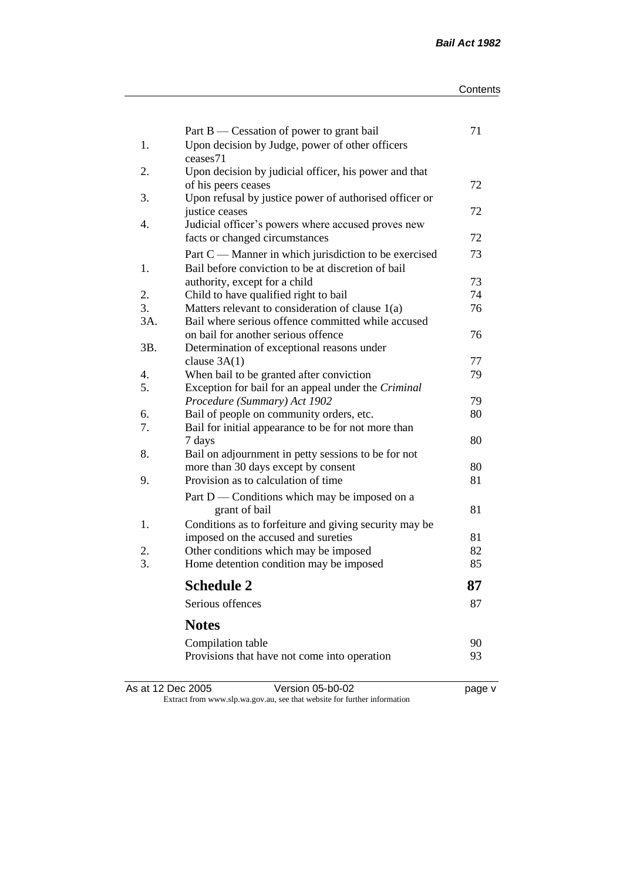#### **Contents**

|     | Part B — Cessation of power to grant bail               | 71 |
|-----|---------------------------------------------------------|----|
| 1.  | Upon decision by Judge, power of other officers         |    |
|     | ceases71                                                |    |
| 2.  | Upon decision by judicial officer, his power and that   |    |
|     | of his peers ceases                                     | 72 |
| 3.  | Upon refusal by justice power of authorised officer or  |    |
|     | justice ceases                                          | 72 |
| 4.  | Judicial officer's powers where accused proves new      |    |
|     | facts or changed circumstances                          | 72 |
|     | Part $C$ — Manner in which jurisdiction to be exercised | 73 |
| 1.  | Bail before conviction to be at discretion of bail      |    |
|     | authority, except for a child                           | 73 |
| 2.  | Child to have qualified right to bail                   | 74 |
| 3.  | Matters relevant to consideration of clause 1(a)        | 76 |
| 3A. | Bail where serious offence committed while accused      |    |
|     | on bail for another serious offence                     | 76 |
| 3B. | Determination of exceptional reasons under              |    |
|     | clause $3A(1)$                                          | 77 |
| 4.  | When bail to be granted after conviction                | 79 |
| 5.  | Exception for bail for an appeal under the Criminal     |    |
|     | Procedure (Summary) Act 1902                            | 79 |
| 6.  | Bail of people on community orders, etc.                | 80 |
| 7.  | Bail for initial appearance to be for not more than     |    |
|     | 7 days                                                  | 80 |
| 8.  | Bail on adjournment in petty sessions to be for not     |    |
|     | more than 30 days except by consent                     | 80 |
| 9.  | Provision as to calculation of time                     | 81 |
|     | Part $D$ — Conditions which may be imposed on a         |    |
|     | grant of bail                                           | 81 |
| 1.  | Conditions as to forfeiture and giving security may be  |    |
|     | imposed on the accused and sureties                     | 81 |
| 2.  | Other conditions which may be imposed                   | 82 |
| 3.  | Home detention condition may be imposed                 | 85 |
|     | <b>Schedule 2</b>                                       | 87 |
|     | Serious offences                                        | 87 |
|     |                                                         |    |
|     | <b>Notes</b>                                            |    |
|     | Compilation table                                       | 90 |
|     | Provisions that have not come into operation            | 93 |
|     |                                                         |    |

As at 12 Dec 2005 **Version 05-b0-02 Page v** page v Extract from www.slp.wa.gov.au, see that website for further information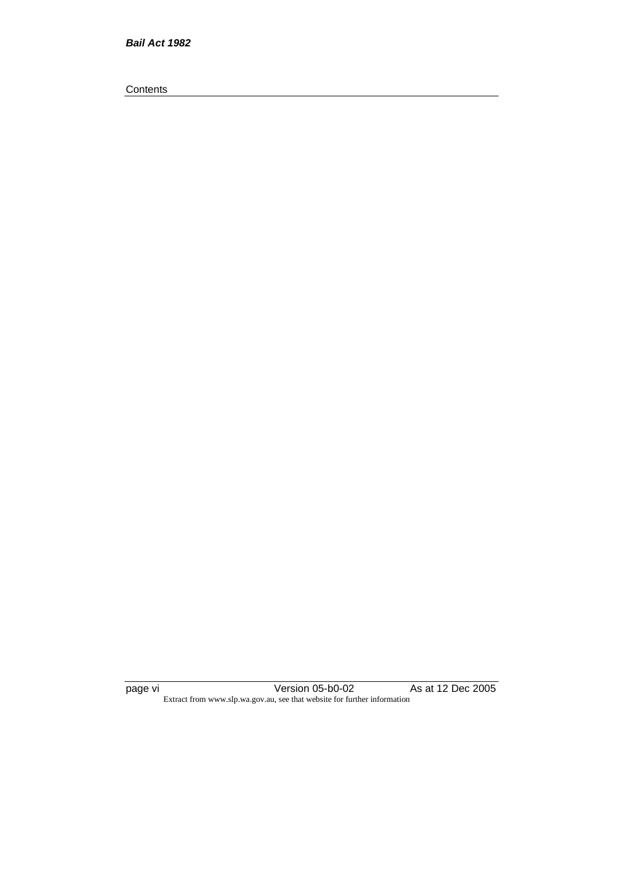*Bail Act 1982*

**Contents** 

page vi Version 05-b0-02 As at 12 Dec 2005 Extract from www.slp.wa.gov.au, see that website for further information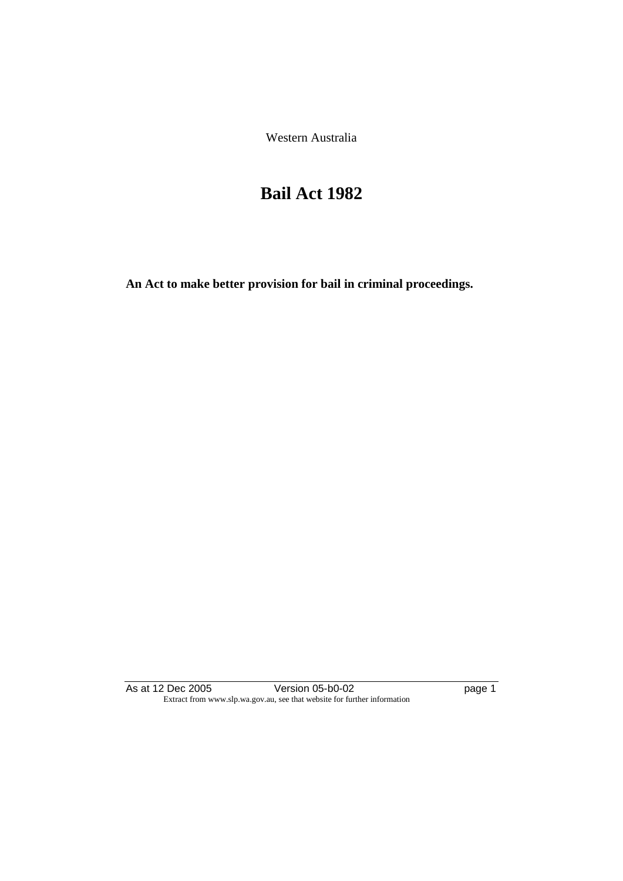Western Australia

# **Bail Act 1982**

**An Act to make better provision for bail in criminal proceedings.** 

As at 12 Dec 2005 **Version 05-b0-02 page 1** Extract from www.slp.wa.gov.au, see that website for further information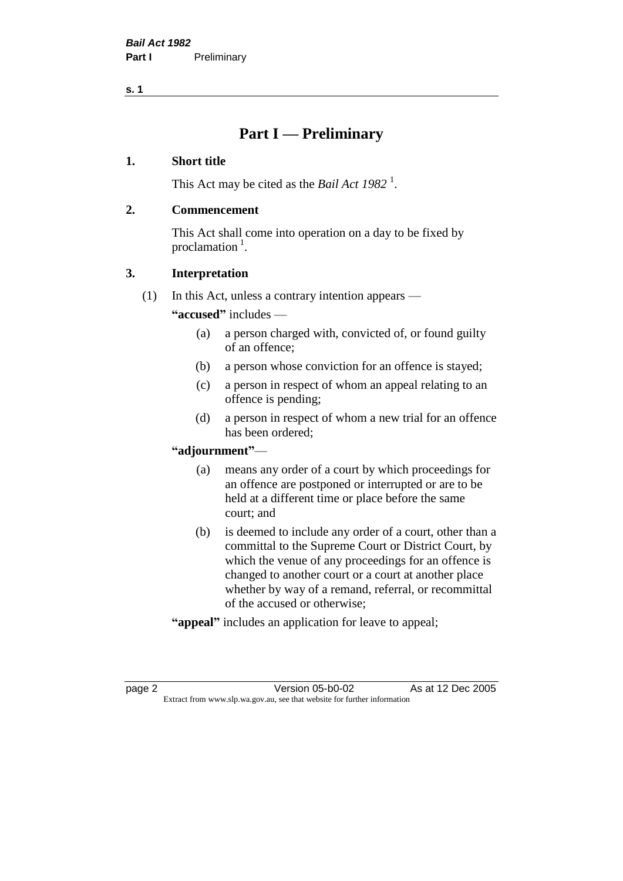# **Part I — Preliminary**

# **1. Short title**

This Act may be cited as the *Bail Act* 1982<sup>1</sup>.

# **2. Commencement**

This Act shall come into operation on a day to be fixed by proclamation  $<sup>1</sup>$ .</sup>

# **3. Interpretation**

(1) In this Act, unless a contrary intention appears —

**"accused"** includes —

- (a) a person charged with, convicted of, or found guilty of an offence;
- (b) a person whose conviction for an offence is stayed;
- (c) a person in respect of whom an appeal relating to an offence is pending;
- (d) a person in respect of whom a new trial for an offence has been ordered;

#### **"adjournment"**—

- (a) means any order of a court by which proceedings for an offence are postponed or interrupted or are to be held at a different time or place before the same court; and
- (b) is deemed to include any order of a court, other than a committal to the Supreme Court or District Court, by which the venue of any proceedings for an offence is changed to another court or a court at another place whether by way of a remand, referral, or recommittal of the accused or otherwise;
- **"appeal"** includes an application for leave to appeal;

page 2 Version 05-b0-02 As at 12 Dec 2005 Extract from www.slp.wa.gov.au, see that website for further information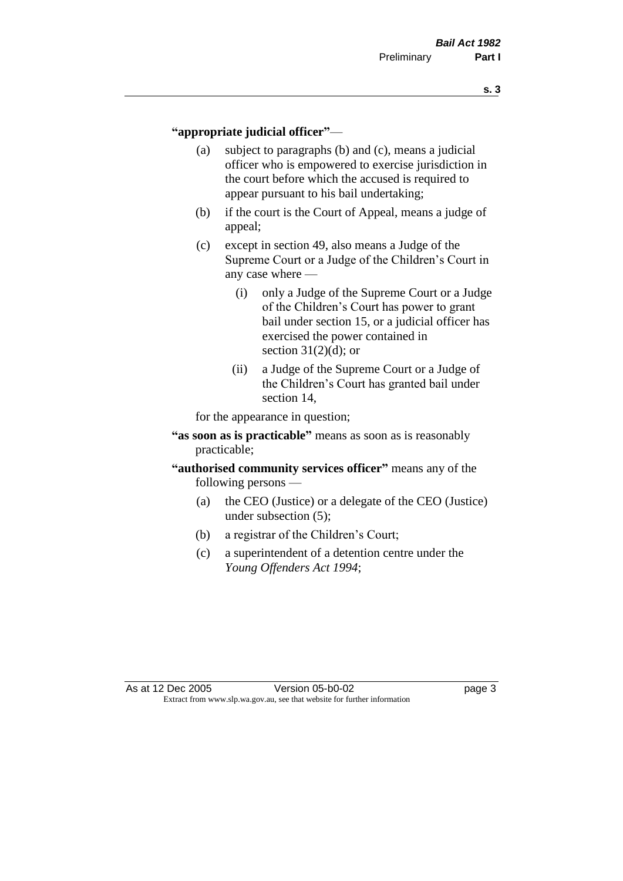#### **"appropriate judicial officer"**—

- (a) subject to paragraphs (b) and (c), means a judicial officer who is empowered to exercise jurisdiction in the court before which the accused is required to appear pursuant to his bail undertaking;
- (b) if the court is the Court of Appeal, means a judge of appeal;
- (c) except in section 49, also means a Judge of the Supreme Court or a Judge of the Children's Court in any case where —
	- (i) only a Judge of the Supreme Court or a Judge of the Children's Court has power to grant bail under section 15, or a judicial officer has exercised the power contained in section  $31(2)(d)$ ; or
	- (ii) a Judge of the Supreme Court or a Judge of the Children's Court has granted bail under section 14,

for the appearance in question;

- **"as soon as is practicable"** means as soon as is reasonably practicable;
- **"authorised community services officer"** means any of the following persons —
	- (a) the CEO (Justice) or a delegate of the CEO (Justice) under subsection (5);
	- (b) a registrar of the Children's Court;
	- (c) a superintendent of a detention centre under the *Young Offenders Act 1994*;

As at 12 Dec 2005 Version 05-b0-02 Page 3 Extract from www.slp.wa.gov.au, see that website for further information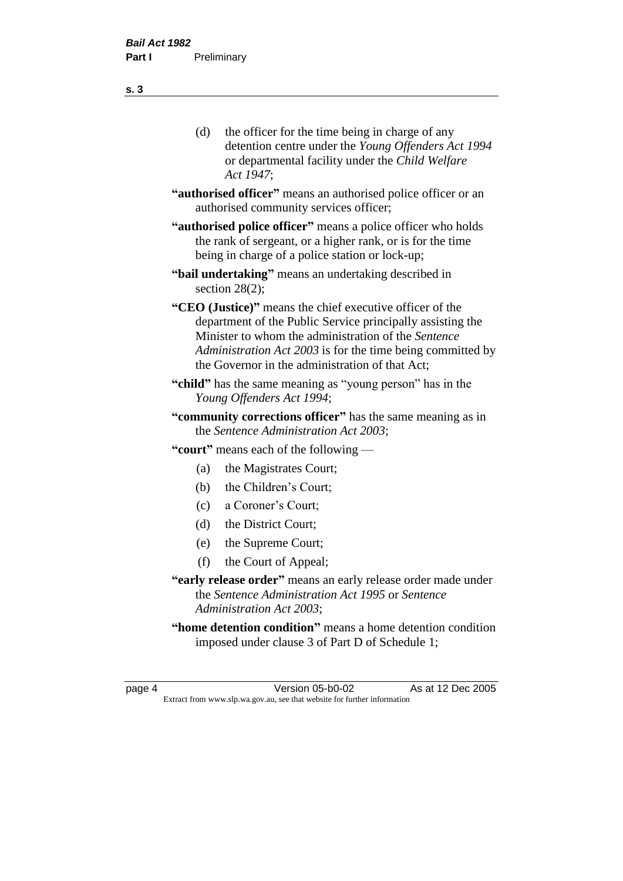- (d) the officer for the time being in charge of any detention centre under the *Young Offenders Act 1994* or departmental facility under the *Child Welfare Act 1947*;
- **"authorised officer"** means an authorised police officer or an authorised community services officer;
- **"authorised police officer"** means a police officer who holds the rank of sergeant, or a higher rank, or is for the time being in charge of a police station or lock-up;
- **"bail undertaking"** means an undertaking described in section 28(2);
- **"CEO (Justice)"** means the chief executive officer of the department of the Public Service principally assisting the Minister to whom the administration of the *Sentence Administration Act 2003* is for the time being committed by the Governor in the administration of that Act;
- **"child"** has the same meaning as "young person" has in the *Young Offenders Act 1994*;
- **"community corrections officer"** has the same meaning as in the *Sentence Administration Act 2003*;
- **"court"** means each of the following
	- (a) the Magistrates Court;
	- (b) the Children's Court;
	- (c) a Coroner's Court;
	- (d) the District Court;
	- (e) the Supreme Court;
	- (f) the Court of Appeal;
- **"early release order"** means an early release order made under the *Sentence Administration Act 1995* or *Sentence Administration Act 2003*;
- **"home detention condition"** means a home detention condition imposed under clause 3 of Part D of Schedule 1;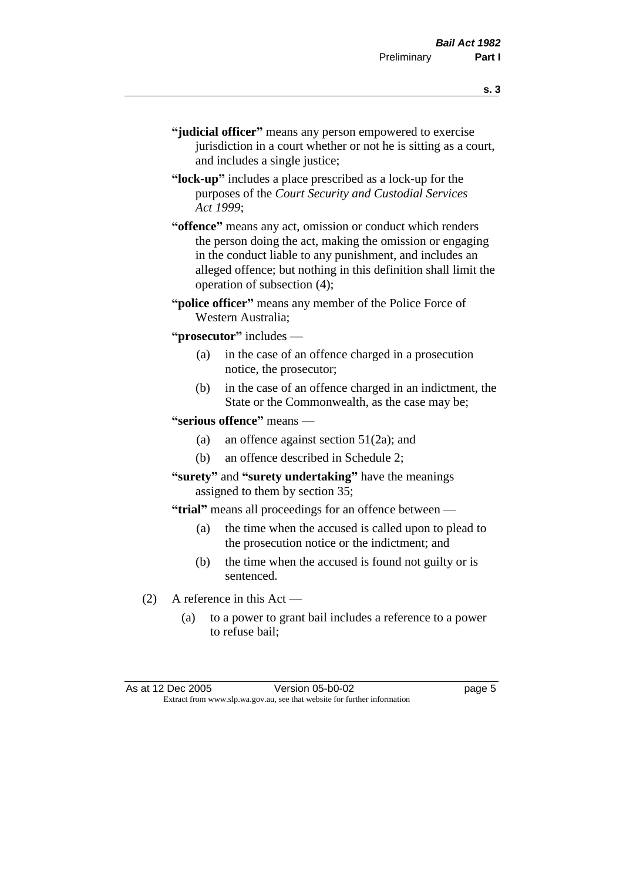- **s. 3**
- **"judicial officer"** means any person empowered to exercise jurisdiction in a court whether or not he is sitting as a court, and includes a single justice;
- **"lock-up"** includes a place prescribed as a lock-up for the purposes of the *Court Security and Custodial Services Act 1999*;
- **"offence"** means any act, omission or conduct which renders the person doing the act, making the omission or engaging in the conduct liable to any punishment, and includes an alleged offence; but nothing in this definition shall limit the operation of subsection (4);
- **"police officer"** means any member of the Police Force of Western Australia;

#### **"prosecutor"** includes —

- (a) in the case of an offence charged in a prosecution notice, the prosecutor;
- (b) in the case of an offence charged in an indictment, the State or the Commonwealth, as the case may be;

#### **"serious offence"** means —

- (a) an offence against section 51(2a); and
- (b) an offence described in Schedule 2;
- **"surety"** and **"surety undertaking"** have the meanings assigned to them by section 35;

#### **"trial"** means all proceedings for an offence between —

- (a) the time when the accused is called upon to plead to the prosecution notice or the indictment; and
- (b) the time when the accused is found not guilty or is sentenced.
- (2) A reference in this Act
	- (a) to a power to grant bail includes a reference to a power to refuse bail;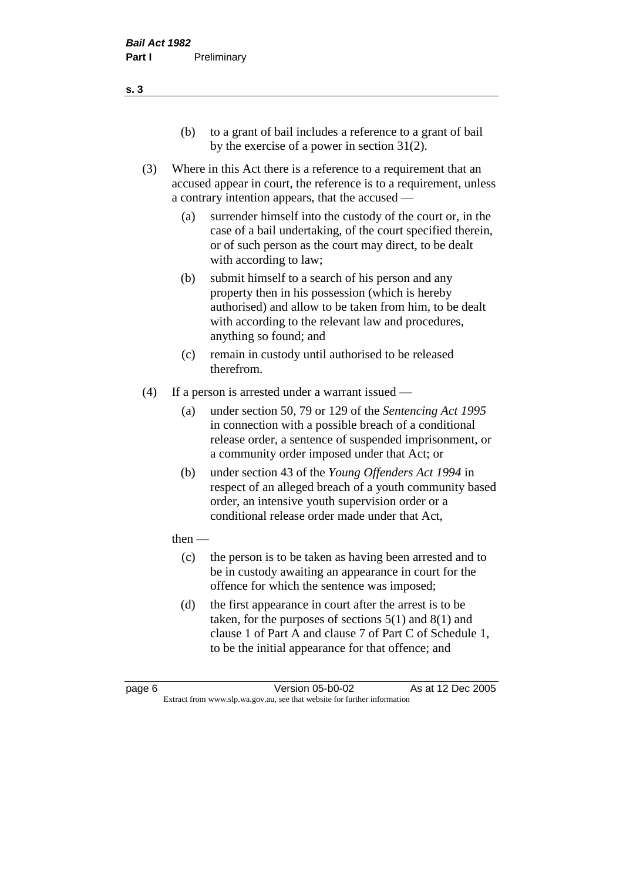- (b) to a grant of bail includes a reference to a grant of bail by the exercise of a power in section 31(2).
- (3) Where in this Act there is a reference to a requirement that an accused appear in court, the reference is to a requirement, unless a contrary intention appears, that the accused —
	- (a) surrender himself into the custody of the court or, in the case of a bail undertaking, of the court specified therein, or of such person as the court may direct, to be dealt with according to law;
	- (b) submit himself to a search of his person and any property then in his possession (which is hereby authorised) and allow to be taken from him, to be dealt with according to the relevant law and procedures, anything so found; and
	- (c) remain in custody until authorised to be released therefrom.
- (4) If a person is arrested under a warrant issued
	- (a) under section 50, 79 or 129 of the *Sentencing Act 1995* in connection with a possible breach of a conditional release order, a sentence of suspended imprisonment, or a community order imposed under that Act; or
	- (b) under section 43 of the *Young Offenders Act 1994* in respect of an alleged breach of a youth community based order, an intensive youth supervision order or a conditional release order made under that Act,
	- then
		- (c) the person is to be taken as having been arrested and to be in custody awaiting an appearance in court for the offence for which the sentence was imposed;
		- (d) the first appearance in court after the arrest is to be taken, for the purposes of sections  $5(1)$  and  $8(1)$  and clause 1 of Part A and clause 7 of Part C of Schedule 1, to be the initial appearance for that offence; and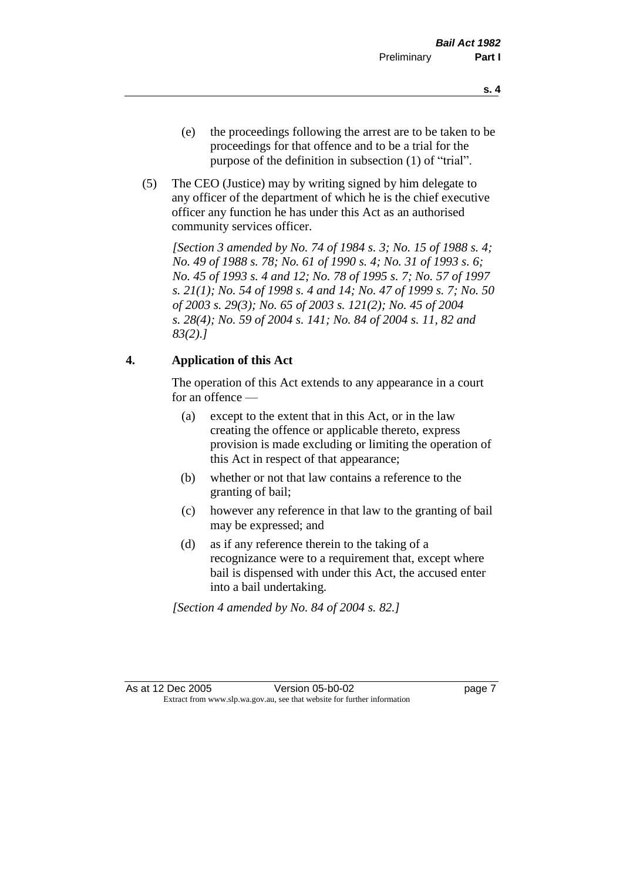- (e) the proceedings following the arrest are to be taken to be proceedings for that offence and to be a trial for the purpose of the definition in subsection (1) of "trial".
- (5) The CEO (Justice) may by writing signed by him delegate to any officer of the department of which he is the chief executive officer any function he has under this Act as an authorised community services officer.

*[Section 3 amended by No. 74 of 1984 s. 3; No. 15 of 1988 s. 4; No. 49 of 1988 s. 78; No. 61 of 1990 s. 4; No. 31 of 1993 s. 6; No. 45 of 1993 s. 4 and 12; No. 78 of 1995 s. 7; No. 57 of 1997 s. 21(1); No. 54 of 1998 s. 4 and 14; No. 47 of 1999 s. 7; No. 50 of 2003 s. 29(3); No. 65 of 2003 s. 121(2); No. 45 of 2004 s. 28(4); No. 59 of 2004 s. 141; No. 84 of 2004 s. 11, 82 and 83(2).]* 

#### **4. Application of this Act**

The operation of this Act extends to any appearance in a court for an offence —

- (a) except to the extent that in this Act, or in the law creating the offence or applicable thereto, express provision is made excluding or limiting the operation of this Act in respect of that appearance;
- (b) whether or not that law contains a reference to the granting of bail;
- (c) however any reference in that law to the granting of bail may be expressed; and
- (d) as if any reference therein to the taking of a recognizance were to a requirement that, except where bail is dispensed with under this Act, the accused enter into a bail undertaking.

*[Section 4 amended by No. 84 of 2004 s. 82.]*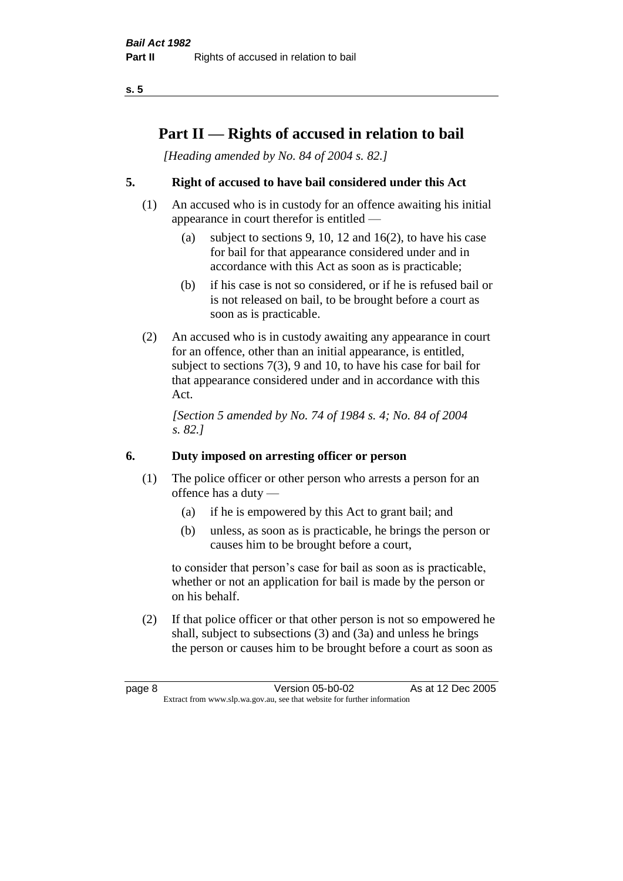# **Part II — Rights of accused in relation to bail**

*[Heading amended by No. 84 of 2004 s. 82.]* 

# **5. Right of accused to have bail considered under this Act**

- (1) An accused who is in custody for an offence awaiting his initial appearance in court therefor is entitled —
	- (a) subject to sections 9, 10, 12 and 16(2), to have his case for bail for that appearance considered under and in accordance with this Act as soon as is practicable;
	- (b) if his case is not so considered, or if he is refused bail or is not released on bail, to be brought before a court as soon as is practicable.
- (2) An accused who is in custody awaiting any appearance in court for an offence, other than an initial appearance, is entitled, subject to sections 7(3), 9 and 10, to have his case for bail for that appearance considered under and in accordance with this Act.

*[Section 5 amended by No. 74 of 1984 s. 4; No. 84 of 2004 s. 82.]* 

# **6. Duty imposed on arresting officer or person**

- (1) The police officer or other person who arrests a person for an offence has a duty —
	- (a) if he is empowered by this Act to grant bail; and
	- (b) unless, as soon as is practicable, he brings the person or causes him to be brought before a court,

to consider that person's case for bail as soon as is practicable, whether or not an application for bail is made by the person or on his behalf.

(2) If that police officer or that other person is not so empowered he shall, subject to subsections (3) and (3a) and unless he brings the person or causes him to be brought before a court as soon as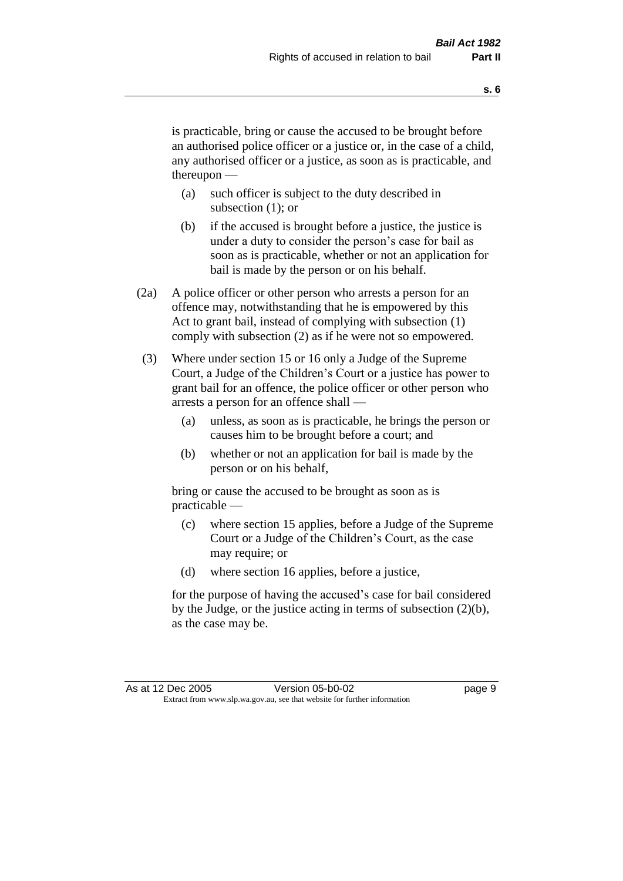is practicable, bring or cause the accused to be brought before an authorised police officer or a justice or, in the case of a child, any authorised officer or a justice, as soon as is practicable, and thereupon —

- (a) such officer is subject to the duty described in subsection (1); or
- (b) if the accused is brought before a justice, the justice is under a duty to consider the person's case for bail as soon as is practicable, whether or not an application for bail is made by the person or on his behalf.
- (2a) A police officer or other person who arrests a person for an offence may, notwithstanding that he is empowered by this Act to grant bail, instead of complying with subsection (1) comply with subsection (2) as if he were not so empowered.
- (3) Where under section 15 or 16 only a Judge of the Supreme Court, a Judge of the Children's Court or a justice has power to grant bail for an offence, the police officer or other person who arrests a person for an offence shall —
	- (a) unless, as soon as is practicable, he brings the person or causes him to be brought before a court; and
	- (b) whether or not an application for bail is made by the person or on his behalf,

bring or cause the accused to be brought as soon as is practicable —

- (c) where section 15 applies, before a Judge of the Supreme Court or a Judge of the Children's Court, as the case may require; or
- (d) where section 16 applies, before a justice,

for the purpose of having the accused's case for bail considered by the Judge, or the justice acting in terms of subsection (2)(b), as the case may be.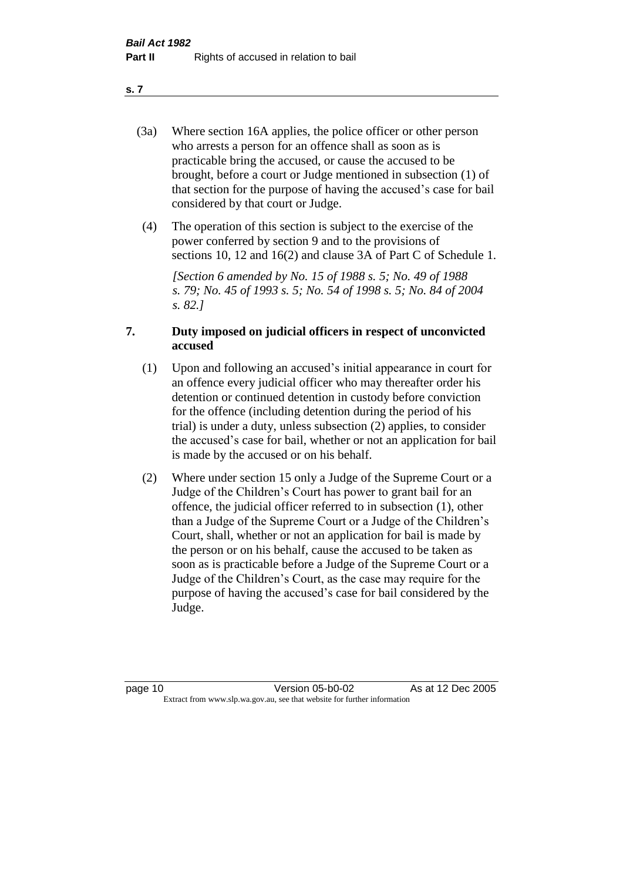- (3a) Where section 16A applies, the police officer or other person who arrests a person for an offence shall as soon as is practicable bring the accused, or cause the accused to be brought, before a court or Judge mentioned in subsection (1) of that section for the purpose of having the accused's case for bail considered by that court or Judge.
- (4) The operation of this section is subject to the exercise of the power conferred by section 9 and to the provisions of sections 10, 12 and 16(2) and clause 3A of Part C of Schedule 1.

*[Section 6 amended by No. 15 of 1988 s. 5; No. 49 of 1988 s. 79; No. 45 of 1993 s. 5; No. 54 of 1998 s. 5; No. 84 of 2004 s. 82.]* 

### **7. Duty imposed on judicial officers in respect of unconvicted accused**

- (1) Upon and following an accused's initial appearance in court for an offence every judicial officer who may thereafter order his detention or continued detention in custody before conviction for the offence (including detention during the period of his trial) is under a duty, unless subsection (2) applies, to consider the accused's case for bail, whether or not an application for bail is made by the accused or on his behalf.
- (2) Where under section 15 only a Judge of the Supreme Court or a Judge of the Children's Court has power to grant bail for an offence, the judicial officer referred to in subsection (1), other than a Judge of the Supreme Court or a Judge of the Children's Court, shall, whether or not an application for bail is made by the person or on his behalf, cause the accused to be taken as soon as is practicable before a Judge of the Supreme Court or a Judge of the Children's Court, as the case may require for the purpose of having the accused's case for bail considered by the Judge.

**s. 7**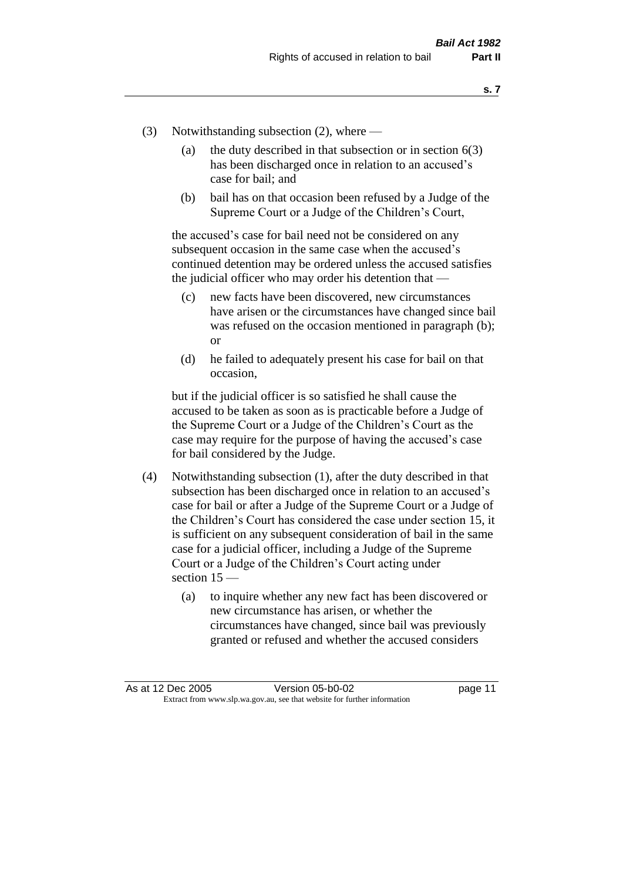- (3) Notwithstanding subsection (2), where
	- (a) the duty described in that subsection or in section  $6(3)$ has been discharged once in relation to an accused's case for bail; and
	- (b) bail has on that occasion been refused by a Judge of the Supreme Court or a Judge of the Children's Court,

the accused's case for bail need not be considered on any subsequent occasion in the same case when the accused's continued detention may be ordered unless the accused satisfies the judicial officer who may order his detention that —

- (c) new facts have been discovered, new circumstances have arisen or the circumstances have changed since bail was refused on the occasion mentioned in paragraph (b); or
- (d) he failed to adequately present his case for bail on that occasion,

but if the judicial officer is so satisfied he shall cause the accused to be taken as soon as is practicable before a Judge of the Supreme Court or a Judge of the Children's Court as the case may require for the purpose of having the accused's case for bail considered by the Judge.

- (4) Notwithstanding subsection (1), after the duty described in that subsection has been discharged once in relation to an accused's case for bail or after a Judge of the Supreme Court or a Judge of the Children's Court has considered the case under section 15, it is sufficient on any subsequent consideration of bail in the same case for a judicial officer, including a Judge of the Supreme Court or a Judge of the Children's Court acting under section 15 —
	- (a) to inquire whether any new fact has been discovered or new circumstance has arisen, or whether the circumstances have changed, since bail was previously granted or refused and whether the accused considers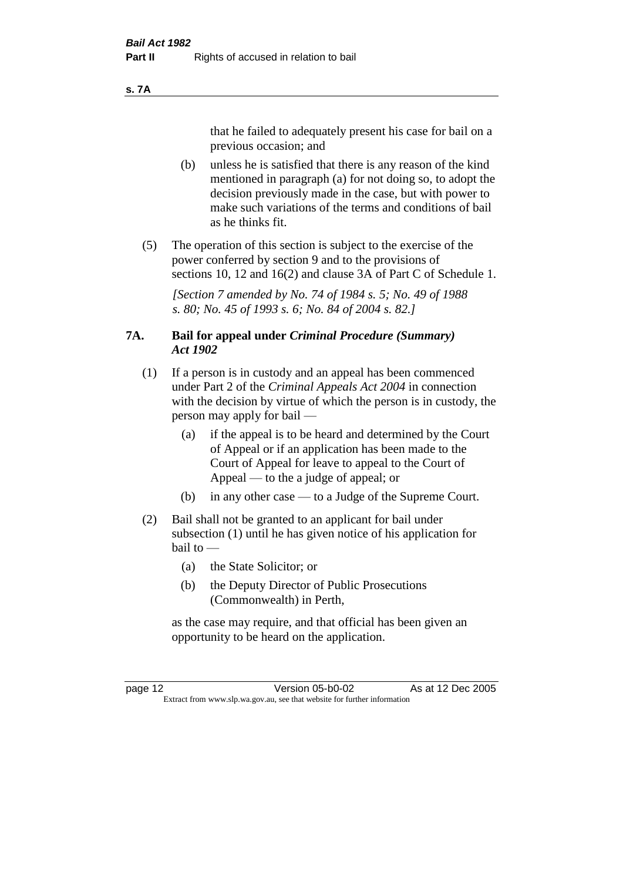#### **s. 7A**

that he failed to adequately present his case for bail on a previous occasion; and

- (b) unless he is satisfied that there is any reason of the kind mentioned in paragraph (a) for not doing so, to adopt the decision previously made in the case, but with power to make such variations of the terms and conditions of bail as he thinks fit.
- (5) The operation of this section is subject to the exercise of the power conferred by section 9 and to the provisions of sections 10, 12 and 16(2) and clause 3A of Part C of Schedule 1.

*[Section 7 amended by No. 74 of 1984 s. 5; No. 49 of 1988 s. 80; No. 45 of 1993 s. 6; No. 84 of 2004 s. 82.]* 

#### **7A. Bail for appeal under** *Criminal Procedure (Summary) Act 1902*

- (1) If a person is in custody and an appeal has been commenced under Part 2 of the *Criminal Appeals Act 2004* in connection with the decision by virtue of which the person is in custody, the person may apply for bail —
	- (a) if the appeal is to be heard and determined by the Court of Appeal or if an application has been made to the Court of Appeal for leave to appeal to the Court of Appeal — to the a judge of appeal; or
	- (b) in any other case to a Judge of the Supreme Court.
- (2) Bail shall not be granted to an applicant for bail under subsection (1) until he has given notice of his application for bail to —
	- (a) the State Solicitor; or
	- (b) the Deputy Director of Public Prosecutions (Commonwealth) in Perth,

as the case may require, and that official has been given an opportunity to be heard on the application.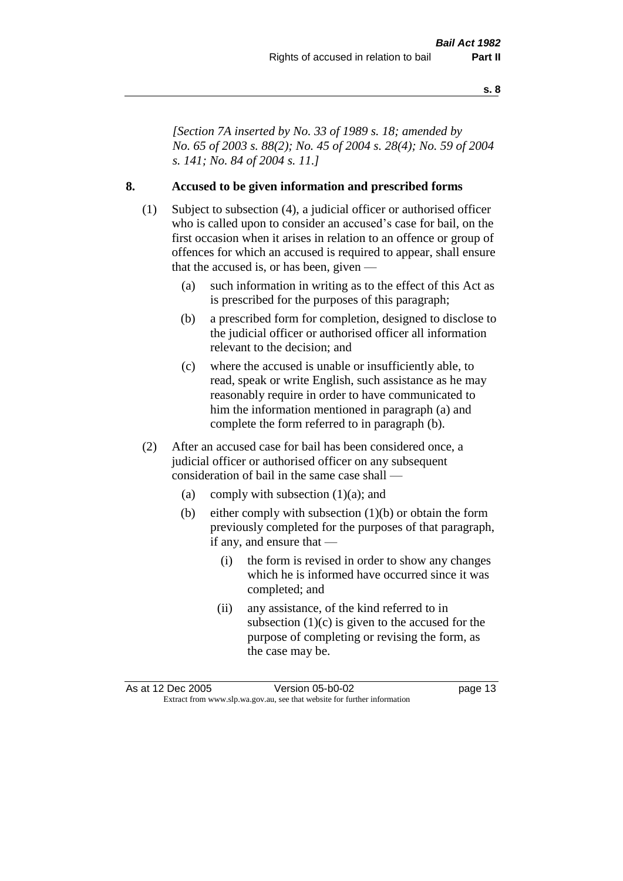*[Section 7A inserted by No. 33 of 1989 s. 18; amended by No. 65 of 2003 s. 88(2); No. 45 of 2004 s. 28(4); No. 59 of 2004 s. 141; No. 84 of 2004 s. 11.]* 

#### **8. Accused to be given information and prescribed forms**

- (1) Subject to subsection (4), a judicial officer or authorised officer who is called upon to consider an accused's case for bail, on the first occasion when it arises in relation to an offence or group of offences for which an accused is required to appear, shall ensure that the accused is, or has been, given —
	- (a) such information in writing as to the effect of this Act as is prescribed for the purposes of this paragraph;
	- (b) a prescribed form for completion, designed to disclose to the judicial officer or authorised officer all information relevant to the decision; and
	- (c) where the accused is unable or insufficiently able, to read, speak or write English, such assistance as he may reasonably require in order to have communicated to him the information mentioned in paragraph (a) and complete the form referred to in paragraph (b).
- (2) After an accused case for bail has been considered once, a judicial officer or authorised officer on any subsequent consideration of bail in the same case shall —
	- (a) comply with subsection  $(1)(a)$ ; and
	- (b) either comply with subsection (1)(b) or obtain the form previously completed for the purposes of that paragraph, if any, and ensure that —
		- (i) the form is revised in order to show any changes which he is informed have occurred since it was completed; and
		- (ii) any assistance, of the kind referred to in subsection  $(1)(c)$  is given to the accused for the purpose of completing or revising the form, as the case may be.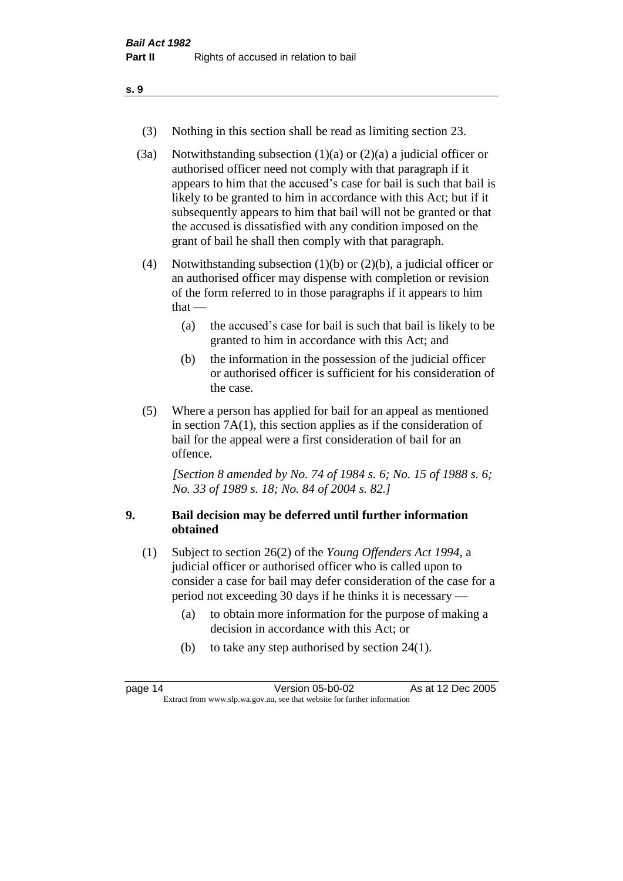- (3) Nothing in this section shall be read as limiting section 23.
- (3a) Notwithstanding subsection  $(1)(a)$  or  $(2)(a)$  a judicial officer or authorised officer need not comply with that paragraph if it appears to him that the accused's case for bail is such that bail is likely to be granted to him in accordance with this Act; but if it subsequently appears to him that bail will not be granted or that the accused is dissatisfied with any condition imposed on the grant of bail he shall then comply with that paragraph.
- (4) Notwithstanding subsection (1)(b) or (2)(b), a judicial officer or an authorised officer may dispense with completion or revision of the form referred to in those paragraphs if it appears to him  $that -$ 
	- (a) the accused's case for bail is such that bail is likely to be granted to him in accordance with this Act; and
	- (b) the information in the possession of the judicial officer or authorised officer is sufficient for his consideration of the case.
- (5) Where a person has applied for bail for an appeal as mentioned in section 7A(1), this section applies as if the consideration of bail for the appeal were a first consideration of bail for an offence.

*[Section 8 amended by No. 74 of 1984 s. 6; No. 15 of 1988 s. 6; No. 33 of 1989 s. 18; No. 84 of 2004 s. 82.]* 

# **9. Bail decision may be deferred until further information obtained**

- (1) Subject to section 26(2) of the *Young Offenders Act 1994*, a judicial officer or authorised officer who is called upon to consider a case for bail may defer consideration of the case for a period not exceeding 30 days if he thinks it is necessary —
	- (a) to obtain more information for the purpose of making a decision in accordance with this Act; or
	- (b) to take any step authorised by section 24(1).

| page 14 | Version 05-b0-02                                                         | As at 12 Dec 2005 |
|---------|--------------------------------------------------------------------------|-------------------|
|         | Extract from www.slp.wa.gov.au, see that website for further information |                   |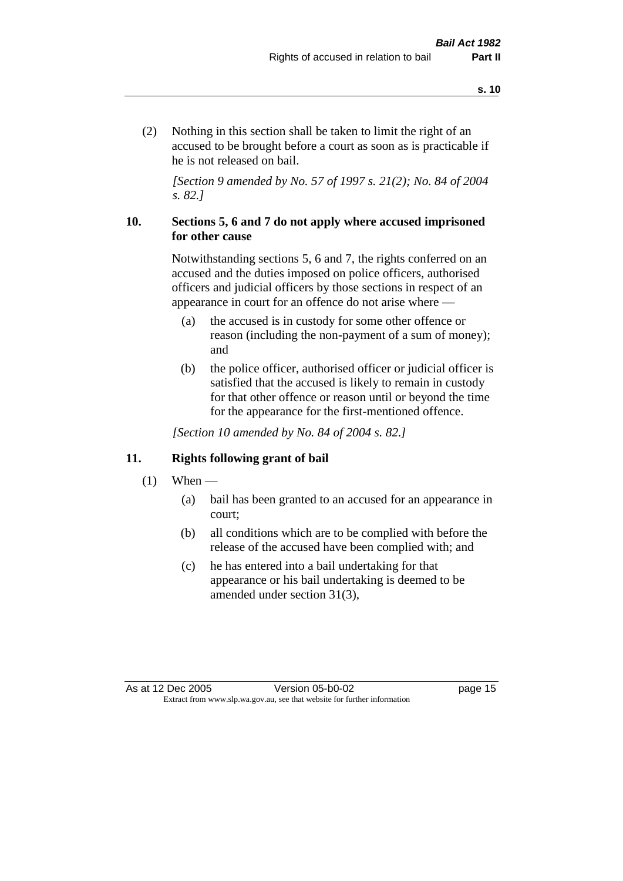(2) Nothing in this section shall be taken to limit the right of an accused to be brought before a court as soon as is practicable if he is not released on bail.

*[Section 9 amended by No. 57 of 1997 s. 21(2); No. 84 of 2004 s. 82.]*

#### **10. Sections 5, 6 and 7 do not apply where accused imprisoned for other cause**

Notwithstanding sections 5, 6 and 7, the rights conferred on an accused and the duties imposed on police officers, authorised officers and judicial officers by those sections in respect of an appearance in court for an offence do not arise where —

- (a) the accused is in custody for some other offence or reason (including the non-payment of a sum of money); and
- (b) the police officer, authorised officer or judicial officer is satisfied that the accused is likely to remain in custody for that other offence or reason until or beyond the time for the appearance for the first-mentioned offence.

*[Section 10 amended by No. 84 of 2004 s. 82.]*

### **11. Rights following grant of bail**

- $(1)$  When
	- (a) bail has been granted to an accused for an appearance in court;
	- (b) all conditions which are to be complied with before the release of the accused have been complied with; and
	- (c) he has entered into a bail undertaking for that appearance or his bail undertaking is deemed to be amended under section 31(3),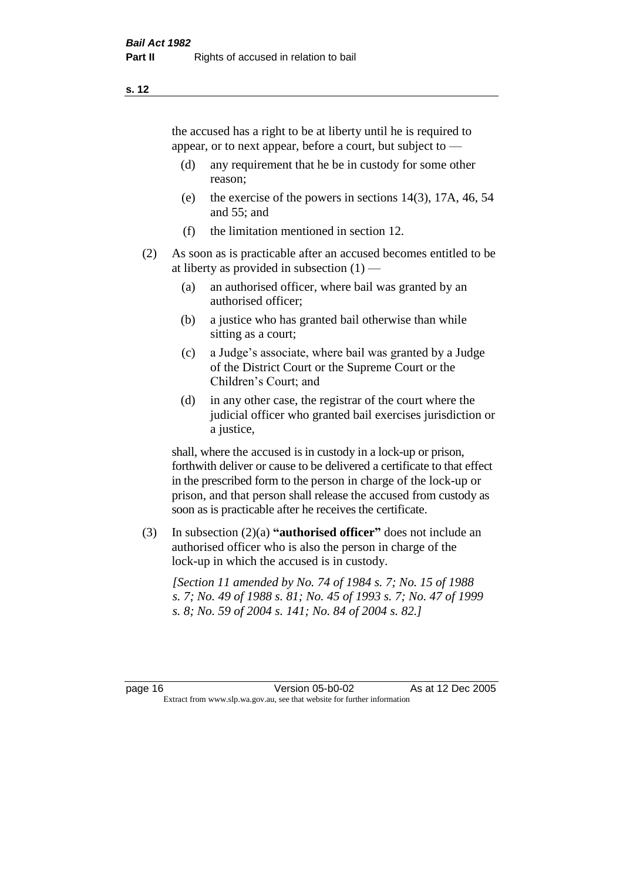the accused has a right to be at liberty until he is required to appear, or to next appear, before a court, but subject to —

- (d) any requirement that he be in custody for some other reason;
- (e) the exercise of the powers in sections 14(3), 17A, 46, 54 and 55; and
- (f) the limitation mentioned in section 12.
- (2) As soon as is practicable after an accused becomes entitled to be at liberty as provided in subsection  $(1)$  —
	- (a) an authorised officer, where bail was granted by an authorised officer;
	- (b) a justice who has granted bail otherwise than while sitting as a court;
	- (c) a Judge's associate, where bail was granted by a Judge of the District Court or the Supreme Court or the Children's Court; and
	- (d) in any other case, the registrar of the court where the judicial officer who granted bail exercises jurisdiction or a justice,

shall, where the accused is in custody in a lock-up or prison, forthwith deliver or cause to be delivered a certificate to that effect in the prescribed form to the person in charge of the lock-up or prison, and that person shall release the accused from custody as soon as is practicable after he receives the certificate.

(3) In subsection (2)(a) **"authorised officer"** does not include an authorised officer who is also the person in charge of the lock-up in which the accused is in custody.

*[Section 11 amended by No. 74 of 1984 s. 7; No. 15 of 1988 s. 7; No. 49 of 1988 s. 81; No. 45 of 1993 s. 7; No. 47 of 1999 s. 8; No. 59 of 2004 s. 141; No. 84 of 2004 s. 82.]*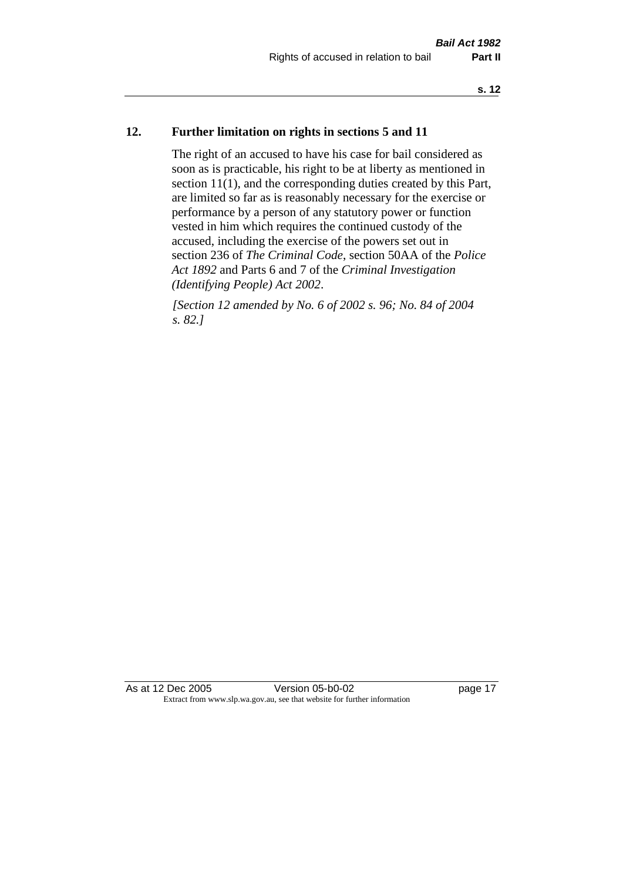# **12. Further limitation on rights in sections 5 and 11**

The right of an accused to have his case for bail considered as soon as is practicable, his right to be at liberty as mentioned in section 11(1), and the corresponding duties created by this Part, are limited so far as is reasonably necessary for the exercise or performance by a person of any statutory power or function vested in him which requires the continued custody of the accused, including the exercise of the powers set out in section 236 of *The Criminal Code*, section 50AA of the *Police Act 1892* and Parts 6 and 7 of the *Criminal Investigation (Identifying People) Act 2002*.

*[Section 12 amended by No. 6 of 2002 s. 96; No. 84 of 2004 s. 82.]*

As at 12 Dec 2005 Version 05-b0-02 page 17 Extract from www.slp.wa.gov.au, see that website for further information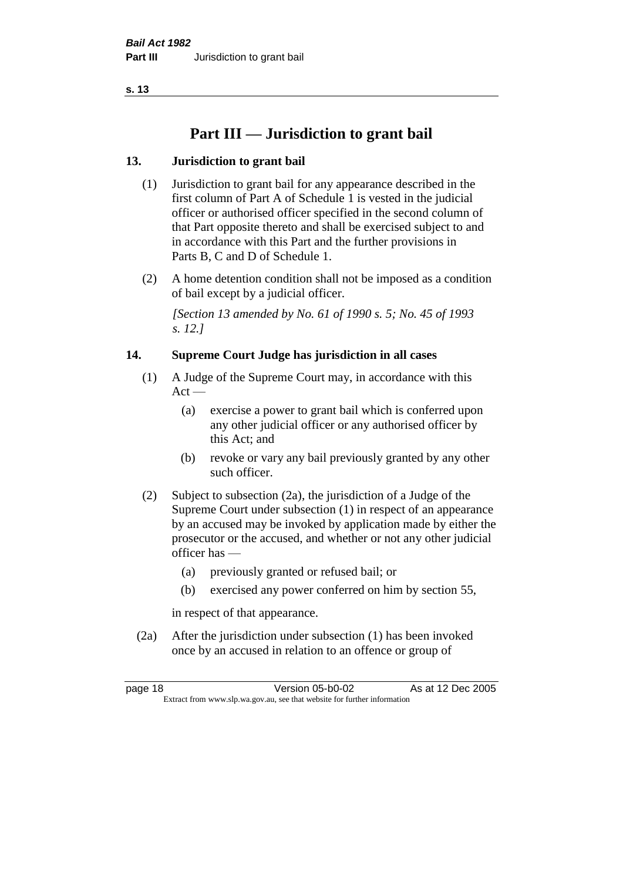# **Part III — Jurisdiction to grant bail**

# **13. Jurisdiction to grant bail**

- (1) Jurisdiction to grant bail for any appearance described in the first column of Part A of Schedule 1 is vested in the judicial officer or authorised officer specified in the second column of that Part opposite thereto and shall be exercised subject to and in accordance with this Part and the further provisions in Parts B, C and D of Schedule 1.
- (2) A home detention condition shall not be imposed as a condition of bail except by a judicial officer.

*[Section 13 amended by No. 61 of 1990 s. 5; No. 45 of 1993 s. 12.]* 

# **14. Supreme Court Judge has jurisdiction in all cases**

- (1) A Judge of the Supreme Court may, in accordance with this  $Act -$ 
	- (a) exercise a power to grant bail which is conferred upon any other judicial officer or any authorised officer by this Act; and
	- (b) revoke or vary any bail previously granted by any other such officer.
- (2) Subject to subsection (2a), the jurisdiction of a Judge of the Supreme Court under subsection (1) in respect of an appearance by an accused may be invoked by application made by either the prosecutor or the accused, and whether or not any other judicial officer has —
	- (a) previously granted or refused bail; or
	- (b) exercised any power conferred on him by section 55,

in respect of that appearance.

(2a) After the jurisdiction under subsection (1) has been invoked once by an accused in relation to an offence or group of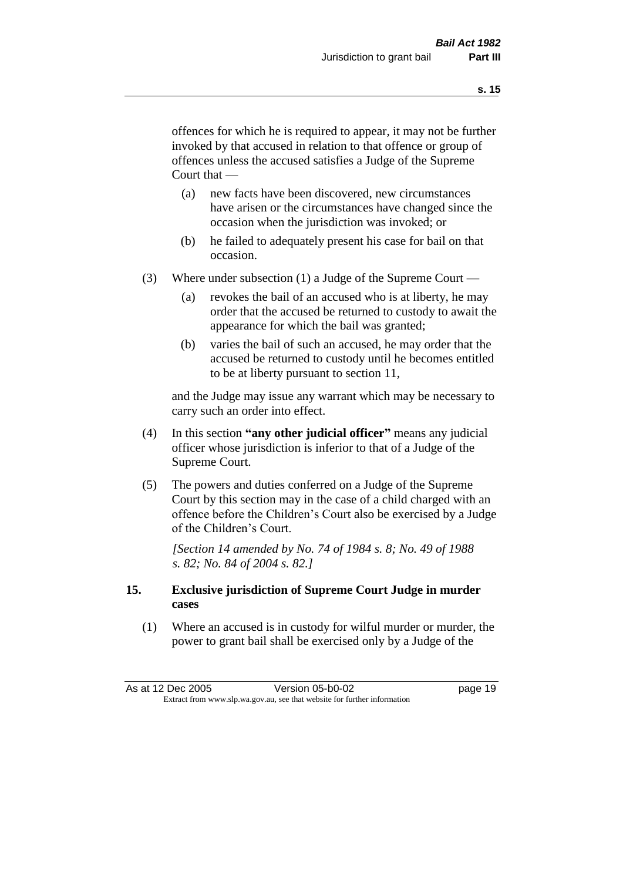offences for which he is required to appear, it may not be further invoked by that accused in relation to that offence or group of offences unless the accused satisfies a Judge of the Supreme Court that —

- (a) new facts have been discovered, new circumstances have arisen or the circumstances have changed since the occasion when the jurisdiction was invoked; or
- (b) he failed to adequately present his case for bail on that occasion.
- (3) Where under subsection (1) a Judge of the Supreme Court
	- (a) revokes the bail of an accused who is at liberty, he may order that the accused be returned to custody to await the appearance for which the bail was granted;
	- (b) varies the bail of such an accused, he may order that the accused be returned to custody until he becomes entitled to be at liberty pursuant to section 11,

and the Judge may issue any warrant which may be necessary to carry such an order into effect.

- (4) In this section **"any other judicial officer"** means any judicial officer whose jurisdiction is inferior to that of a Judge of the Supreme Court.
- (5) The powers and duties conferred on a Judge of the Supreme Court by this section may in the case of a child charged with an offence before the Children's Court also be exercised by a Judge of the Children's Court.

*[Section 14 amended by No. 74 of 1984 s. 8; No. 49 of 1988 s. 82; No. 84 of 2004 s. 82.]* 

### **15. Exclusive jurisdiction of Supreme Court Judge in murder cases**

(1) Where an accused is in custody for wilful murder or murder, the power to grant bail shall be exercised only by a Judge of the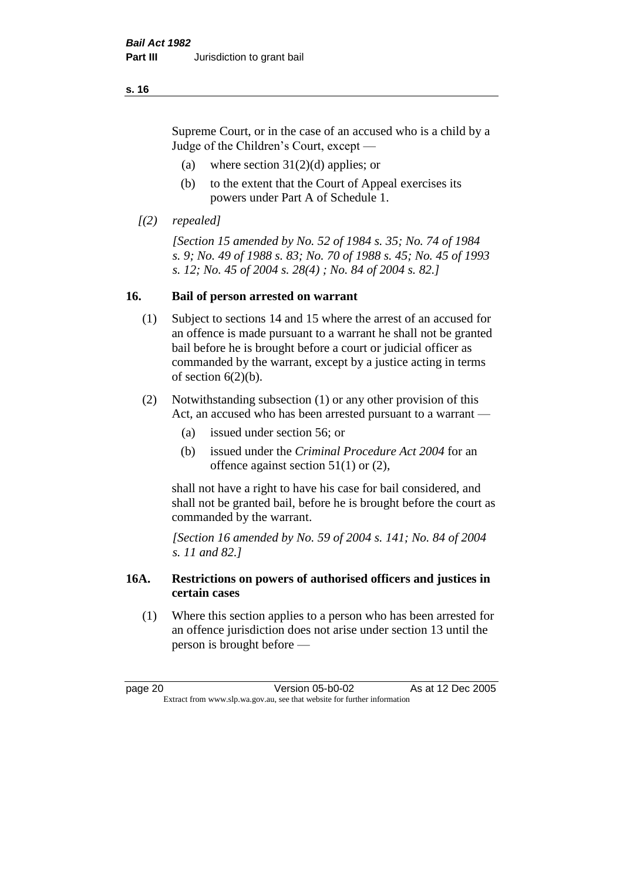Supreme Court, or in the case of an accused who is a child by a Judge of the Children's Court, except —

- (a) where section  $31(2)(d)$  applies; or
- (b) to the extent that the Court of Appeal exercises its powers under Part A of Schedule 1.
- *[(2) repealed]*

*[Section 15 amended by No. 52 of 1984 s. 35; No. 74 of 1984 s. 9; No. 49 of 1988 s. 83; No. 70 of 1988 s. 45; No. 45 of 1993 s. 12; No. 45 of 2004 s. 28(4) ; No. 84 of 2004 s. 82.]* 

# **16. Bail of person arrested on warrant**

- (1) Subject to sections 14 and 15 where the arrest of an accused for an offence is made pursuant to a warrant he shall not be granted bail before he is brought before a court or judicial officer as commanded by the warrant, except by a justice acting in terms of section  $6(2)(b)$ .
- (2) Notwithstanding subsection (1) or any other provision of this Act, an accused who has been arrested pursuant to a warrant —
	- (a) issued under section 56; or
	- (b) issued under the *Criminal Procedure Act 2004* for an offence against section 51(1) or (2),

shall not have a right to have his case for bail considered, and shall not be granted bail, before he is brought before the court as commanded by the warrant.

*[Section 16 amended by No. 59 of 2004 s. 141; No. 84 of 2004 s. 11 and 82.]*

# **16A. Restrictions on powers of authorised officers and justices in certain cases**

(1) Where this section applies to a person who has been arrested for an offence jurisdiction does not arise under section 13 until the person is brought before —

page 20 Version 05-b0-02 As at 12 Dec 2005 Extract from www.slp.wa.gov.au, see that website for further information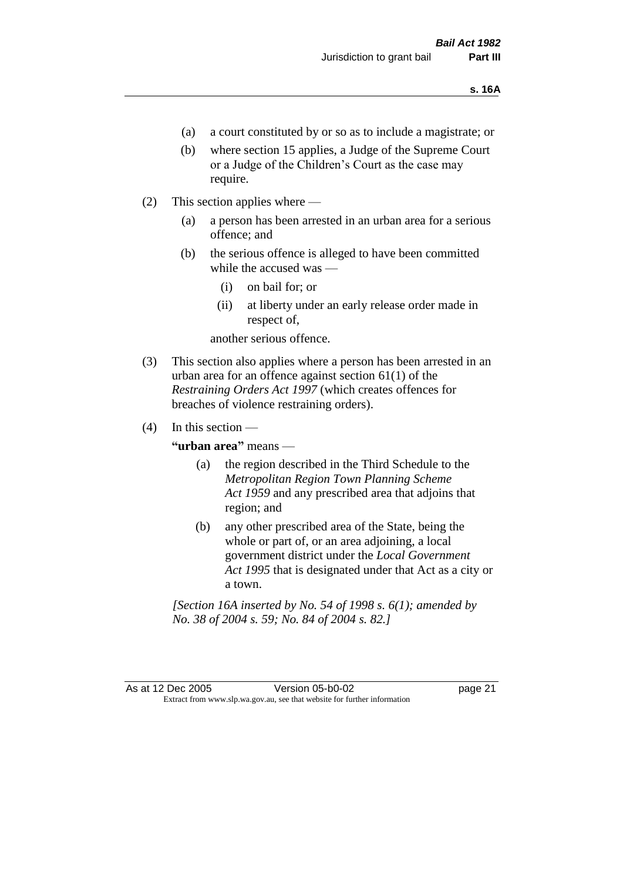- (a) a court constituted by or so as to include a magistrate; or
- (b) where section 15 applies, a Judge of the Supreme Court or a Judge of the Children's Court as the case may require.
- (2) This section applies where
	- (a) a person has been arrested in an urban area for a serious offence; and
	- (b) the serious offence is alleged to have been committed while the accused was —
		- (i) on bail for; or
		- (ii) at liberty under an early release order made in respect of,

another serious offence.

- (3) This section also applies where a person has been arrested in an urban area for an offence against section 61(1) of the *Restraining Orders Act 1997* (which creates offences for breaches of violence restraining orders).
- $(4)$  In this section —

**"urban area"** means —

- (a) the region described in the Third Schedule to the *Metropolitan Region Town Planning Scheme Act 1959* and any prescribed area that adjoins that region; and
- (b) any other prescribed area of the State, being the whole or part of, or an area adjoining, a local government district under the *Local Government Act 1995* that is designated under that Act as a city or a town.

*[Section 16A inserted by No. 54 of 1998 s. 6(1); amended by No. 38 of 2004 s. 59; No. 84 of 2004 s. 82.]*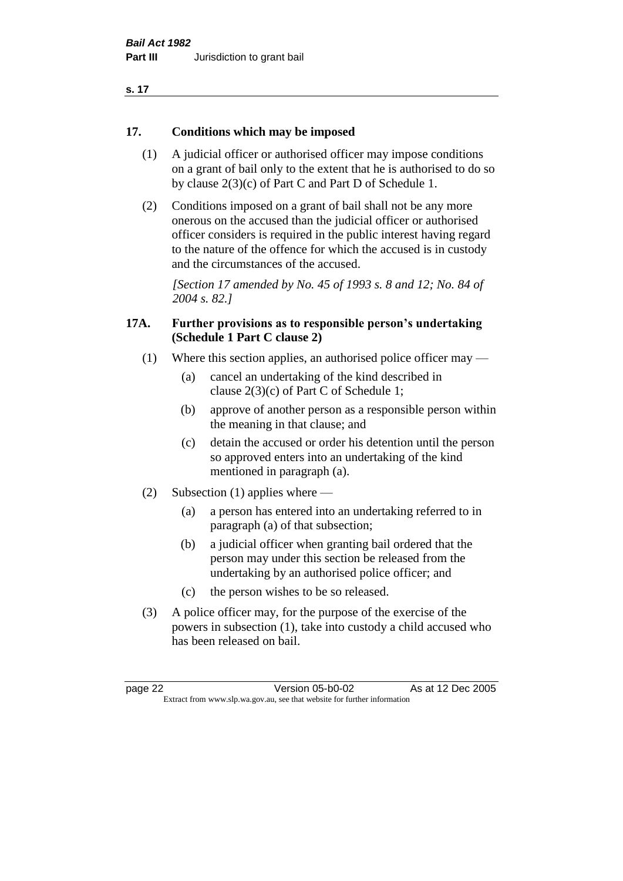| ×<br>. . |  |
|----------|--|
|----------|--|

#### **17. Conditions which may be imposed**

- (1) A judicial officer or authorised officer may impose conditions on a grant of bail only to the extent that he is authorised to do so by clause 2(3)(c) of Part C and Part D of Schedule 1.
- (2) Conditions imposed on a grant of bail shall not be any more onerous on the accused than the judicial officer or authorised officer considers is required in the public interest having regard to the nature of the offence for which the accused is in custody and the circumstances of the accused.

*[Section 17 amended by No. 45 of 1993 s. 8 and 12; No. 84 of 2004 s. 82.]* 

### **17A. Further provisions as to responsible person's undertaking (Schedule 1 Part C clause 2)**

- (1) Where this section applies, an authorised police officer may
	- (a) cancel an undertaking of the kind described in clause 2(3)(c) of Part C of Schedule 1;
	- (b) approve of another person as a responsible person within the meaning in that clause; and
	- (c) detain the accused or order his detention until the person so approved enters into an undertaking of the kind mentioned in paragraph (a).
- (2) Subsection (1) applies where
	- (a) a person has entered into an undertaking referred to in paragraph (a) of that subsection;
	- (b) a judicial officer when granting bail ordered that the person may under this section be released from the undertaking by an authorised police officer; and
	- (c) the person wishes to be so released.
- (3) A police officer may, for the purpose of the exercise of the powers in subsection (1), take into custody a child accused who has been released on bail.

page 22 Version 05-b0-02 As at 12 Dec 2005 Extract from www.slp.wa.gov.au, see that website for further information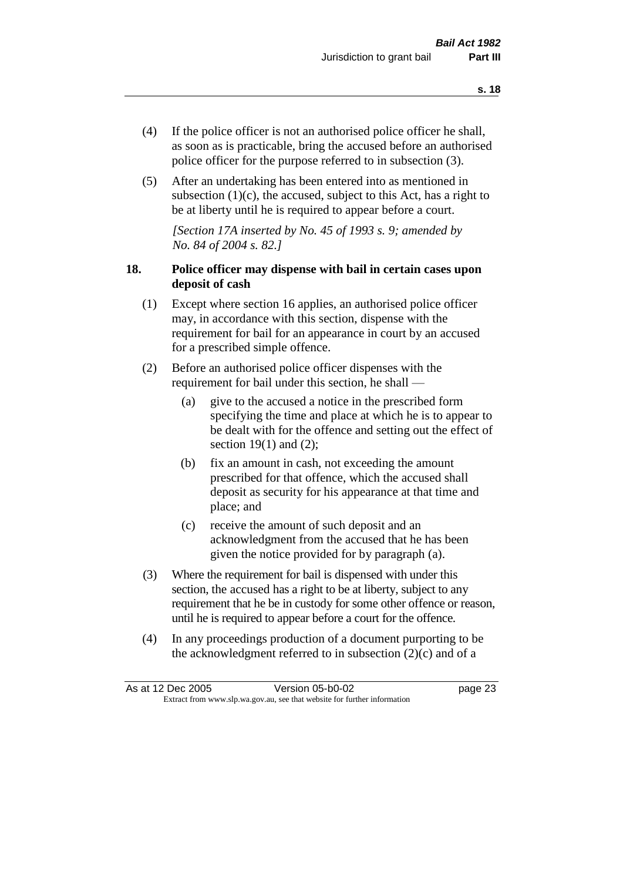- (4) If the police officer is not an authorised police officer he shall, as soon as is practicable, bring the accused before an authorised police officer for the purpose referred to in subsection (3).
- (5) After an undertaking has been entered into as mentioned in subsection  $(1)(c)$ , the accused, subject to this Act, has a right to be at liberty until he is required to appear before a court.

*[Section 17A inserted by No. 45 of 1993 s. 9; amended by No. 84 of 2004 s. 82.]* 

# **18. Police officer may dispense with bail in certain cases upon deposit of cash**

- (1) Except where section 16 applies, an authorised police officer may, in accordance with this section, dispense with the requirement for bail for an appearance in court by an accused for a prescribed simple offence.
- (2) Before an authorised police officer dispenses with the requirement for bail under this section, he shall —
	- (a) give to the accused a notice in the prescribed form specifying the time and place at which he is to appear to be dealt with for the offence and setting out the effect of section  $19(1)$  and  $(2)$ ;
	- (b) fix an amount in cash, not exceeding the amount prescribed for that offence, which the accused shall deposit as security for his appearance at that time and place; and
	- (c) receive the amount of such deposit and an acknowledgment from the accused that he has been given the notice provided for by paragraph (a).
- (3) Where the requirement for bail is dispensed with under this section, the accused has a right to be at liberty, subject to any requirement that he be in custody for some other offence or reason, until he is required to appear before a court for the offence.
- (4) In any proceedings production of a document purporting to be the acknowledgment referred to in subsection  $(2)(c)$  and of a

|                                                                          | As at 12 Dec 2005 | Version 05-b0-02 | page 23 |
|--------------------------------------------------------------------------|-------------------|------------------|---------|
| Extract from www.slp.wa.gov.au, see that website for further information |                   |                  |         |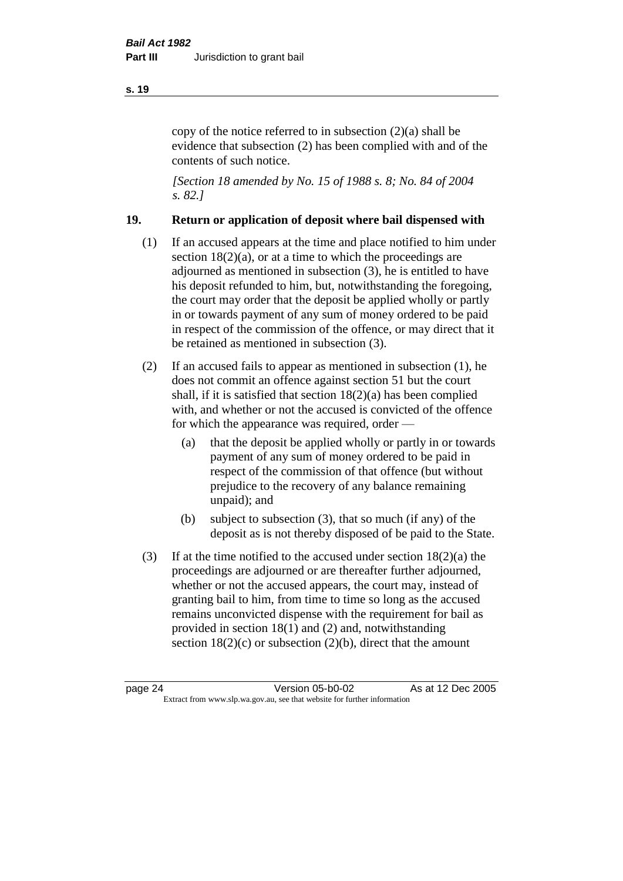copy of the notice referred to in subsection (2)(a) shall be evidence that subsection (2) has been complied with and of the contents of such notice.

*[Section 18 amended by No. 15 of 1988 s. 8; No. 84 of 2004 s. 82.]* 

# **19. Return or application of deposit where bail dispensed with**

- (1) If an accused appears at the time and place notified to him under section  $18(2)(a)$ , or at a time to which the proceedings are adjourned as mentioned in subsection (3), he is entitled to have his deposit refunded to him, but, notwithstanding the foregoing, the court may order that the deposit be applied wholly or partly in or towards payment of any sum of money ordered to be paid in respect of the commission of the offence, or may direct that it be retained as mentioned in subsection (3).
- (2) If an accused fails to appear as mentioned in subsection (1), he does not commit an offence against section 51 but the court shall, if it is satisfied that section 18(2)(a) has been complied with, and whether or not the accused is convicted of the offence for which the appearance was required, order —
	- (a) that the deposit be applied wholly or partly in or towards payment of any sum of money ordered to be paid in respect of the commission of that offence (but without prejudice to the recovery of any balance remaining unpaid); and
	- (b) subject to subsection (3), that so much (if any) of the deposit as is not thereby disposed of be paid to the State.
- (3) If at the time notified to the accused under section 18(2)(a) the proceedings are adjourned or are thereafter further adjourned, whether or not the accused appears, the court may, instead of granting bail to him, from time to time so long as the accused remains unconvicted dispense with the requirement for bail as provided in section 18(1) and (2) and, notwithstanding section  $18(2)(c)$  or subsection  $(2)(b)$ , direct that the amount

**s. 19**

page 24 Version 05-b0-02 As at 12 Dec 2005 Extract from www.slp.wa.gov.au, see that website for further information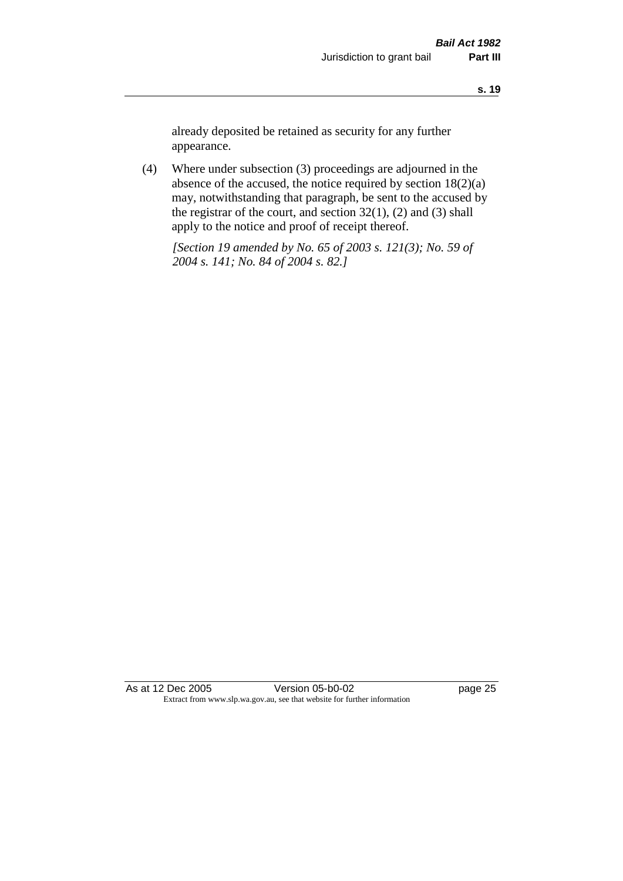already deposited be retained as security for any further appearance.

(4) Where under subsection (3) proceedings are adjourned in the absence of the accused, the notice required by section 18(2)(a) may, notwithstanding that paragraph, be sent to the accused by the registrar of the court, and section  $32(1)$ ,  $(2)$  and  $(3)$  shall apply to the notice and proof of receipt thereof.

*[Section 19 amended by No. 65 of 2003 s. 121(3); No. 59 of 2004 s. 141; No. 84 of 2004 s. 82.]*

As at 12 Dec 2005 Version 05-b0-02 Page 25 Extract from www.slp.wa.gov.au, see that website for further information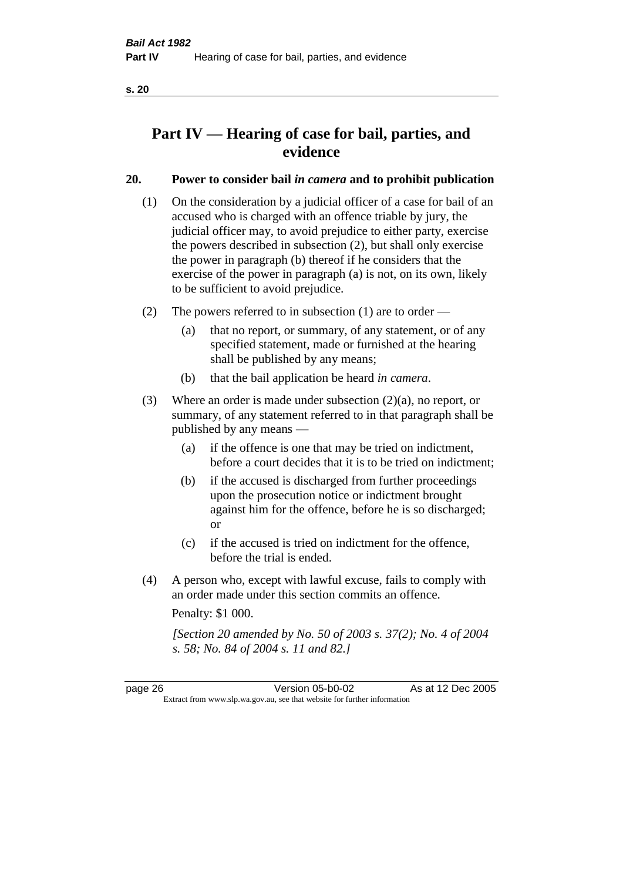# **Part IV — Hearing of case for bail, parties, and evidence**

# **20. Power to consider bail** *in camera* **and to prohibit publication**

- (1) On the consideration by a judicial officer of a case for bail of an accused who is charged with an offence triable by jury, the judicial officer may, to avoid prejudice to either party, exercise the powers described in subsection (2), but shall only exercise the power in paragraph (b) thereof if he considers that the exercise of the power in paragraph (a) is not, on its own, likely to be sufficient to avoid prejudice.
- (2) The powers referred to in subsection (1) are to order
	- (a) that no report, or summary, of any statement, or of any specified statement, made or furnished at the hearing shall be published by any means;
	- (b) that the bail application be heard *in camera*.
- (3) Where an order is made under subsection (2)(a), no report, or summary, of any statement referred to in that paragraph shall be published by any means —
	- (a) if the offence is one that may be tried on indictment, before a court decides that it is to be tried on indictment;
	- (b) if the accused is discharged from further proceedings upon the prosecution notice or indictment brought against him for the offence, before he is so discharged; or
	- (c) if the accused is tried on indictment for the offence, before the trial is ended.
- (4) A person who, except with lawful excuse, fails to comply with an order made under this section commits an offence.

Penalty: \$1 000.

*[Section 20 amended by No. 50 of 2003 s. 37(2); No. 4 of 2004 s. 58; No. 84 of 2004 s. 11 and 82.]*

page 26 Version 05-b0-02 As at 12 Dec 2005 Extract from www.slp.wa.gov.au, see that website for further information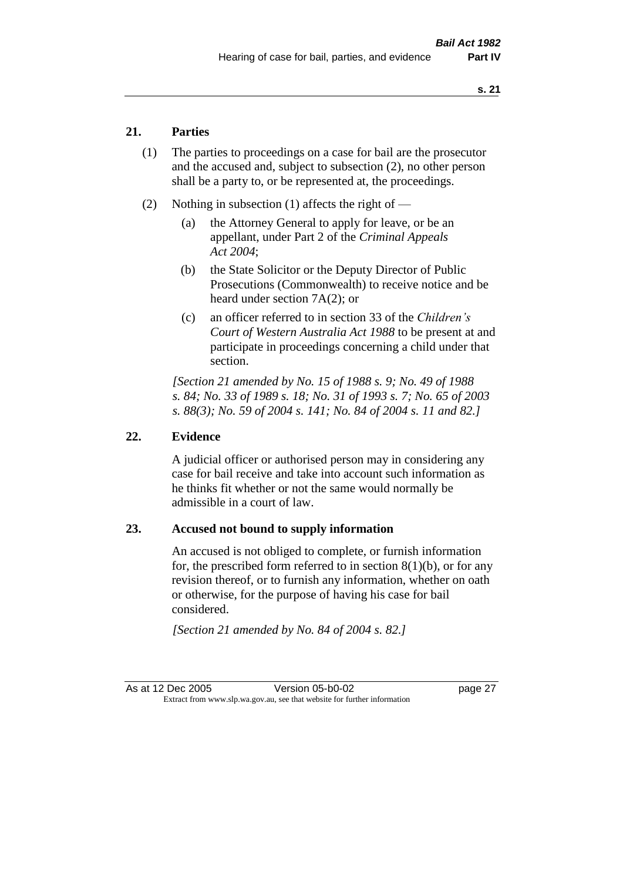# **21. Parties**

- (1) The parties to proceedings on a case for bail are the prosecutor and the accused and, subject to subsection (2), no other person shall be a party to, or be represented at, the proceedings.
- (2) Nothing in subsection (1) affects the right of
	- (a) the Attorney General to apply for leave, or be an appellant, under Part 2 of the *Criminal Appeals Act 2004*;
	- (b) the State Solicitor or the Deputy Director of Public Prosecutions (Commonwealth) to receive notice and be heard under section 7A(2); or
	- (c) an officer referred to in section 33 of the *Children's Court of Western Australia Act 1988* to be present at and participate in proceedings concerning a child under that section.

*[Section 21 amended by No. 15 of 1988 s. 9; No. 49 of 1988 s. 84; No. 33 of 1989 s. 18; No. 31 of 1993 s. 7; No. 65 of 2003 s. 88(3); No. 59 of 2004 s. 141; No. 84 of 2004 s. 11 and 82.]* 

#### **22. Evidence**

A judicial officer or authorised person may in considering any case for bail receive and take into account such information as he thinks fit whether or not the same would normally be admissible in a court of law.

#### **23. Accused not bound to supply information**

An accused is not obliged to complete, or furnish information for, the prescribed form referred to in section  $8(1)(b)$ , or for any revision thereof, or to furnish any information, whether on oath or otherwise, for the purpose of having his case for bail considered.

*[Section 21 amended by No. 84 of 2004 s. 82.]*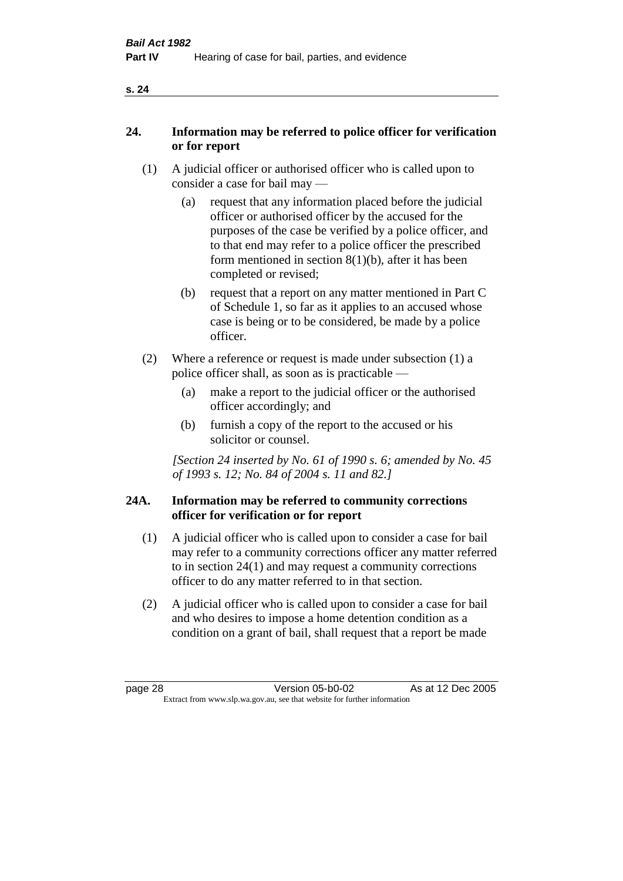| ×<br>v |  |
|--------|--|
|        |  |

# **24. Information may be referred to police officer for verification or for report**

- (1) A judicial officer or authorised officer who is called upon to consider a case for bail may —
	- (a) request that any information placed before the judicial officer or authorised officer by the accused for the purposes of the case be verified by a police officer, and to that end may refer to a police officer the prescribed form mentioned in section 8(1)(b), after it has been completed or revised;
	- (b) request that a report on any matter mentioned in Part C of Schedule 1, so far as it applies to an accused whose case is being or to be considered, be made by a police officer.
- (2) Where a reference or request is made under subsection (1) a police officer shall, as soon as is practicable —
	- (a) make a report to the judicial officer or the authorised officer accordingly; and
	- (b) furnish a copy of the report to the accused or his solicitor or counsel.

*[Section 24 inserted by No. 61 of 1990 s. 6; amended by No. 45 of 1993 s. 12; No. 84 of 2004 s. 11 and 82.]* 

### **24A. Information may be referred to community corrections officer for verification or for report**

- (1) A judicial officer who is called upon to consider a case for bail may refer to a community corrections officer any matter referred to in section 24(1) and may request a community corrections officer to do any matter referred to in that section.
- (2) A judicial officer who is called upon to consider a case for bail and who desires to impose a home detention condition as a condition on a grant of bail, shall request that a report be made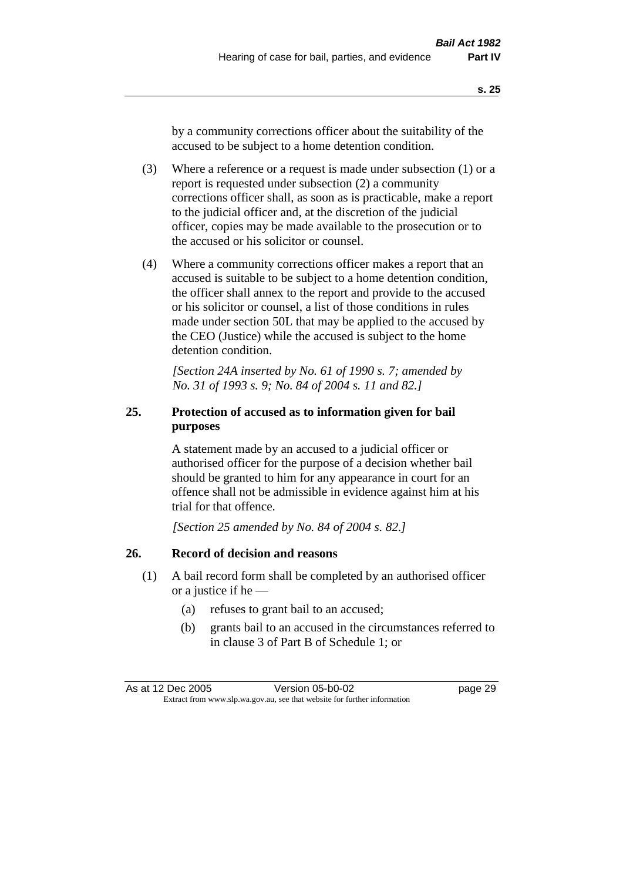by a community corrections officer about the suitability of the accused to be subject to a home detention condition.

- (3) Where a reference or a request is made under subsection (1) or a report is requested under subsection (2) a community corrections officer shall, as soon as is practicable, make a report to the judicial officer and, at the discretion of the judicial officer, copies may be made available to the prosecution or to the accused or his solicitor or counsel.
- (4) Where a community corrections officer makes a report that an accused is suitable to be subject to a home detention condition, the officer shall annex to the report and provide to the accused or his solicitor or counsel, a list of those conditions in rules made under section 50L that may be applied to the accused by the CEO (Justice) while the accused is subject to the home detention condition.

*[Section 24A inserted by No. 61 of 1990 s. 7; amended by No. 31 of 1993 s. 9; No. 84 of 2004 s. 11 and 82.]* 

# **25. Protection of accused as to information given for bail purposes**

A statement made by an accused to a judicial officer or authorised officer for the purpose of a decision whether bail should be granted to him for any appearance in court for an offence shall not be admissible in evidence against him at his trial for that offence.

*[Section 25 amended by No. 84 of 2004 s. 82.]* 

### **26. Record of decision and reasons**

- (1) A bail record form shall be completed by an authorised officer or a justice if he —
	- (a) refuses to grant bail to an accused;
	- (b) grants bail to an accused in the circumstances referred to in clause 3 of Part B of Schedule 1; or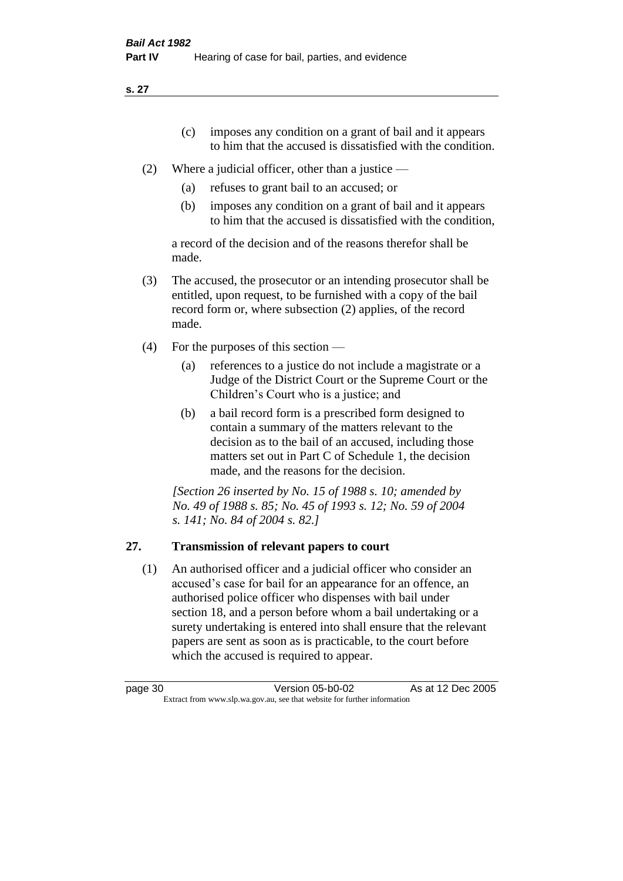**s. 27**

- (c) imposes any condition on a grant of bail and it appears to him that the accused is dissatisfied with the condition.
- (2) Where a judicial officer, other than a justice
	- (a) refuses to grant bail to an accused; or
	- (b) imposes any condition on a grant of bail and it appears to him that the accused is dissatisfied with the condition,

a record of the decision and of the reasons therefor shall be made.

- (3) The accused, the prosecutor or an intending prosecutor shall be entitled, upon request, to be furnished with a copy of the bail record form or, where subsection (2) applies, of the record made.
- (4) For the purposes of this section
	- (a) references to a justice do not include a magistrate or a Judge of the District Court or the Supreme Court or the Children's Court who is a justice; and
	- (b) a bail record form is a prescribed form designed to contain a summary of the matters relevant to the decision as to the bail of an accused, including those matters set out in Part C of Schedule 1, the decision made, and the reasons for the decision.

*[Section 26 inserted by No. 15 of 1988 s. 10; amended by No. 49 of 1988 s. 85; No. 45 of 1993 s. 12; No. 59 of 2004 s. 141; No. 84 of 2004 s. 82.]* 

# **27. Transmission of relevant papers to court**

(1) An authorised officer and a judicial officer who consider an accused's case for bail for an appearance for an offence, an authorised police officer who dispenses with bail under section 18, and a person before whom a bail undertaking or a surety undertaking is entered into shall ensure that the relevant papers are sent as soon as is practicable, to the court before which the accused is required to appear.

page 30 Version 05-b0-02 As at 12 Dec 2005 Extract from www.slp.wa.gov.au, see that website for further information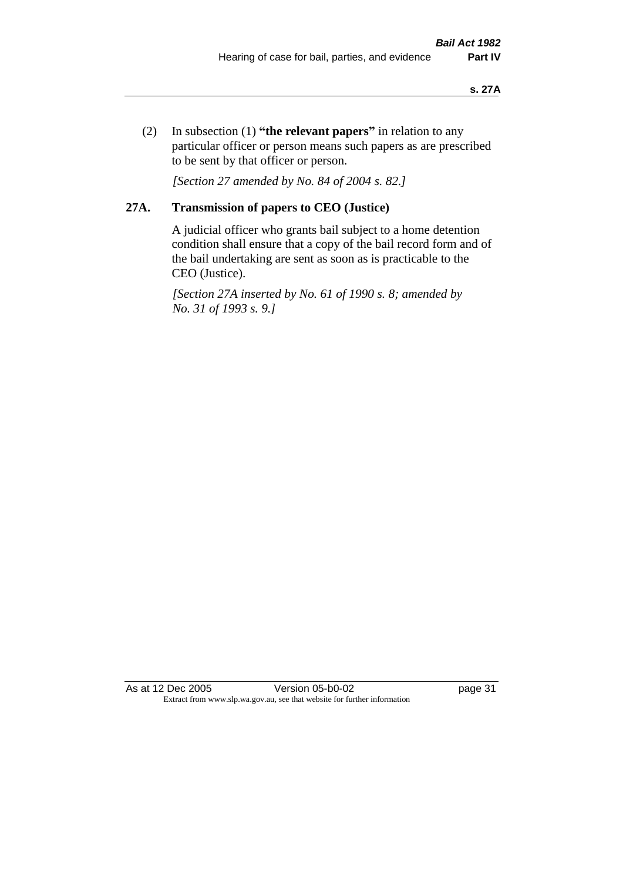(2) In subsection (1) **"the relevant papers"** in relation to any particular officer or person means such papers as are prescribed to be sent by that officer or person.

*[Section 27 amended by No. 84 of 2004 s. 82.]* 

# **27A. Transmission of papers to CEO (Justice)**

A judicial officer who grants bail subject to a home detention condition shall ensure that a copy of the bail record form and of the bail undertaking are sent as soon as is practicable to the CEO (Justice).

*[Section 27A inserted by No. 61 of 1990 s. 8; amended by No. 31 of 1993 s. 9.]* 

As at 12 Dec 2005 Version 05-b0-02 Page 31 Extract from www.slp.wa.gov.au, see that website for further information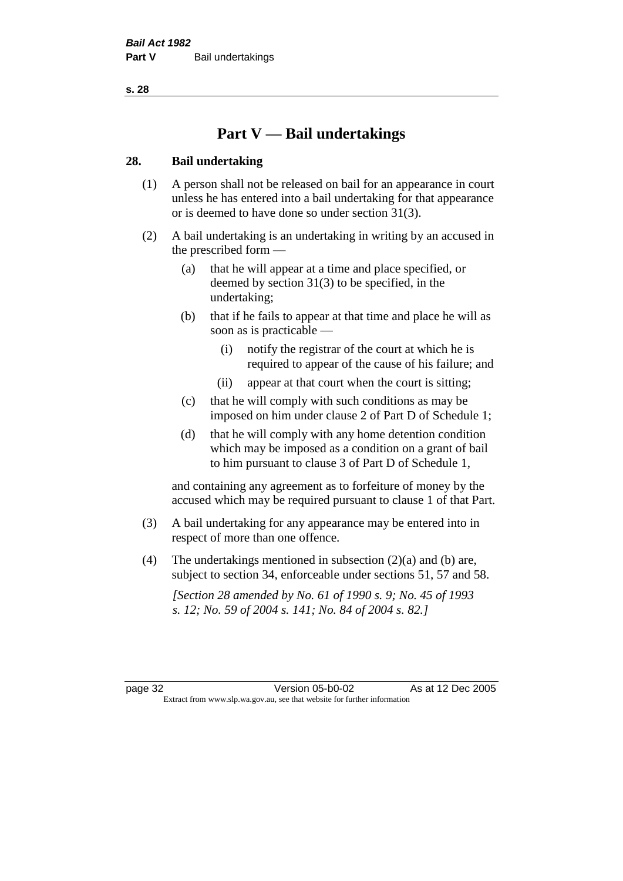**s. 28**

# **Part V — Bail undertakings**

## **28. Bail undertaking**

- (1) A person shall not be released on bail for an appearance in court unless he has entered into a bail undertaking for that appearance or is deemed to have done so under section 31(3).
- (2) A bail undertaking is an undertaking in writing by an accused in the prescribed form —
	- (a) that he will appear at a time and place specified, or deemed by section 31(3) to be specified, in the undertaking;
	- (b) that if he fails to appear at that time and place he will as soon as is practicable —
		- (i) notify the registrar of the court at which he is required to appear of the cause of his failure; and
		- (ii) appear at that court when the court is sitting;
	- (c) that he will comply with such conditions as may be imposed on him under clause 2 of Part D of Schedule 1;
	- (d) that he will comply with any home detention condition which may be imposed as a condition on a grant of bail to him pursuant to clause 3 of Part D of Schedule 1,

and containing any agreement as to forfeiture of money by the accused which may be required pursuant to clause 1 of that Part.

- (3) A bail undertaking for any appearance may be entered into in respect of more than one offence.
- (4) The undertakings mentioned in subsection  $(2)(a)$  and (b) are, subject to section 34, enforceable under sections 51, 57 and 58.

*[Section 28 amended by No. 61 of 1990 s. 9; No. 45 of 1993 s. 12; No. 59 of 2004 s. 141; No. 84 of 2004 s. 82.]* 

page 32 Version 05-b0-02 As at 12 Dec 2005 Extract from www.slp.wa.gov.au, see that website for further information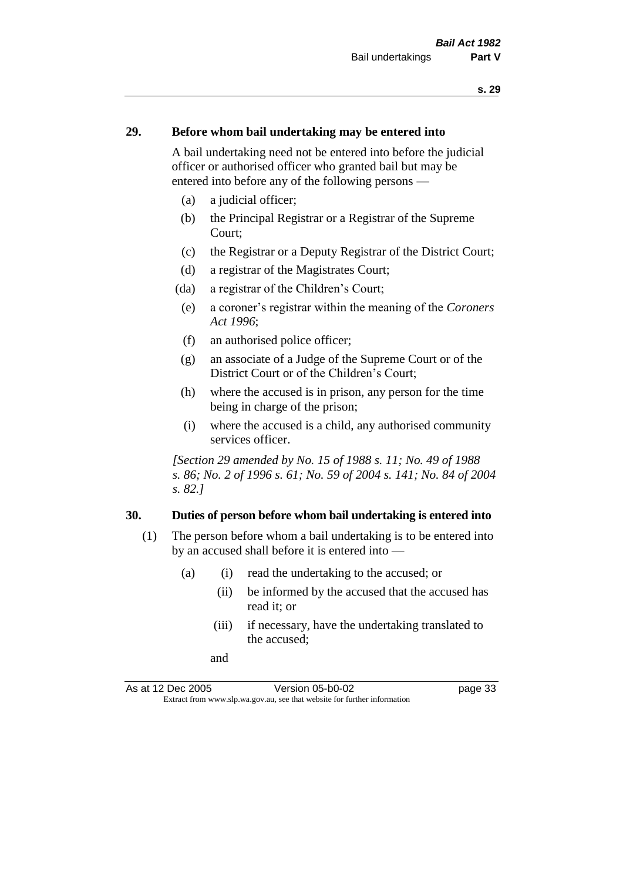### **29. Before whom bail undertaking may be entered into**

A bail undertaking need not be entered into before the judicial officer or authorised officer who granted bail but may be entered into before any of the following persons —

- (a) a judicial officer;
- (b) the Principal Registrar or a Registrar of the Supreme Court;
- (c) the Registrar or a Deputy Registrar of the District Court;
- (d) a registrar of the Magistrates Court;
- (da) a registrar of the Children's Court;
- (e) a coroner's registrar within the meaning of the *Coroners Act 1996*;
- (f) an authorised police officer;
- (g) an associate of a Judge of the Supreme Court or of the District Court or of the Children's Court;
- (h) where the accused is in prison, any person for the time being in charge of the prison;
- (i) where the accused is a child, any authorised community services officer.

*[Section 29 amended by No. 15 of 1988 s. 11; No. 49 of 1988 s. 86; No. 2 of 1996 s. 61; No. 59 of 2004 s. 141; No. 84 of 2004 s. 82.]* 

### **30. Duties of person before whom bail undertaking is entered into**

- (1) The person before whom a bail undertaking is to be entered into by an accused shall before it is entered into —
	- (a) (i) read the undertaking to the accused; or
		- (ii) be informed by the accused that the accused has read it; or
		- (iii) if necessary, have the undertaking translated to the accused;
		- and

As at 12 Dec 2005 Version 05-b0-02 page 33 Extract from www.slp.wa.gov.au, see that website for further information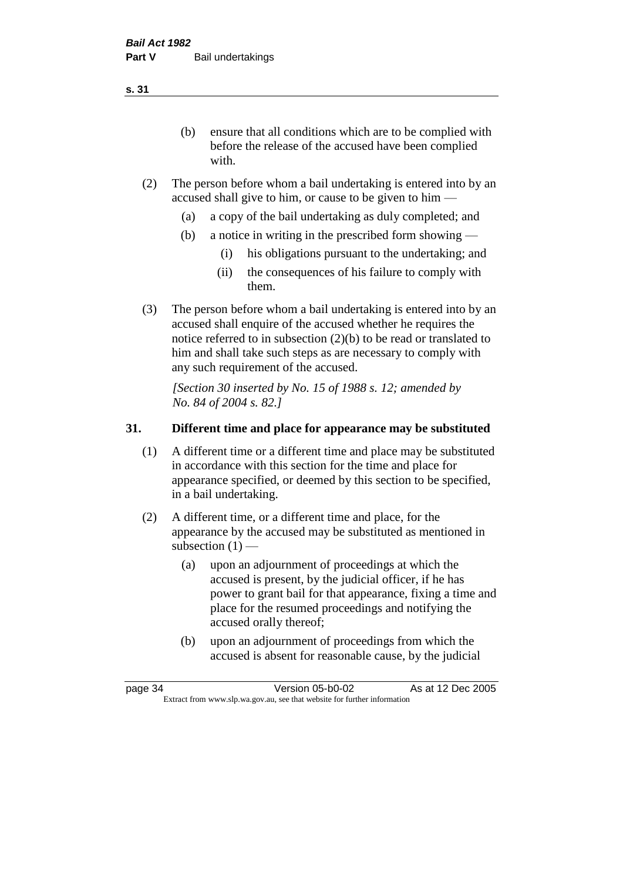(b) ensure that all conditions which are to be complied with before the release of the accused have been complied with.

- (2) The person before whom a bail undertaking is entered into by an accused shall give to him, or cause to be given to him —
	- (a) a copy of the bail undertaking as duly completed; and
	- (b) a notice in writing in the prescribed form showing
		- (i) his obligations pursuant to the undertaking; and
		- (ii) the consequences of his failure to comply with them.
- (3) The person before whom a bail undertaking is entered into by an accused shall enquire of the accused whether he requires the notice referred to in subsection (2)(b) to be read or translated to him and shall take such steps as are necessary to comply with any such requirement of the accused.

*[Section 30 inserted by No. 15 of 1988 s. 12; amended by No. 84 of 2004 s. 82.]* 

### **31. Different time and place for appearance may be substituted**

- (1) A different time or a different time and place may be substituted in accordance with this section for the time and place for appearance specified, or deemed by this section to be specified, in a bail undertaking.
- (2) A different time, or a different time and place, for the appearance by the accused may be substituted as mentioned in subsection  $(1)$  —
	- (a) upon an adjournment of proceedings at which the accused is present, by the judicial officer, if he has power to grant bail for that appearance, fixing a time and place for the resumed proceedings and notifying the accused orally thereof;
	- (b) upon an adjournment of proceedings from which the accused is absent for reasonable cause, by the judicial

page 34 Version 05-b0-02 As at 12 Dec 2005 Extract from www.slp.wa.gov.au, see that website for further information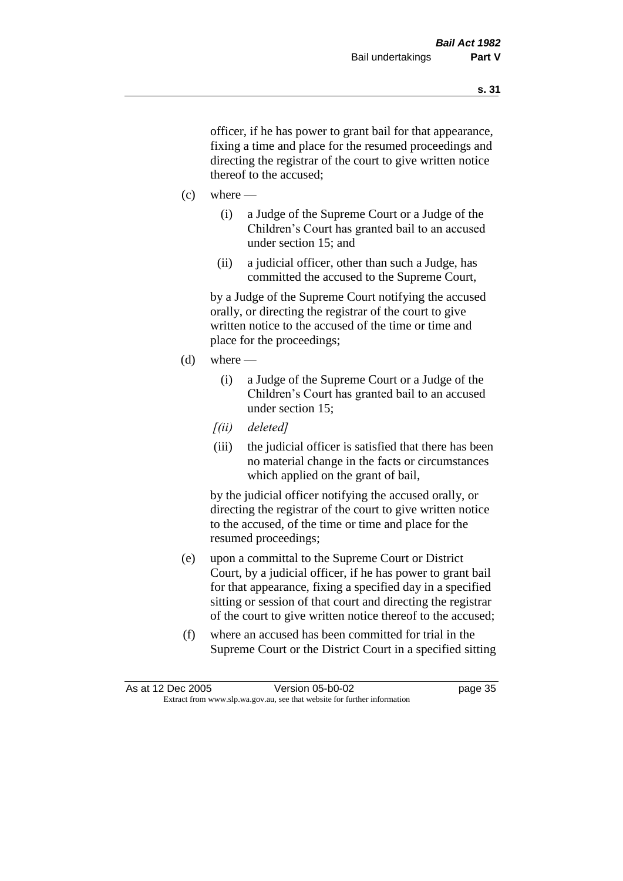officer, if he has power to grant bail for that appearance, fixing a time and place for the resumed proceedings and directing the registrar of the court to give written notice thereof to the accused;

- $(c)$  where
	- (i) a Judge of the Supreme Court or a Judge of the Children's Court has granted bail to an accused under section 15; and
	- (ii) a judicial officer, other than such a Judge, has committed the accused to the Supreme Court,

by a Judge of the Supreme Court notifying the accused orally, or directing the registrar of the court to give written notice to the accused of the time or time and place for the proceedings;

- $(d)$  where
	- (i) a Judge of the Supreme Court or a Judge of the Children's Court has granted bail to an accused under section 15;
	- *[(ii) deleted]*
	- (iii) the judicial officer is satisfied that there has been no material change in the facts or circumstances which applied on the grant of bail,

by the judicial officer notifying the accused orally, or directing the registrar of the court to give written notice to the accused, of the time or time and place for the resumed proceedings;

- (e) upon a committal to the Supreme Court or District Court, by a judicial officer, if he has power to grant bail for that appearance, fixing a specified day in a specified sitting or session of that court and directing the registrar of the court to give written notice thereof to the accused;
- (f) where an accused has been committed for trial in the Supreme Court or the District Court in a specified sitting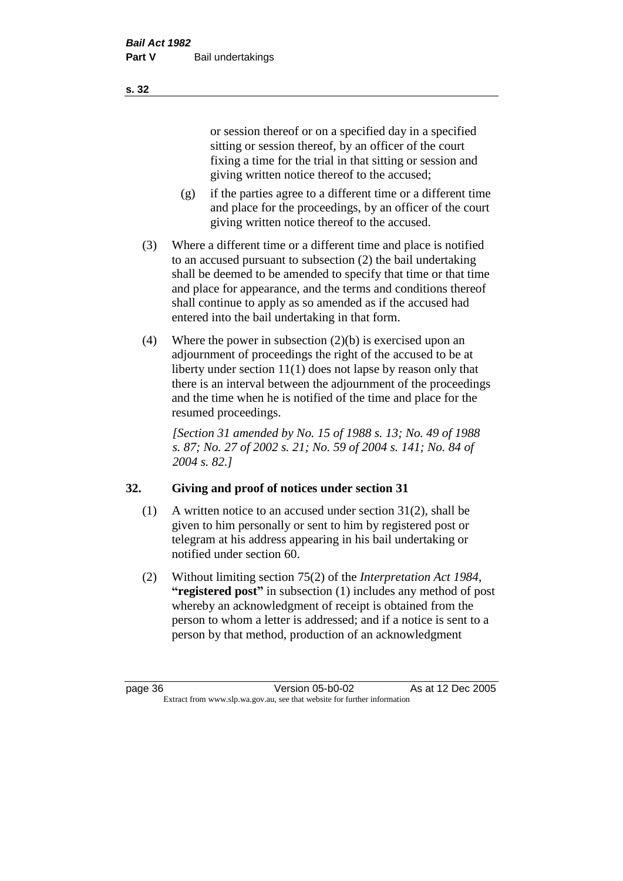or session thereof or on a specified day in a specified sitting or session thereof, by an officer of the court fixing a time for the trial in that sitting or session and giving written notice thereof to the accused;

- (g) if the parties agree to a different time or a different time and place for the proceedings, by an officer of the court giving written notice thereof to the accused.
- (3) Where a different time or a different time and place is notified to an accused pursuant to subsection (2) the bail undertaking shall be deemed to be amended to specify that time or that time and place for appearance, and the terms and conditions thereof shall continue to apply as so amended as if the accused had entered into the bail undertaking in that form.
- (4) Where the power in subsection (2)(b) is exercised upon an adjournment of proceedings the right of the accused to be at liberty under section 11(1) does not lapse by reason only that there is an interval between the adjournment of the proceedings and the time when he is notified of the time and place for the resumed proceedings.

*[Section 31 amended by No. 15 of 1988 s. 13; No. 49 of 1988 s. 87; No. 27 of 2002 s. 21; No. 59 of 2004 s. 141; No. 84 of 2004 s. 82.]* 

# **32. Giving and proof of notices under section 31**

- (1) A written notice to an accused under section 31(2), shall be given to him personally or sent to him by registered post or telegram at his address appearing in his bail undertaking or notified under section 60.
- (2) Without limiting section 75(2) of the *Interpretation Act 1984*, **"registered post"** in subsection (1) includes any method of post whereby an acknowledgment of receipt is obtained from the person to whom a letter is addressed; and if a notice is sent to a person by that method, production of an acknowledgment

page 36 Version 05-b0-02 As at 12 Dec 2005 Extract from www.slp.wa.gov.au, see that website for further information

**s. 32**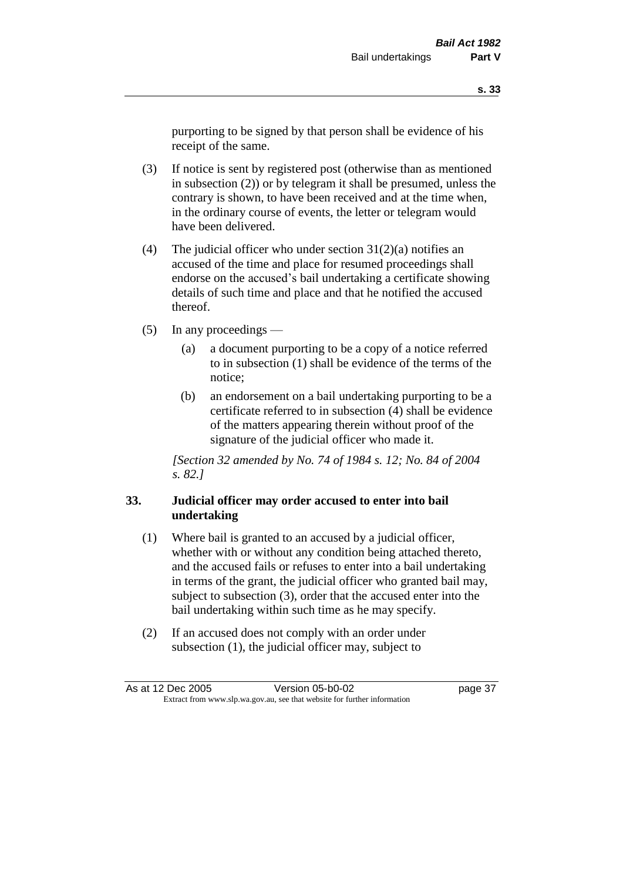purporting to be signed by that person shall be evidence of his receipt of the same.

- (3) If notice is sent by registered post (otherwise than as mentioned in subsection (2)) or by telegram it shall be presumed, unless the contrary is shown, to have been received and at the time when, in the ordinary course of events, the letter or telegram would have been delivered.
- (4) The judicial officer who under section  $31(2)(a)$  notifies an accused of the time and place for resumed proceedings shall endorse on the accused's bail undertaking a certificate showing details of such time and place and that he notified the accused thereof.
- (5) In any proceedings
	- (a) a document purporting to be a copy of a notice referred to in subsection (1) shall be evidence of the terms of the notice;
	- (b) an endorsement on a bail undertaking purporting to be a certificate referred to in subsection (4) shall be evidence of the matters appearing therein without proof of the signature of the judicial officer who made it.

*[Section 32 amended by No. 74 of 1984 s. 12; No. 84 of 2004 s. 82.]* 

### **33. Judicial officer may order accused to enter into bail undertaking**

- (1) Where bail is granted to an accused by a judicial officer, whether with or without any condition being attached thereto, and the accused fails or refuses to enter into a bail undertaking in terms of the grant, the judicial officer who granted bail may, subject to subsection (3), order that the accused enter into the bail undertaking within such time as he may specify.
- (2) If an accused does not comply with an order under subsection (1), the judicial officer may, subject to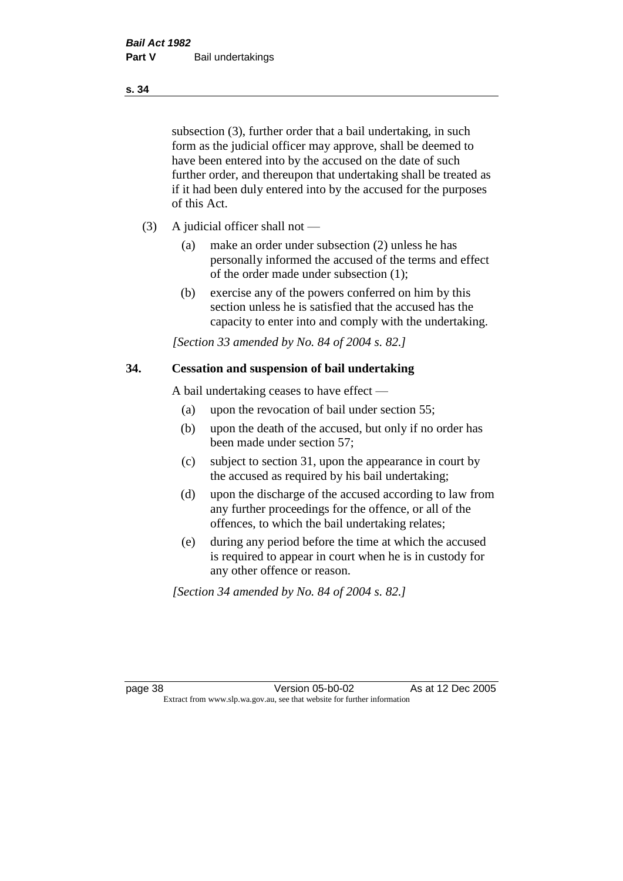subsection (3), further order that a bail undertaking, in such form as the judicial officer may approve, shall be deemed to have been entered into by the accused on the date of such further order, and thereupon that undertaking shall be treated as if it had been duly entered into by the accused for the purposes of this Act.

- (3) A judicial officer shall not
	- (a) make an order under subsection (2) unless he has personally informed the accused of the terms and effect of the order made under subsection (1);
	- (b) exercise any of the powers conferred on him by this section unless he is satisfied that the accused has the capacity to enter into and comply with the undertaking.

*[Section 33 amended by No. 84 of 2004 s. 82.]* 

### **34. Cessation and suspension of bail undertaking**

A bail undertaking ceases to have effect —

- (a) upon the revocation of bail under section 55;
- (b) upon the death of the accused, but only if no order has been made under section 57;
- (c) subject to section 31, upon the appearance in court by the accused as required by his bail undertaking;
- (d) upon the discharge of the accused according to law from any further proceedings for the offence, or all of the offences, to which the bail undertaking relates;
- (e) during any period before the time at which the accused is required to appear in court when he is in custody for any other offence or reason.

*[Section 34 amended by No. 84 of 2004 s. 82.]* 

page 38 Version 05-b0-02 As at 12 Dec 2005 Extract from www.slp.wa.gov.au, see that website for further information

#### **s. 34**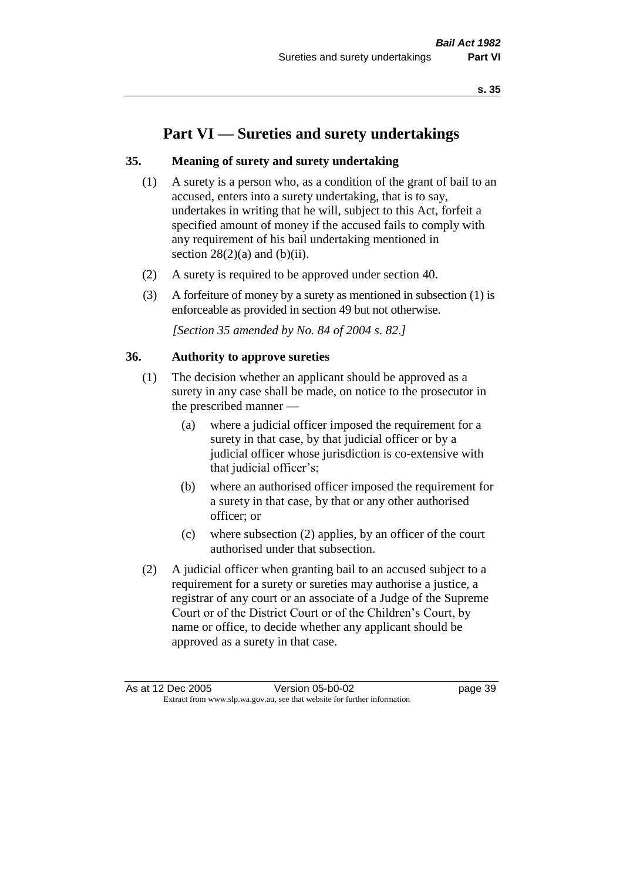# **Part VI — Sureties and surety undertakings**

### **35. Meaning of surety and surety undertaking**

- (1) A surety is a person who, as a condition of the grant of bail to an accused, enters into a surety undertaking, that is to say, undertakes in writing that he will, subject to this Act, forfeit a specified amount of money if the accused fails to comply with any requirement of his bail undertaking mentioned in section  $28(2)(a)$  and  $(b)(ii)$ .
- (2) A surety is required to be approved under section 40.
- (3) A forfeiture of money by a surety as mentioned in subsection (1) is enforceable as provided in section 49 but not otherwise.

*[Section 35 amended by No. 84 of 2004 s. 82.]* 

### **36. Authority to approve sureties**

- (1) The decision whether an applicant should be approved as a surety in any case shall be made, on notice to the prosecutor in the prescribed manner —
	- (a) where a judicial officer imposed the requirement for a surety in that case, by that judicial officer or by a judicial officer whose jurisdiction is co-extensive with that judicial officer's;
	- (b) where an authorised officer imposed the requirement for a surety in that case, by that or any other authorised officer; or
	- (c) where subsection (2) applies, by an officer of the court authorised under that subsection.
- (2) A judicial officer when granting bail to an accused subject to a requirement for a surety or sureties may authorise a justice, a registrar of any court or an associate of a Judge of the Supreme Court or of the District Court or of the Children's Court, by name or office, to decide whether any applicant should be approved as a surety in that case.

As at 12 Dec 2005 Version 05-b0-02 Page 39 Extract from www.slp.wa.gov.au, see that website for further information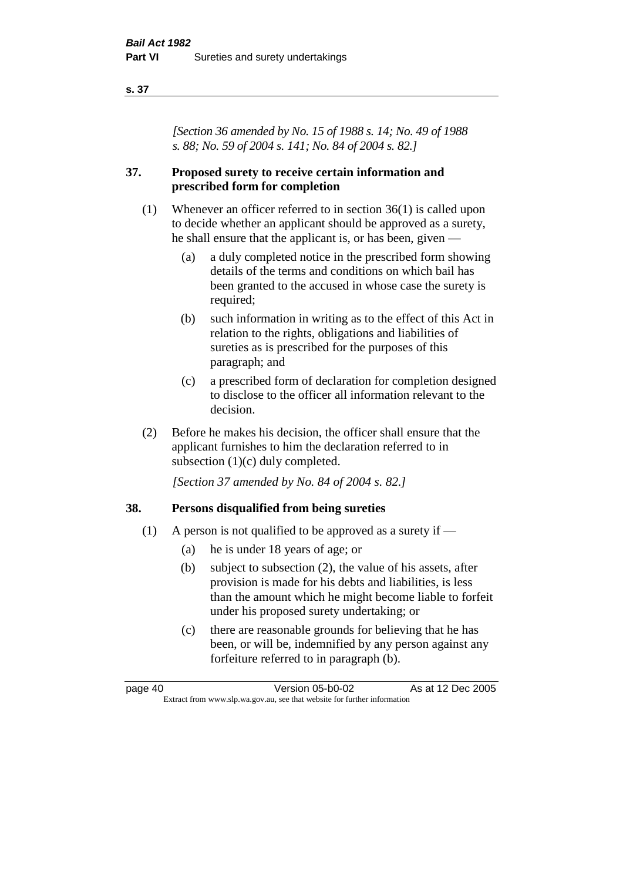### **s. 37**

*[Section 36 amended by No. 15 of 1988 s. 14; No. 49 of 1988 s. 88; No. 59 of 2004 s. 141; No. 84 of 2004 s. 82.]* 

### **37. Proposed surety to receive certain information and prescribed form for completion**

- (1) Whenever an officer referred to in section 36(1) is called upon to decide whether an applicant should be approved as a surety, he shall ensure that the applicant is, or has been, given —
	- (a) a duly completed notice in the prescribed form showing details of the terms and conditions on which bail has been granted to the accused in whose case the surety is required;
	- (b) such information in writing as to the effect of this Act in relation to the rights, obligations and liabilities of sureties as is prescribed for the purposes of this paragraph; and
	- (c) a prescribed form of declaration for completion designed to disclose to the officer all information relevant to the decision.
- (2) Before he makes his decision, the officer shall ensure that the applicant furnishes to him the declaration referred to in subsection (1)(c) duly completed.

*[Section 37 amended by No. 84 of 2004 s. 82.]* 

### **38. Persons disqualified from being sureties**

- (1) A person is not qualified to be approved as a surety if  $-$ 
	- (a) he is under 18 years of age; or
	- (b) subject to subsection (2), the value of his assets, after provision is made for his debts and liabilities, is less than the amount which he might become liable to forfeit under his proposed surety undertaking; or
	- (c) there are reasonable grounds for believing that he has been, or will be, indemnified by any person against any forfeiture referred to in paragraph (b).

page 40 Version 05-b0-02 As at 12 Dec 2005 Extract from www.slp.wa.gov.au, see that website for further information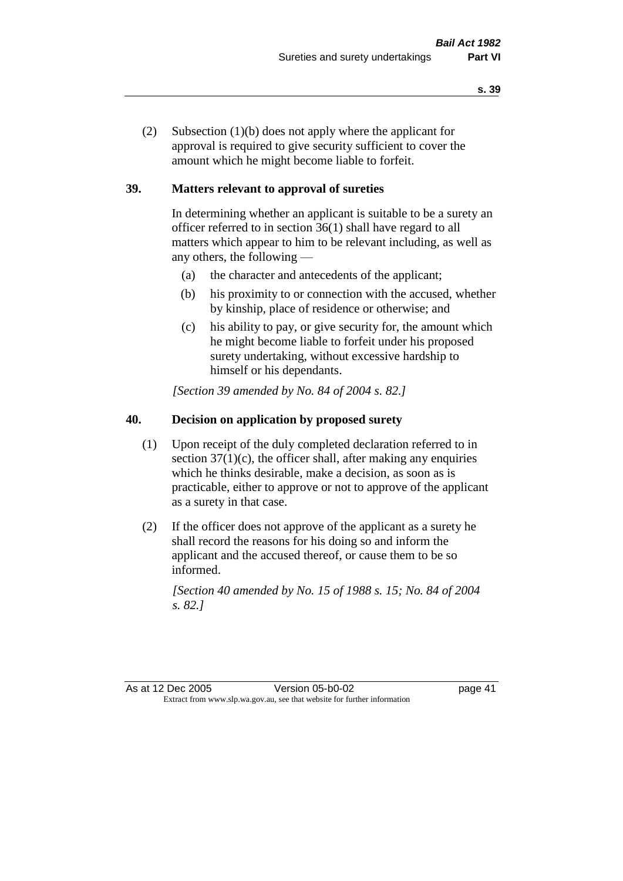(2) Subsection (1)(b) does not apply where the applicant for approval is required to give security sufficient to cover the amount which he might become liable to forfeit.

### **39. Matters relevant to approval of sureties**

In determining whether an applicant is suitable to be a surety an officer referred to in section 36(1) shall have regard to all matters which appear to him to be relevant including, as well as any others, the following —

- (a) the character and antecedents of the applicant;
- (b) his proximity to or connection with the accused, whether by kinship, place of residence or otherwise; and
- (c) his ability to pay, or give security for, the amount which he might become liable to forfeit under his proposed surety undertaking, without excessive hardship to himself or his dependants.

*[Section 39 amended by No. 84 of 2004 s. 82.]* 

# **40. Decision on application by proposed surety**

- (1) Upon receipt of the duly completed declaration referred to in section  $37(1)(c)$ , the officer shall, after making any enquiries which he thinks desirable, make a decision, as soon as is practicable, either to approve or not to approve of the applicant as a surety in that case.
- (2) If the officer does not approve of the applicant as a surety he shall record the reasons for his doing so and inform the applicant and the accused thereof, or cause them to be so informed.

*[Section 40 amended by No. 15 of 1988 s. 15; No. 84 of 2004 s. 82.]* 

As at 12 Dec 2005 Version 05-b0-02 page 41 Extract from www.slp.wa.gov.au, see that website for further information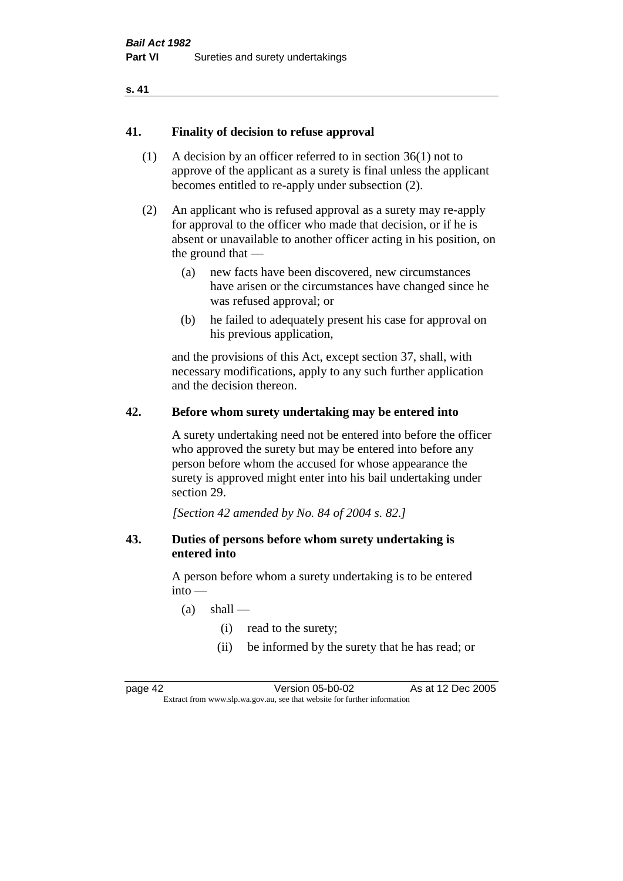### **s. 41**

### **41. Finality of decision to refuse approval**

- (1) A decision by an officer referred to in section 36(1) not to approve of the applicant as a surety is final unless the applicant becomes entitled to re-apply under subsection (2).
- (2) An applicant who is refused approval as a surety may re-apply for approval to the officer who made that decision, or if he is absent or unavailable to another officer acting in his position, on the ground that —
	- (a) new facts have been discovered, new circumstances have arisen or the circumstances have changed since he was refused approval; or
	- (b) he failed to adequately present his case for approval on his previous application,

and the provisions of this Act, except section 37, shall, with necessary modifications, apply to any such further application and the decision thereon.

### **42. Before whom surety undertaking may be entered into**

A surety undertaking need not be entered into before the officer who approved the surety but may be entered into before any person before whom the accused for whose appearance the surety is approved might enter into his bail undertaking under section 29.

*[Section 42 amended by No. 84 of 2004 s. 82.]* 

### **43. Duties of persons before whom surety undertaking is entered into**

A person before whom a surety undertaking is to be entered into —

- $(a)$  shall
	- (i) read to the surety;
	- (ii) be informed by the surety that he has read; or

page 42 Version 05-b0-02 As at 12 Dec 2005 Extract from www.slp.wa.gov.au, see that website for further information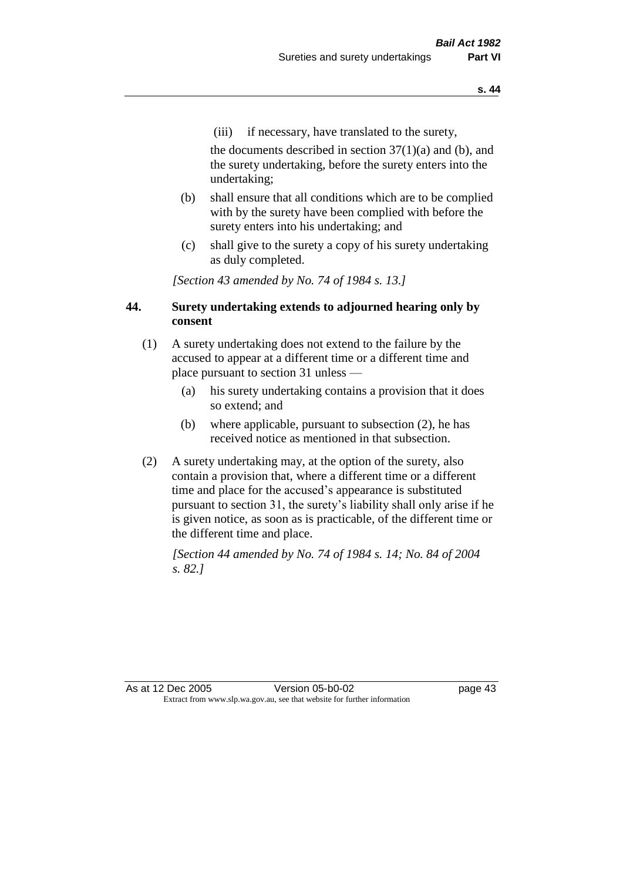(iii) if necessary, have translated to the surety,

the documents described in section  $37(1)(a)$  and (b), and the surety undertaking, before the surety enters into the undertaking;

- (b) shall ensure that all conditions which are to be complied with by the surety have been complied with before the surety enters into his undertaking; and
- (c) shall give to the surety a copy of his surety undertaking as duly completed.

*[Section 43 amended by No. 74 of 1984 s. 13.]* 

### **44. Surety undertaking extends to adjourned hearing only by consent**

- (1) A surety undertaking does not extend to the failure by the accused to appear at a different time or a different time and place pursuant to section 31 unless —
	- (a) his surety undertaking contains a provision that it does so extend; and
	- (b) where applicable, pursuant to subsection (2), he has received notice as mentioned in that subsection.
- (2) A surety undertaking may, at the option of the surety, also contain a provision that, where a different time or a different time and place for the accused's appearance is substituted pursuant to section 31, the surety's liability shall only arise if he is given notice, as soon as is practicable, of the different time or the different time and place.

*[Section 44 amended by No. 74 of 1984 s. 14; No. 84 of 2004 s. 82.]* 

As at 12 Dec 2005 Version 05-b0-02 page 43 Extract from www.slp.wa.gov.au, see that website for further information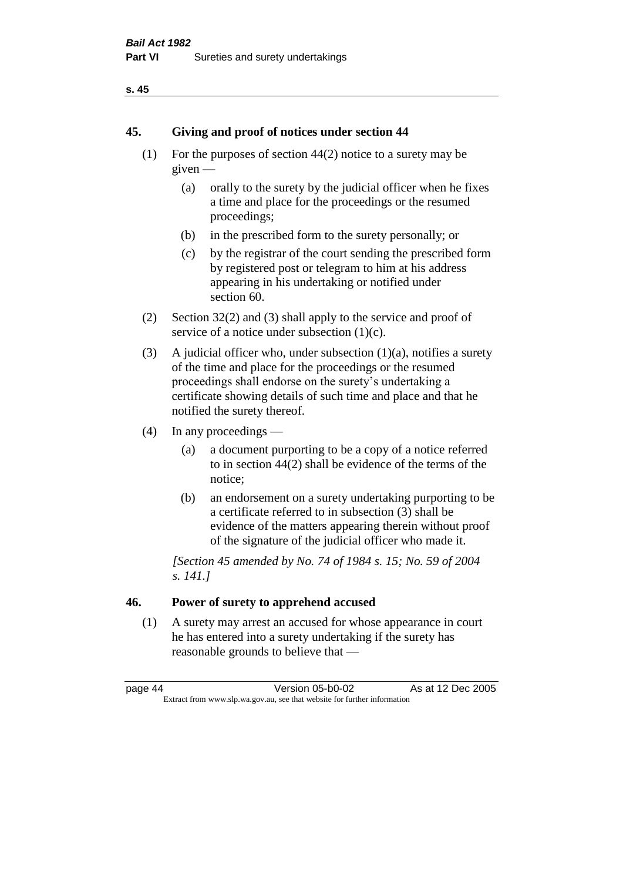### **s. 45**

### **45. Giving and proof of notices under section 44**

- (1) For the purposes of section 44(2) notice to a surety may be given —
	- (a) orally to the surety by the judicial officer when he fixes a time and place for the proceedings or the resumed proceedings;
	- (b) in the prescribed form to the surety personally; or
	- (c) by the registrar of the court sending the prescribed form by registered post or telegram to him at his address appearing in his undertaking or notified under section 60.
- (2) Section 32(2) and (3) shall apply to the service and proof of service of a notice under subsection  $(1)(c)$ .
- (3) A judicial officer who, under subsection  $(1)(a)$ , notifies a surety of the time and place for the proceedings or the resumed proceedings shall endorse on the surety's undertaking a certificate showing details of such time and place and that he notified the surety thereof.
- (4) In any proceedings
	- (a) a document purporting to be a copy of a notice referred to in section 44(2) shall be evidence of the terms of the notice;
	- (b) an endorsement on a surety undertaking purporting to be a certificate referred to in subsection (3) shall be evidence of the matters appearing therein without proof of the signature of the judicial officer who made it.

*[Section 45 amended by No. 74 of 1984 s. 15; No. 59 of 2004 s. 141.]* 

# **46. Power of surety to apprehend accused**

(1) A surety may arrest an accused for whose appearance in court he has entered into a surety undertaking if the surety has reasonable grounds to believe that —

page 44 Version 05-b0-02 As at 12 Dec 2005 Extract from www.slp.wa.gov.au, see that website for further information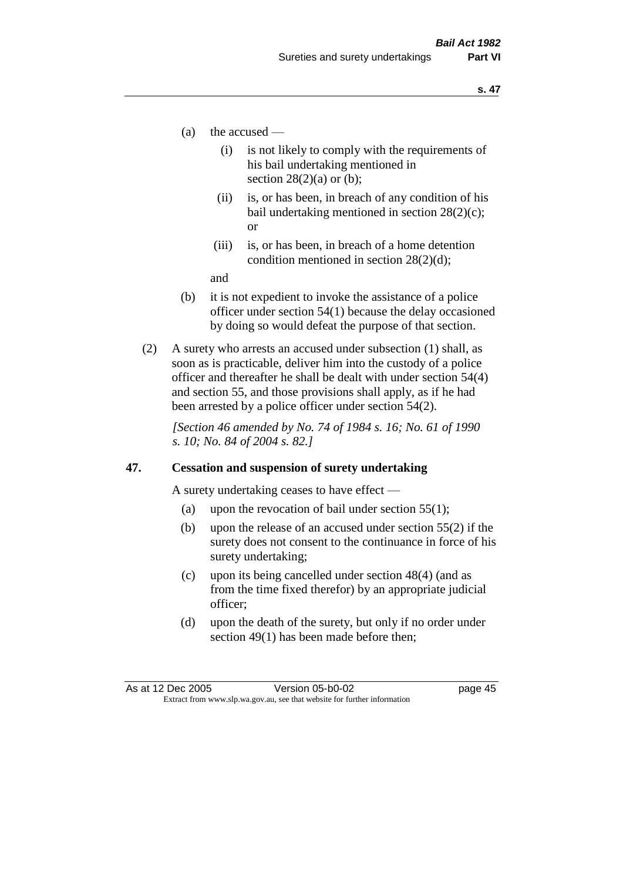- (a) the accused
	- (i) is not likely to comply with the requirements of his bail undertaking mentioned in section  $28(2)(a)$  or (b):
	- (ii) is, or has been, in breach of any condition of his bail undertaking mentioned in section 28(2)(c); or
	- (iii) is, or has been, in breach of a home detention condition mentioned in section 28(2)(d);

and

- (b) it is not expedient to invoke the assistance of a police officer under section 54(1) because the delay occasioned by doing so would defeat the purpose of that section.
- (2) A surety who arrests an accused under subsection (1) shall, as soon as is practicable, deliver him into the custody of a police officer and thereafter he shall be dealt with under section 54(4) and section 55, and those provisions shall apply, as if he had been arrested by a police officer under section 54(2).

*[Section 46 amended by No. 74 of 1984 s. 16; No. 61 of 1990 s. 10; No. 84 of 2004 s. 82.]* 

### **47. Cessation and suspension of surety undertaking**

A surety undertaking ceases to have effect —

- (a) upon the revocation of bail under section  $55(1)$ ;
- (b) upon the release of an accused under section 55(2) if the surety does not consent to the continuance in force of his surety undertaking;
- (c) upon its being cancelled under section 48(4) (and as from the time fixed therefor) by an appropriate judicial officer;
- (d) upon the death of the surety, but only if no order under section 49(1) has been made before then;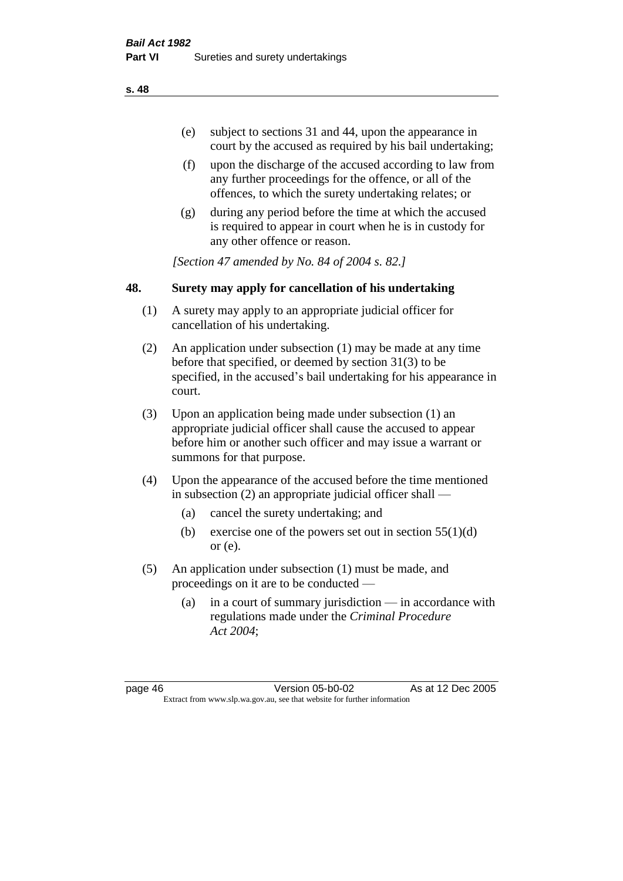- (e) subject to sections 31 and 44, upon the appearance in court by the accused as required by his bail undertaking;
- (f) upon the discharge of the accused according to law from any further proceedings for the offence, or all of the offences, to which the surety undertaking relates; or
- (g) during any period before the time at which the accused is required to appear in court when he is in custody for any other offence or reason.

*[Section 47 amended by No. 84 of 2004 s. 82.]* 

# **48. Surety may apply for cancellation of his undertaking**

- (1) A surety may apply to an appropriate judicial officer for cancellation of his undertaking.
- (2) An application under subsection (1) may be made at any time before that specified, or deemed by section 31(3) to be specified, in the accused's bail undertaking for his appearance in court.
- (3) Upon an application being made under subsection (1) an appropriate judicial officer shall cause the accused to appear before him or another such officer and may issue a warrant or summons for that purpose.
- (4) Upon the appearance of the accused before the time mentioned in subsection (2) an appropriate judicial officer shall —
	- (a) cancel the surety undertaking; and
	- (b) exercise one of the powers set out in section  $55(1)(d)$ or (e).
- (5) An application under subsection (1) must be made, and proceedings on it are to be conducted —
	- (a) in a court of summary jurisdiction in accordance with regulations made under the *Criminal Procedure Act 2004*;

page 46 Version 05-b0-02 As at 12 Dec 2005 Extract from www.slp.wa.gov.au, see that website for further information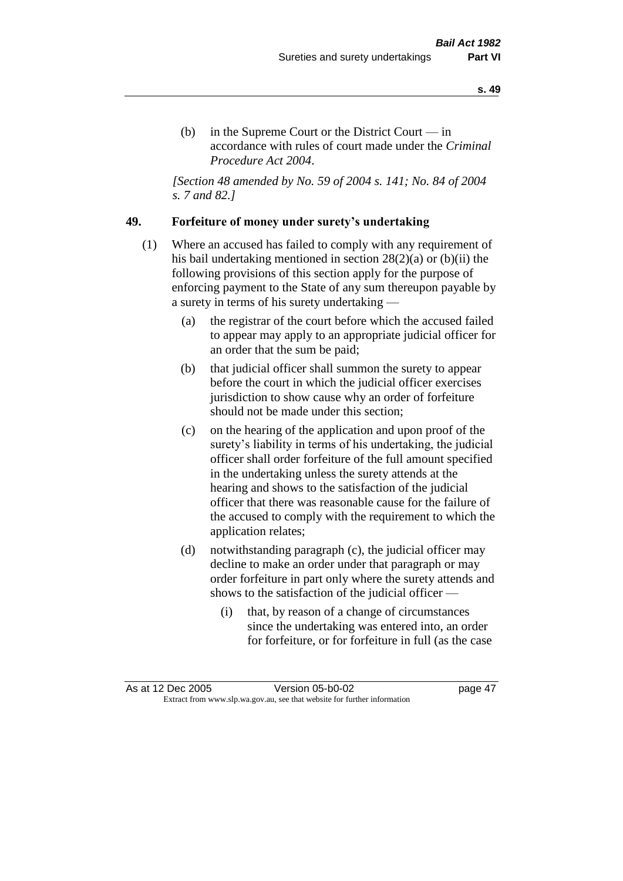(b) in the Supreme Court or the District Court  $-\text{in}$ accordance with rules of court made under the *Criminal Procedure Act 2004*.

*[Section 48 amended by No. 59 of 2004 s. 141; No. 84 of 2004 s. 7 and 82.]* 

### **49. Forfeiture of money under surety's undertaking**

- (1) Where an accused has failed to comply with any requirement of his bail undertaking mentioned in section 28(2)(a) or (b)(ii) the following provisions of this section apply for the purpose of enforcing payment to the State of any sum thereupon payable by a surety in terms of his surety undertaking —
	- (a) the registrar of the court before which the accused failed to appear may apply to an appropriate judicial officer for an order that the sum be paid;
	- (b) that judicial officer shall summon the surety to appear before the court in which the judicial officer exercises jurisdiction to show cause why an order of forfeiture should not be made under this section;
	- (c) on the hearing of the application and upon proof of the surety's liability in terms of his undertaking, the judicial officer shall order forfeiture of the full amount specified in the undertaking unless the surety attends at the hearing and shows to the satisfaction of the judicial officer that there was reasonable cause for the failure of the accused to comply with the requirement to which the application relates;
	- (d) notwithstanding paragraph (c), the judicial officer may decline to make an order under that paragraph or may order forfeiture in part only where the surety attends and shows to the satisfaction of the judicial officer —
		- (i) that, by reason of a change of circumstances since the undertaking was entered into, an order for forfeiture, or for forfeiture in full (as the case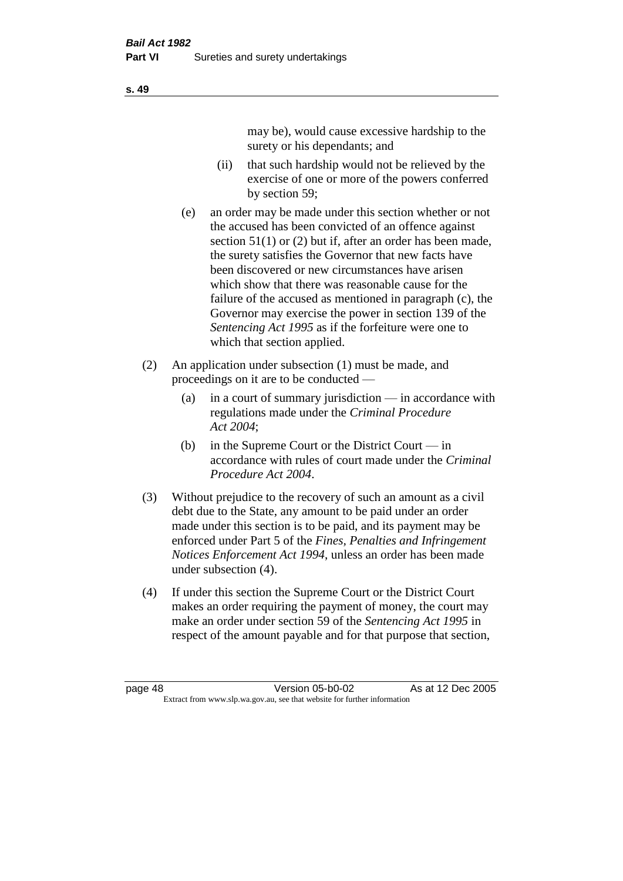may be), would cause excessive hardship to the surety or his dependants; and

- (ii) that such hardship would not be relieved by the exercise of one or more of the powers conferred by section 59;
- (e) an order may be made under this section whether or not the accused has been convicted of an offence against section 51(1) or (2) but if, after an order has been made, the surety satisfies the Governor that new facts have been discovered or new circumstances have arisen which show that there was reasonable cause for the failure of the accused as mentioned in paragraph (c), the Governor may exercise the power in section 139 of the *Sentencing Act 1995* as if the forfeiture were one to which that section applied.
- (2) An application under subsection (1) must be made, and proceedings on it are to be conducted —
	- (a) in a court of summary jurisdiction in accordance with regulations made under the *Criminal Procedure Act 2004*;
	- (b) in the Supreme Court or the District Court  $-\text{in}$ accordance with rules of court made under the *Criminal Procedure Act 2004*.
- (3) Without prejudice to the recovery of such an amount as a civil debt due to the State, any amount to be paid under an order made under this section is to be paid, and its payment may be enforced under Part 5 of the *Fines, Penalties and Infringement Notices Enforcement Act 1994*, unless an order has been made under subsection (4).
- (4) If under this section the Supreme Court or the District Court makes an order requiring the payment of money, the court may make an order under section 59 of the *Sentencing Act 1995* in respect of the amount payable and for that purpose that section,

page 48 Version 05-b0-02 As at 12 Dec 2005 Extract from www.slp.wa.gov.au, see that website for further information

**s. 49**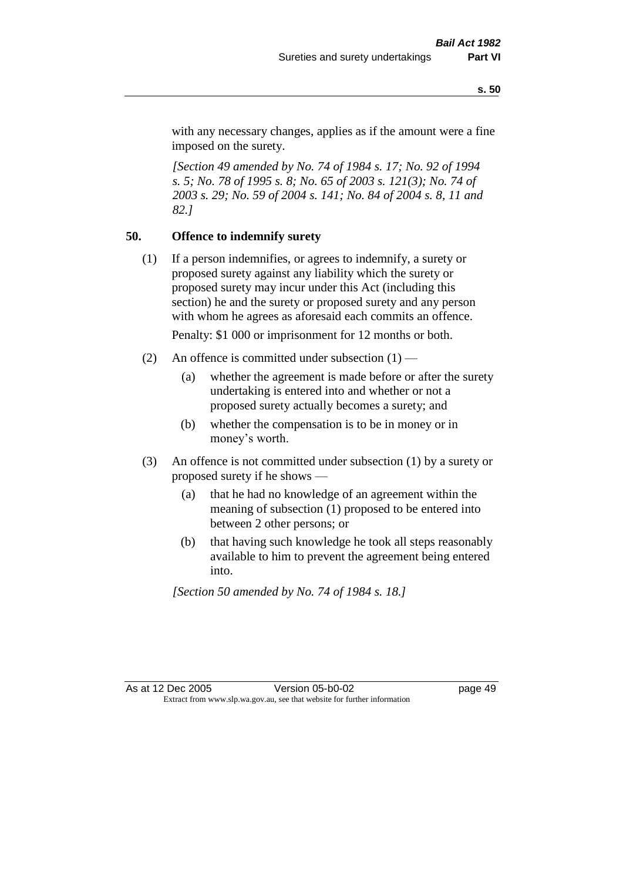with any necessary changes, applies as if the amount were a fine imposed on the surety.

*[Section 49 amended by No. 74 of 1984 s. 17; No. 92 of 1994 s. 5; No. 78 of 1995 s. 8; No. 65 of 2003 s. 121(3); No. 74 of 2003 s. 29; No. 59 of 2004 s. 141; No. 84 of 2004 s. 8, 11 and 82.]* 

### **50. Offence to indemnify surety**

(1) If a person indemnifies, or agrees to indemnify, a surety or proposed surety against any liability which the surety or proposed surety may incur under this Act (including this section) he and the surety or proposed surety and any person with whom he agrees as aforesaid each commits an offence.

Penalty: \$1 000 or imprisonment for 12 months or both.

- (2) An offence is committed under subsection  $(1)$ 
	- (a) whether the agreement is made before or after the surety undertaking is entered into and whether or not a proposed surety actually becomes a surety; and
	- (b) whether the compensation is to be in money or in money's worth.
- (3) An offence is not committed under subsection (1) by a surety or proposed surety if he shows —
	- (a) that he had no knowledge of an agreement within the meaning of subsection (1) proposed to be entered into between 2 other persons; or
	- (b) that having such knowledge he took all steps reasonably available to him to prevent the agreement being entered into.

*[Section 50 amended by No. 74 of 1984 s. 18.]*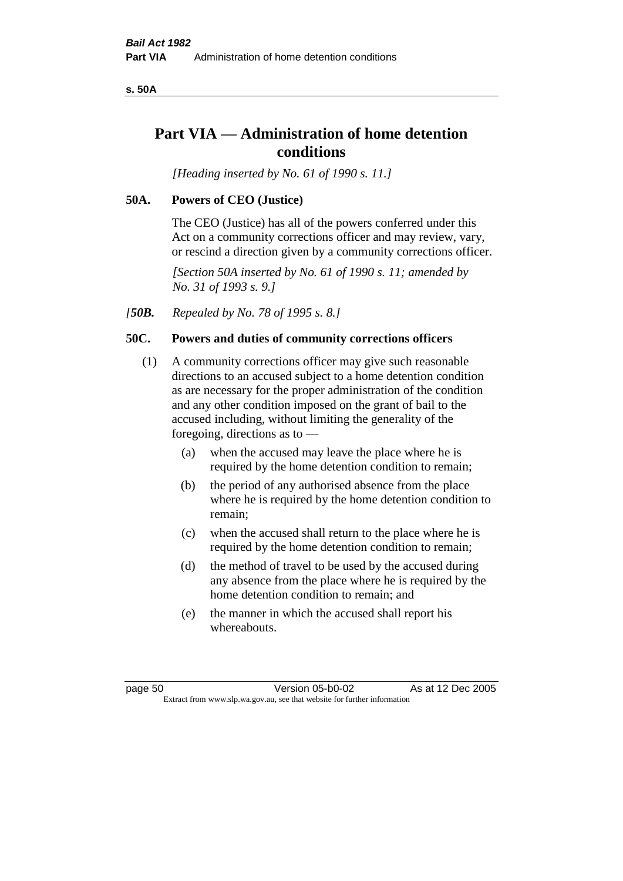**s. 50A**

# **Part VIA — Administration of home detention conditions**

*[Heading inserted by No. 61 of 1990 s. 11.]* 

## **50A. Powers of CEO (Justice)**

The CEO (Justice) has all of the powers conferred under this Act on a community corrections officer and may review, vary, or rescind a direction given by a community corrections officer.

*[Section 50A inserted by No. 61 of 1990 s. 11; amended by No. 31 of 1993 s. 9.]* 

*[50B. Repealed by No. 78 of 1995 s. 8.]* 

### **50C. Powers and duties of community corrections officers**

- (1) A community corrections officer may give such reasonable directions to an accused subject to a home detention condition as are necessary for the proper administration of the condition and any other condition imposed on the grant of bail to the accused including, without limiting the generality of the foregoing, directions as to —
	- (a) when the accused may leave the place where he is required by the home detention condition to remain;
	- (b) the period of any authorised absence from the place where he is required by the home detention condition to remain;
	- (c) when the accused shall return to the place where he is required by the home detention condition to remain;
	- (d) the method of travel to be used by the accused during any absence from the place where he is required by the home detention condition to remain; and
	- (e) the manner in which the accused shall report his whereabouts.

page 50 Version 05-b0-02 As at 12 Dec 2005 Extract from www.slp.wa.gov.au, see that website for further information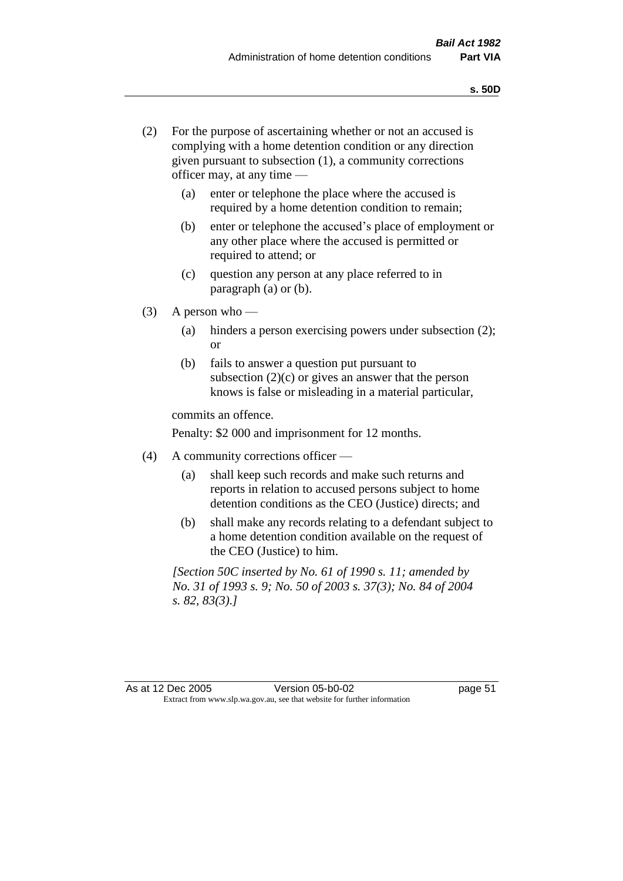- (2) For the purpose of ascertaining whether or not an accused is complying with a home detention condition or any direction given pursuant to subsection (1), a community corrections officer may, at any time —
	- (a) enter or telephone the place where the accused is required by a home detention condition to remain;
	- (b) enter or telephone the accused's place of employment or any other place where the accused is permitted or required to attend; or
	- (c) question any person at any place referred to in paragraph (a) or (b).
- $(3)$  A person who
	- (a) hinders a person exercising powers under subsection (2); or
	- (b) fails to answer a question put pursuant to subsection  $(2)(c)$  or gives an answer that the person knows is false or misleading in a material particular,

commits an offence.

Penalty: \$2 000 and imprisonment for 12 months.

- (4) A community corrections officer
	- (a) shall keep such records and make such returns and reports in relation to accused persons subject to home detention conditions as the CEO (Justice) directs; and
	- (b) shall make any records relating to a defendant subject to a home detention condition available on the request of the CEO (Justice) to him.

*[Section 50C inserted by No. 61 of 1990 s. 11; amended by No. 31 of 1993 s. 9; No. 50 of 2003 s. 37(3); No. 84 of 2004 s. 82, 83(3).]*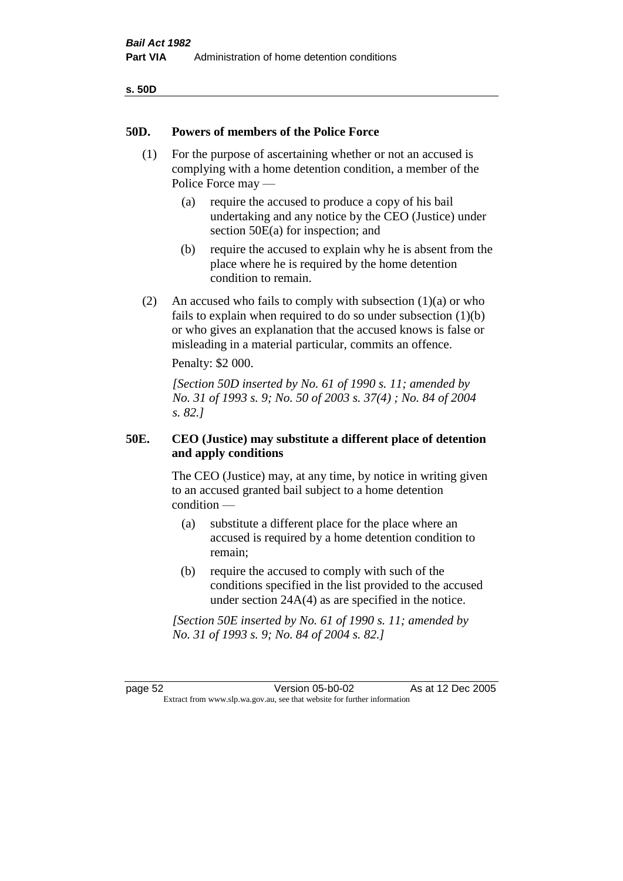| v<br>۰,<br>٠<br>۰.<br>× |  |
|-------------------------|--|
|-------------------------|--|

### **50D. Powers of members of the Police Force**

- (1) For the purpose of ascertaining whether or not an accused is complying with a home detention condition, a member of the Police Force may —
	- (a) require the accused to produce a copy of his bail undertaking and any notice by the CEO (Justice) under section 50E(a) for inspection; and
	- (b) require the accused to explain why he is absent from the place where he is required by the home detention condition to remain.
- (2) An accused who fails to comply with subsection  $(1)(a)$  or who fails to explain when required to do so under subsection (1)(b) or who gives an explanation that the accused knows is false or misleading in a material particular, commits an offence.

Penalty: \$2 000.

*[Section 50D inserted by No. 61 of 1990 s. 11; amended by No. 31 of 1993 s. 9; No. 50 of 2003 s. 37(4) ; No. 84 of 2004 s. 82.]* 

# **50E. CEO (Justice) may substitute a different place of detention and apply conditions**

The CEO (Justice) may, at any time, by notice in writing given to an accused granted bail subject to a home detention condition —

- (a) substitute a different place for the place where an accused is required by a home detention condition to remain;
- (b) require the accused to comply with such of the conditions specified in the list provided to the accused under section 24A(4) as are specified in the notice.

*[Section 50E inserted by No. 61 of 1990 s. 11; amended by No. 31 of 1993 s. 9; No. 84 of 2004 s. 82.]* 

page 52 Version 05-b0-02 As at 12 Dec 2005 Extract from www.slp.wa.gov.au, see that website for further information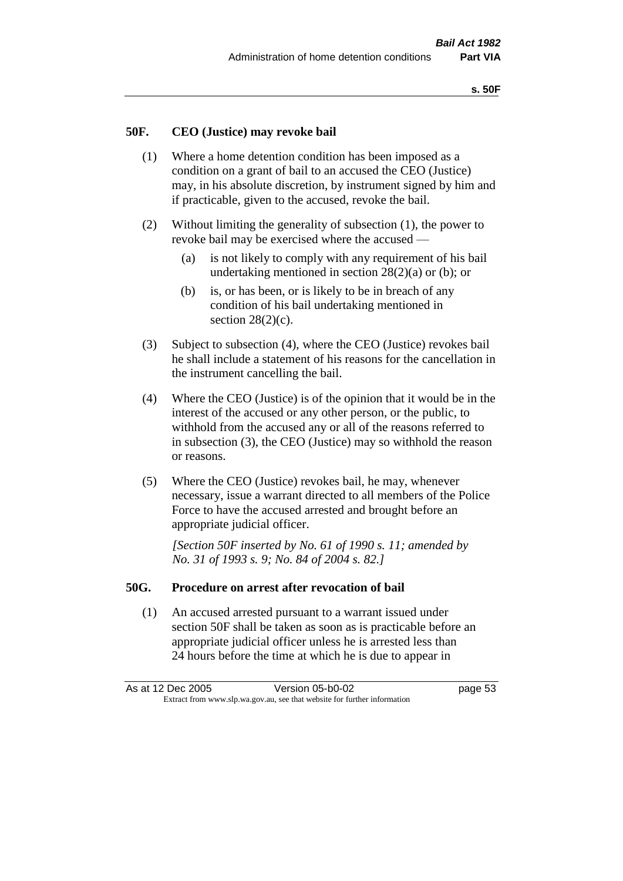### **50F. CEO (Justice) may revoke bail**

- (1) Where a home detention condition has been imposed as a condition on a grant of bail to an accused the CEO (Justice) may, in his absolute discretion, by instrument signed by him and if practicable, given to the accused, revoke the bail.
- (2) Without limiting the generality of subsection (1), the power to revoke bail may be exercised where the accused —
	- (a) is not likely to comply with any requirement of his bail undertaking mentioned in section  $28(2)(a)$  or (b); or
	- (b) is, or has been, or is likely to be in breach of any condition of his bail undertaking mentioned in section  $28(2)(c)$ .
- (3) Subject to subsection (4), where the CEO (Justice) revokes bail he shall include a statement of his reasons for the cancellation in the instrument cancelling the bail.
- (4) Where the CEO (Justice) is of the opinion that it would be in the interest of the accused or any other person, or the public, to withhold from the accused any or all of the reasons referred to in subsection (3), the CEO (Justice) may so withhold the reason or reasons.
- (5) Where the CEO (Justice) revokes bail, he may, whenever necessary, issue a warrant directed to all members of the Police Force to have the accused arrested and brought before an appropriate judicial officer.

*[Section 50F inserted by No. 61 of 1990 s. 11; amended by No. 31 of 1993 s. 9; No. 84 of 2004 s. 82.]* 

#### **50G. Procedure on arrest after revocation of bail**

(1) An accused arrested pursuant to a warrant issued under section 50F shall be taken as soon as is practicable before an appropriate judicial officer unless he is arrested less than 24 hours before the time at which he is due to appear in

As at 12 Dec 2005 Version 05-b0-02 page 53 Extract from www.slp.wa.gov.au, see that website for further information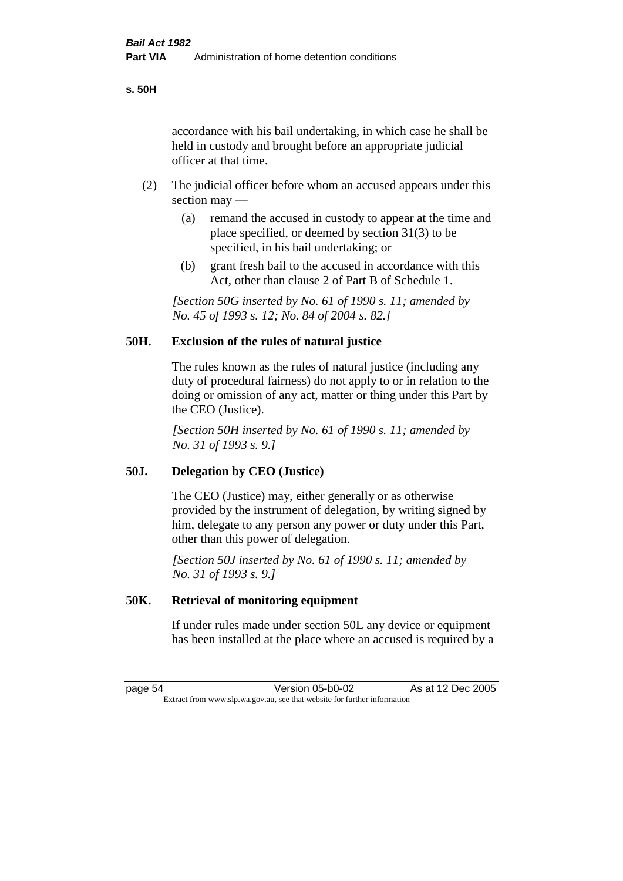accordance with his bail undertaking, in which case he shall be held in custody and brought before an appropriate judicial officer at that time.

- (2) The judicial officer before whom an accused appears under this section may —
	- (a) remand the accused in custody to appear at the time and place specified, or deemed by section 31(3) to be specified, in his bail undertaking; or
	- (b) grant fresh bail to the accused in accordance with this Act, other than clause 2 of Part B of Schedule 1.

*[Section 50G inserted by No. 61 of 1990 s. 11; amended by No. 45 of 1993 s. 12; No. 84 of 2004 s. 82.]* 

# **50H. Exclusion of the rules of natural justice**

The rules known as the rules of natural justice (including any duty of procedural fairness) do not apply to or in relation to the doing or omission of any act, matter or thing under this Part by the CEO (Justice).

*[Section 50H inserted by No. 61 of 1990 s. 11; amended by No. 31 of 1993 s. 9.]* 

### **50J. Delegation by CEO (Justice)**

The CEO (Justice) may, either generally or as otherwise provided by the instrument of delegation, by writing signed by him, delegate to any person any power or duty under this Part, other than this power of delegation.

*[Section 50J inserted by No. 61 of 1990 s. 11; amended by No. 31 of 1993 s. 9.]* 

### **50K. Retrieval of monitoring equipment**

If under rules made under section 50L any device or equipment has been installed at the place where an accused is required by a

page 54 Version 05-b0-02 As at 12 Dec 2005 Extract from www.slp.wa.gov.au, see that website for further information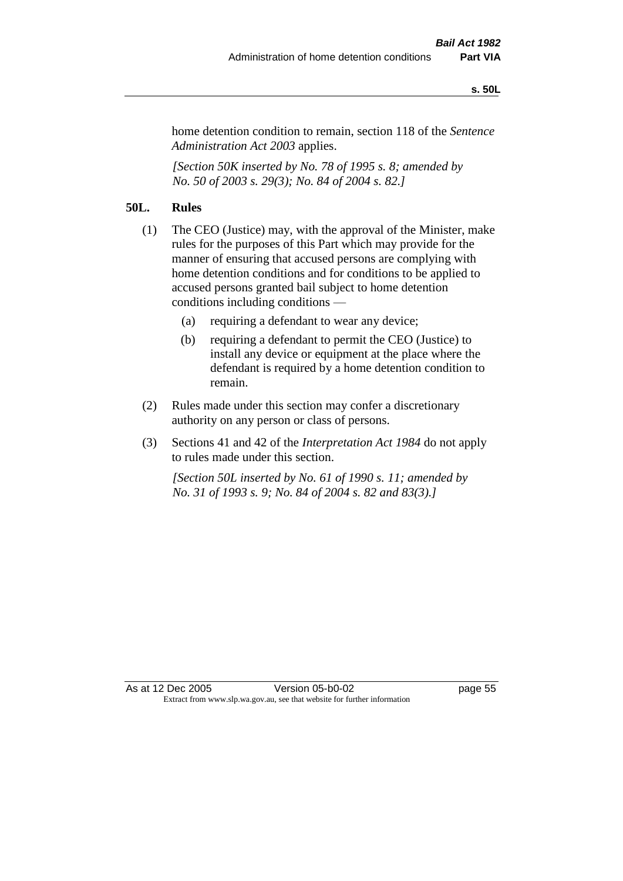#### **s. 50L**

home detention condition to remain, section 118 of the *Sentence Administration Act 2003* applies.

*[Section 50K inserted by No. 78 of 1995 s. 8; amended by No. 50 of 2003 s. 29(3); No. 84 of 2004 s. 82.]* 

# **50L. Rules**

- (1) The CEO (Justice) may, with the approval of the Minister, make rules for the purposes of this Part which may provide for the manner of ensuring that accused persons are complying with home detention conditions and for conditions to be applied to accused persons granted bail subject to home detention conditions including conditions —
	- (a) requiring a defendant to wear any device;
	- (b) requiring a defendant to permit the CEO (Justice) to install any device or equipment at the place where the defendant is required by a home detention condition to remain.
- (2) Rules made under this section may confer a discretionary authority on any person or class of persons.
- (3) Sections 41 and 42 of the *Interpretation Act 1984* do not apply to rules made under this section.

*[Section 50L inserted by No. 61 of 1990 s. 11; amended by No. 31 of 1993 s. 9; No. 84 of 2004 s. 82 and 83(3).]*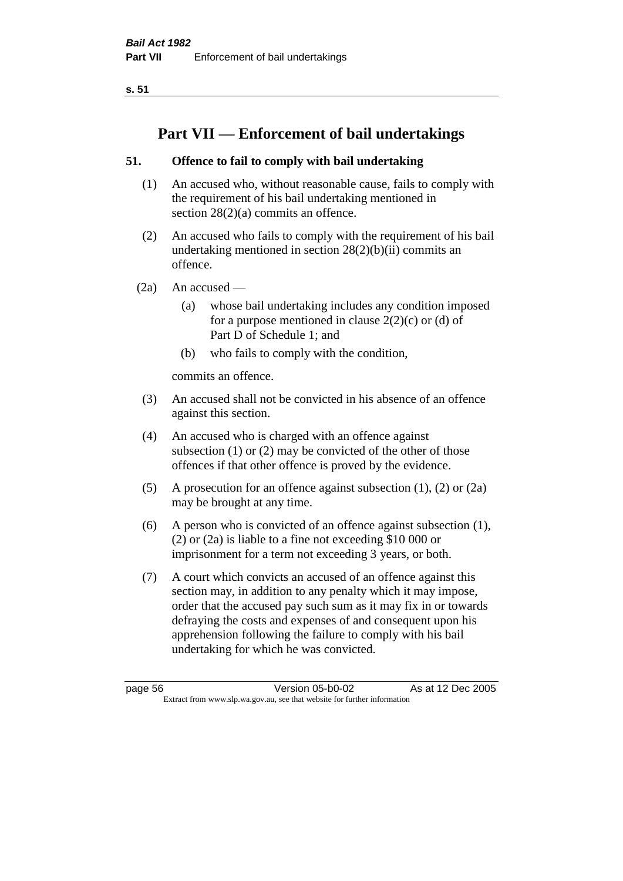**s. 51**

# **Part VII — Enforcement of bail undertakings**

# **51. Offence to fail to comply with bail undertaking**

- (1) An accused who, without reasonable cause, fails to comply with the requirement of his bail undertaking mentioned in section 28(2)(a) commits an offence.
- (2) An accused who fails to comply with the requirement of his bail undertaking mentioned in section  $28(2)(b)(ii)$  commits an offence.
- $(2a)$  An accused
	- (a) whose bail undertaking includes any condition imposed for a purpose mentioned in clause  $2(2)(c)$  or (d) of Part D of Schedule 1; and
	- (b) who fails to comply with the condition,

commits an offence.

- (3) An accused shall not be convicted in his absence of an offence against this section.
- (4) An accused who is charged with an offence against subsection (1) or (2) may be convicted of the other of those offences if that other offence is proved by the evidence.
- (5) A prosecution for an offence against subsection (1), (2) or (2a) may be brought at any time.
- (6) A person who is convicted of an offence against subsection (1), (2) or (2a) is liable to a fine not exceeding \$10 000 or imprisonment for a term not exceeding 3 years, or both.
- (7) A court which convicts an accused of an offence against this section may, in addition to any penalty which it may impose, order that the accused pay such sum as it may fix in or towards defraying the costs and expenses of and consequent upon his apprehension following the failure to comply with his bail undertaking for which he was convicted.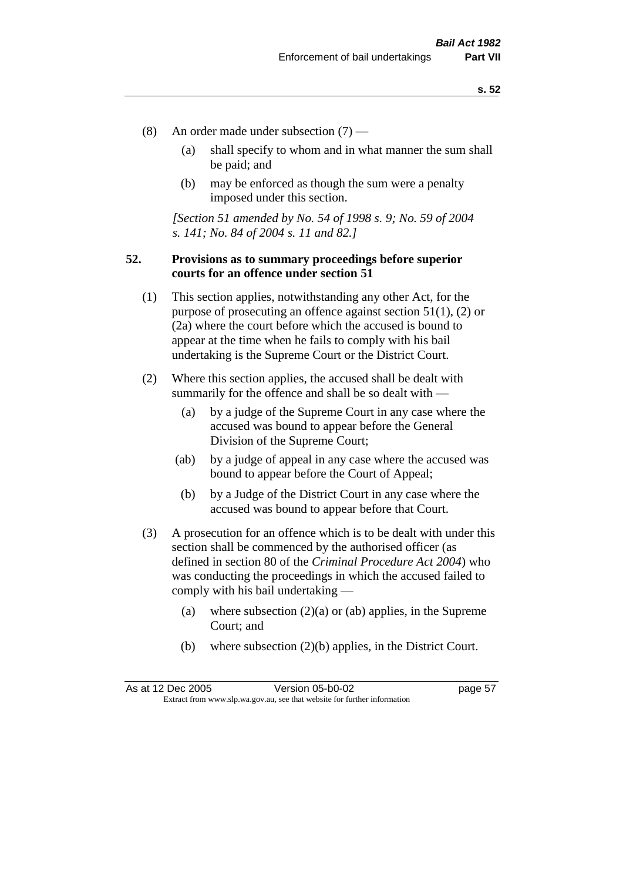- (8) An order made under subsection (7)
	- (a) shall specify to whom and in what manner the sum shall be paid; and
	- (b) may be enforced as though the sum were a penalty imposed under this section.

*[Section 51 amended by No. 54 of 1998 s. 9; No. 59 of 2004 s. 141; No. 84 of 2004 s. 11 and 82.]*

### **52. Provisions as to summary proceedings before superior courts for an offence under section 51**

- (1) This section applies, notwithstanding any other Act, for the purpose of prosecuting an offence against section 51(1), (2) or (2a) where the court before which the accused is bound to appear at the time when he fails to comply with his bail undertaking is the Supreme Court or the District Court.
- (2) Where this section applies, the accused shall be dealt with summarily for the offence and shall be so dealt with —
	- (a) by a judge of the Supreme Court in any case where the accused was bound to appear before the General Division of the Supreme Court;
	- (ab) by a judge of appeal in any case where the accused was bound to appear before the Court of Appeal;
	- (b) by a Judge of the District Court in any case where the accused was bound to appear before that Court.
- (3) A prosecution for an offence which is to be dealt with under this section shall be commenced by the authorised officer (as defined in section 80 of the *Criminal Procedure Act 2004*) who was conducting the proceedings in which the accused failed to comply with his bail undertaking —
	- (a) where subsection  $(2)(a)$  or (ab) applies, in the Supreme Court; and
	- (b) where subsection (2)(b) applies, in the District Court.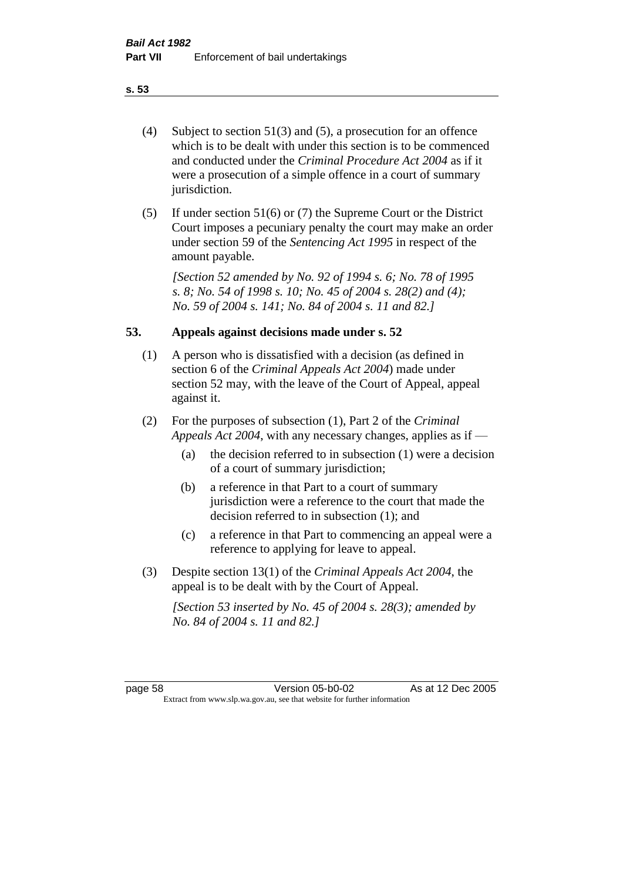- (4) Subject to section 51(3) and (5), a prosecution for an offence which is to be dealt with under this section is to be commenced and conducted under the *Criminal Procedure Act 2004* as if it were a prosecution of a simple offence in a court of summary jurisdiction.
- (5) If under section 51(6) or (7) the Supreme Court or the District Court imposes a pecuniary penalty the court may make an order under section 59 of the *Sentencing Act 1995* in respect of the amount payable.

*[Section 52 amended by No. 92 of 1994 s. 6; No. 78 of 1995 s. 8; No. 54 of 1998 s. 10; No. 45 of 2004 s. 28(2) and (4); No. 59 of 2004 s. 141; No. 84 of 2004 s. 11 and 82.]* 

### **53. Appeals against decisions made under s. 52**

- (1) A person who is dissatisfied with a decision (as defined in section 6 of the *Criminal Appeals Act 2004*) made under section 52 may, with the leave of the Court of Appeal, appeal against it.
- (2) For the purposes of subsection (1), Part 2 of the *Criminal Appeals Act 2004*, with any necessary changes, applies as if —
	- (a) the decision referred to in subsection (1) were a decision of a court of summary jurisdiction;
	- (b) a reference in that Part to a court of summary jurisdiction were a reference to the court that made the decision referred to in subsection (1); and
	- (c) a reference in that Part to commencing an appeal were a reference to applying for leave to appeal.
- (3) Despite section 13(1) of the *Criminal Appeals Act 2004*, the appeal is to be dealt with by the Court of Appeal.

*[Section 53 inserted by No. 45 of 2004 s. 28(3); amended by No. 84 of 2004 s. 11 and 82.]*

page 58 Version 05-b0-02 As at 12 Dec 2005 Extract from www.slp.wa.gov.au, see that website for further information

### **s. 53**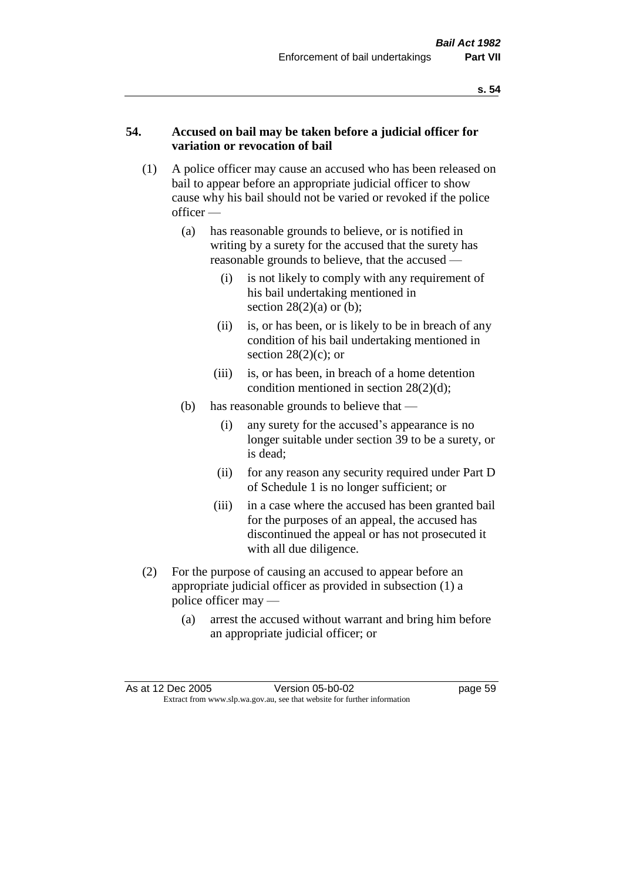### **54. Accused on bail may be taken before a judicial officer for variation or revocation of bail**

- (1) A police officer may cause an accused who has been released on bail to appear before an appropriate judicial officer to show cause why his bail should not be varied or revoked if the police officer —
	- (a) has reasonable grounds to believe, or is notified in writing by a surety for the accused that the surety has reasonable grounds to believe, that the accused —
		- (i) is not likely to comply with any requirement of his bail undertaking mentioned in section  $28(2)(a)$  or (b);
		- (ii) is, or has been, or is likely to be in breach of any condition of his bail undertaking mentioned in section  $28(2)(c)$ ; or
		- (iii) is, or has been, in breach of a home detention condition mentioned in section 28(2)(d);
	- (b) has reasonable grounds to believe that
		- (i) any surety for the accused's appearance is no longer suitable under section 39 to be a surety, or is dead;
		- (ii) for any reason any security required under Part D of Schedule 1 is no longer sufficient; or
		- (iii) in a case where the accused has been granted bail for the purposes of an appeal, the accused has discontinued the appeal or has not prosecuted it with all due diligence.
- (2) For the purpose of causing an accused to appear before an appropriate judicial officer as provided in subsection (1) a police officer may —
	- (a) arrest the accused without warrant and bring him before an appropriate judicial officer; or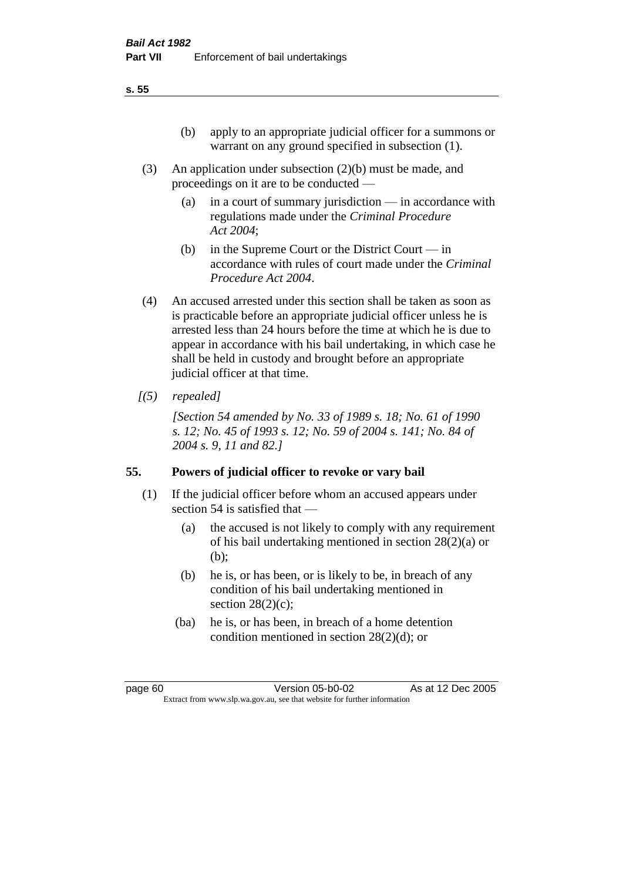- (3) An application under subsection (2)(b) must be made, and proceedings on it are to be conducted —
	- (a) in a court of summary jurisdiction in accordance with regulations made under the *Criminal Procedure Act 2004*;
	- (b) in the Supreme Court or the District Court  $-\text{in}$ accordance with rules of court made under the *Criminal Procedure Act 2004*.
- (4) An accused arrested under this section shall be taken as soon as is practicable before an appropriate judicial officer unless he is arrested less than 24 hours before the time at which he is due to appear in accordance with his bail undertaking, in which case he shall be held in custody and brought before an appropriate judicial officer at that time.
- *[(5) repealed]*

*[Section 54 amended by No. 33 of 1989 s. 18; No. 61 of 1990 s. 12; No. 45 of 1993 s. 12; No. 59 of 2004 s. 141; No. 84 of 2004 s. 9, 11 and 82.]* 

# **55. Powers of judicial officer to revoke or vary bail**

- (1) If the judicial officer before whom an accused appears under section 54 is satisfied that —
	- (a) the accused is not likely to comply with any requirement of his bail undertaking mentioned in section 28(2)(a) or (b);
	- (b) he is, or has been, or is likely to be, in breach of any condition of his bail undertaking mentioned in section  $28(2)(c)$ ;
	- (ba) he is, or has been, in breach of a home detention condition mentioned in section 28(2)(d); or

**s. 55**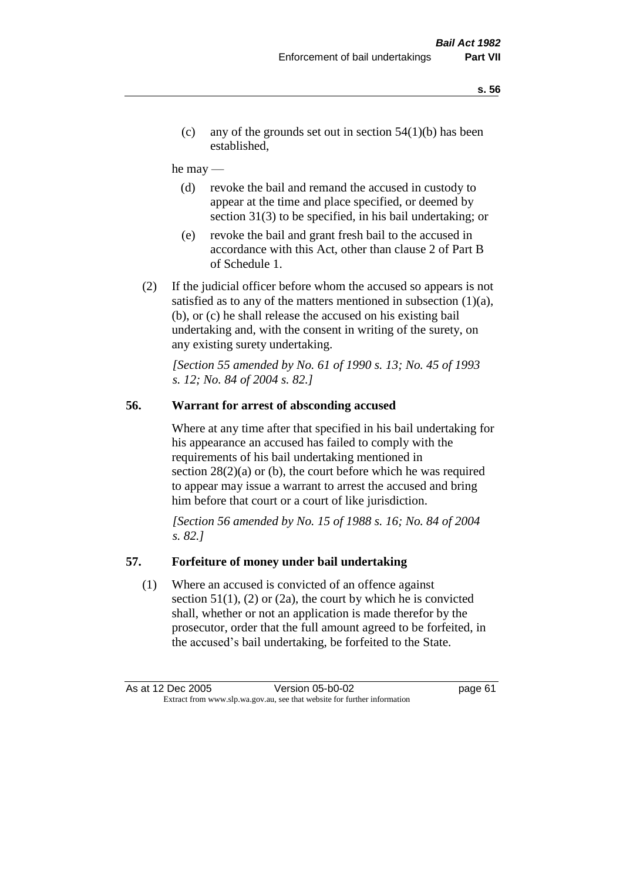(c) any of the grounds set out in section  $54(1)(b)$  has been established,

### he may —

- (d) revoke the bail and remand the accused in custody to appear at the time and place specified, or deemed by section 31(3) to be specified, in his bail undertaking; or
- (e) revoke the bail and grant fresh bail to the accused in accordance with this Act, other than clause 2 of Part B of Schedule 1.
- (2) If the judicial officer before whom the accused so appears is not satisfied as to any of the matters mentioned in subsection  $(1)(a)$ , (b), or (c) he shall release the accused on his existing bail undertaking and, with the consent in writing of the surety, on any existing surety undertaking.

*[Section 55 amended by No. 61 of 1990 s. 13; No. 45 of 1993 s. 12; No. 84 of 2004 s. 82.]* 

### **56. Warrant for arrest of absconding accused**

Where at any time after that specified in his bail undertaking for his appearance an accused has failed to comply with the requirements of his bail undertaking mentioned in section  $28(2)(a)$  or (b), the court before which he was required to appear may issue a warrant to arrest the accused and bring him before that court or a court of like jurisdiction.

*[Section 56 amended by No. 15 of 1988 s. 16; No. 84 of 2004 s. 82.]* 

### **57. Forfeiture of money under bail undertaking**

(1) Where an accused is convicted of an offence against section  $51(1)$ ,  $(2)$  or  $(2a)$ , the court by which he is convicted shall, whether or not an application is made therefor by the prosecutor, order that the full amount agreed to be forfeited, in the accused's bail undertaking, be forfeited to the State.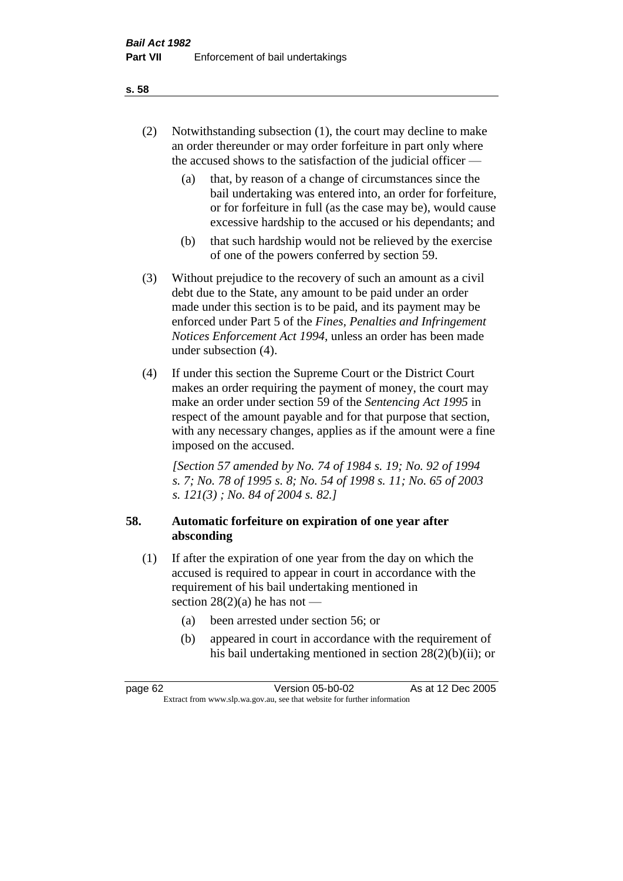- (2) Notwithstanding subsection (1), the court may decline to make an order thereunder or may order forfeiture in part only where the accused shows to the satisfaction of the judicial officer —
	- (a) that, by reason of a change of circumstances since the bail undertaking was entered into, an order for forfeiture, or for forfeiture in full (as the case may be), would cause excessive hardship to the accused or his dependants; and
	- (b) that such hardship would not be relieved by the exercise of one of the powers conferred by section 59.
- (3) Without prejudice to the recovery of such an amount as a civil debt due to the State, any amount to be paid under an order made under this section is to be paid, and its payment may be enforced under Part 5 of the *Fines, Penalties and Infringement Notices Enforcement Act 1994*, unless an order has been made under subsection (4).
- (4) If under this section the Supreme Court or the District Court makes an order requiring the payment of money, the court may make an order under section 59 of the *Sentencing Act 1995* in respect of the amount payable and for that purpose that section, with any necessary changes, applies as if the amount were a fine imposed on the accused.

*[Section 57 amended by No. 74 of 1984 s. 19; No. 92 of 1994 s. 7; No. 78 of 1995 s. 8; No. 54 of 1998 s. 11; No. 65 of 2003 s. 121(3) ; No. 84 of 2004 s. 82.]* 

# **58. Automatic forfeiture on expiration of one year after absconding**

- (1) If after the expiration of one year from the day on which the accused is required to appear in court in accordance with the requirement of his bail undertaking mentioned in section  $28(2)(a)$  he has not —
	- (a) been arrested under section 56; or
	- (b) appeared in court in accordance with the requirement of his bail undertaking mentioned in section 28(2)(b)(ii); or

| page 62                                                                  | Version 05-b0-02 | As at 12 Dec 2005 |
|--------------------------------------------------------------------------|------------------|-------------------|
| Extract from www.slp.wa.gov.au, see that website for further information |                  |                   |

### **s. 58**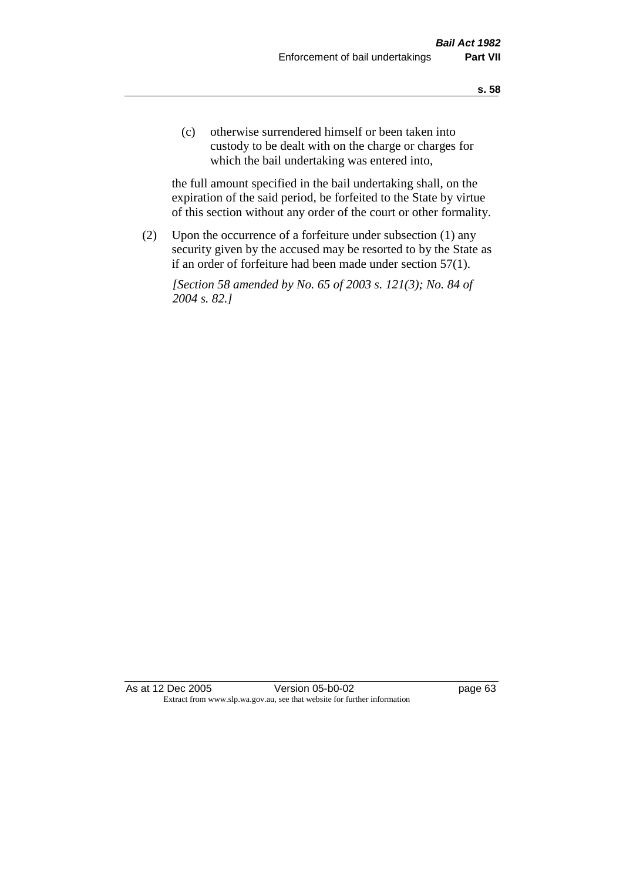(c) otherwise surrendered himself or been taken into custody to be dealt with on the charge or charges for which the bail undertaking was entered into,

the full amount specified in the bail undertaking shall, on the expiration of the said period, be forfeited to the State by virtue of this section without any order of the court or other formality.

(2) Upon the occurrence of a forfeiture under subsection (1) any security given by the accused may be resorted to by the State as if an order of forfeiture had been made under section 57(1).

*[Section 58 amended by No. 65 of 2003 s. 121(3); No. 84 of 2004 s. 82.]*

As at 12 Dec 2005 Version 05-b0-02 page 63 Extract from www.slp.wa.gov.au, see that website for further information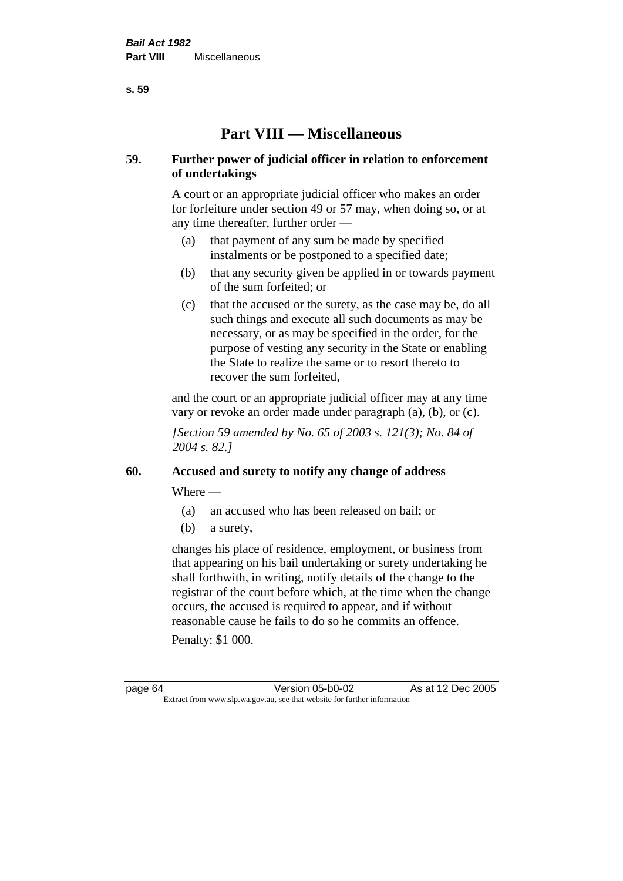**s. 59**

# **Part VIII — Miscellaneous**

# **59. Further power of judicial officer in relation to enforcement of undertakings**

A court or an appropriate judicial officer who makes an order for forfeiture under section 49 or 57 may, when doing so, or at any time thereafter, further order —

- (a) that payment of any sum be made by specified instalments or be postponed to a specified date;
- (b) that any security given be applied in or towards payment of the sum forfeited; or
- (c) that the accused or the surety, as the case may be, do all such things and execute all such documents as may be necessary, or as may be specified in the order, for the purpose of vesting any security in the State or enabling the State to realize the same or to resort thereto to recover the sum forfeited,

and the court or an appropriate judicial officer may at any time vary or revoke an order made under paragraph (a), (b), or (c).

*[Section 59 amended by No. 65 of 2003 s. 121(3); No. 84 of 2004 s. 82.]*

# **60. Accused and surety to notify any change of address**

Where —

- (a) an accused who has been released on bail; or
- (b) a surety,

changes his place of residence, employment, or business from that appearing on his bail undertaking or surety undertaking he shall forthwith, in writing, notify details of the change to the registrar of the court before which, at the time when the change occurs, the accused is required to appear, and if without reasonable cause he fails to do so he commits an offence.

Penalty: \$1 000.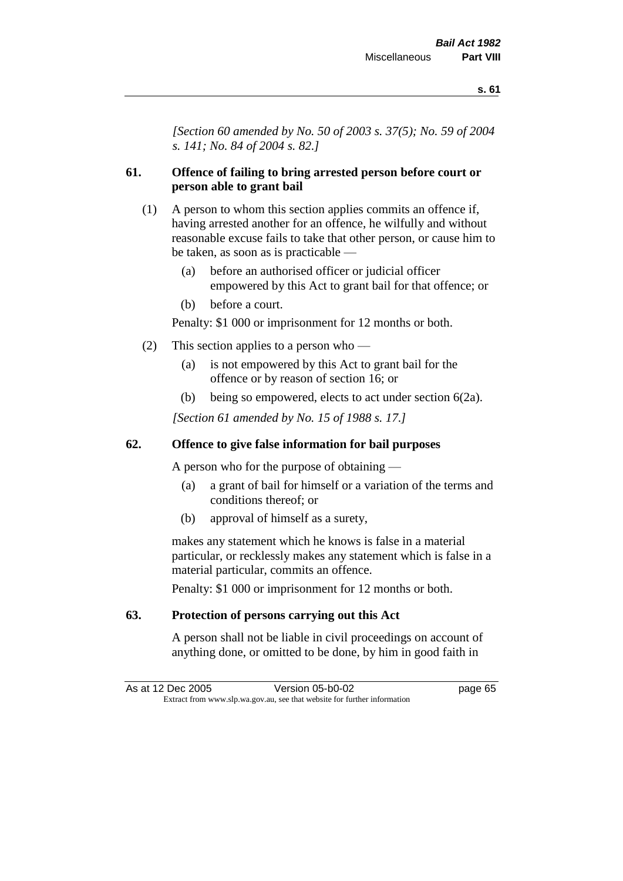*[Section 60 amended by No. 50 of 2003 s. 37(5); No. 59 of 2004 s. 141; No. 84 of 2004 s. 82.]*

# **61. Offence of failing to bring arrested person before court or person able to grant bail**

- (1) A person to whom this section applies commits an offence if, having arrested another for an offence, he wilfully and without reasonable excuse fails to take that other person, or cause him to be taken, as soon as is practicable —
	- (a) before an authorised officer or judicial officer empowered by this Act to grant bail for that offence; or
	- (b) before a court.

Penalty: \$1 000 or imprisonment for 12 months or both.

- (2) This section applies to a person who
	- (a) is not empowered by this Act to grant bail for the offence or by reason of section 16; or
	- (b) being so empowered, elects to act under section 6(2a).

*[Section 61 amended by No. 15 of 1988 s. 17.]* 

# **62. Offence to give false information for bail purposes**

A person who for the purpose of obtaining —

- (a) a grant of bail for himself or a variation of the terms and conditions thereof; or
- (b) approval of himself as a surety,

makes any statement which he knows is false in a material particular, or recklessly makes any statement which is false in a material particular, commits an offence.

Penalty: \$1 000 or imprisonment for 12 months or both.

## **63. Protection of persons carrying out this Act**

A person shall not be liable in civil proceedings on account of anything done, or omitted to be done, by him in good faith in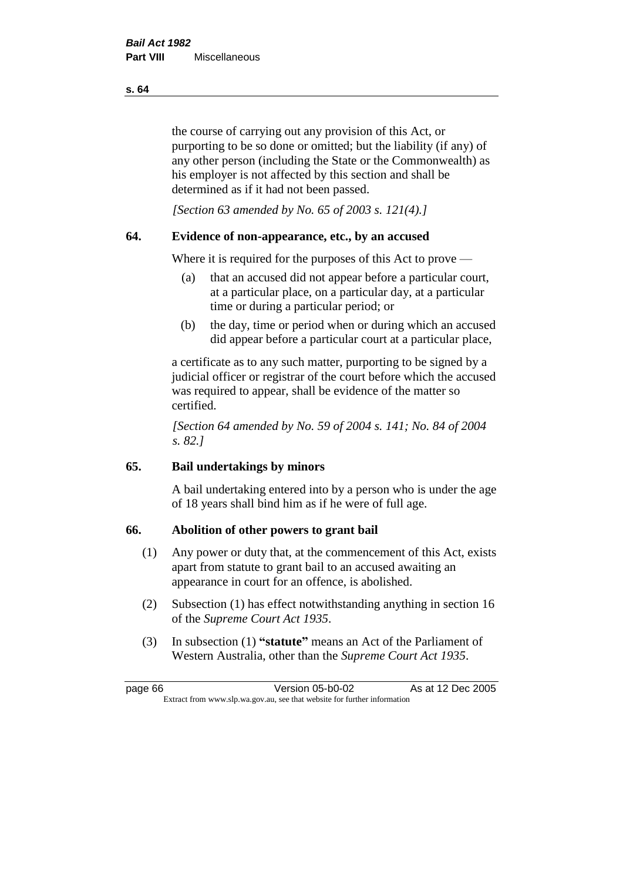the course of carrying out any provision of this Act, or purporting to be so done or omitted; but the liability (if any) of any other person (including the State or the Commonwealth) as his employer is not affected by this section and shall be determined as if it had not been passed.

*[Section 63 amended by No. 65 of 2003 s. 121(4).]*

## **64. Evidence of non-appearance, etc., by an accused**

Where it is required for the purposes of this Act to prove —

- (a) that an accused did not appear before a particular court, at a particular place, on a particular day, at a particular time or during a particular period; or
- (b) the day, time or period when or during which an accused did appear before a particular court at a particular place,

a certificate as to any such matter, purporting to be signed by a judicial officer or registrar of the court before which the accused was required to appear, shall be evidence of the matter so certified.

*[Section 64 amended by No. 59 of 2004 s. 141; No. 84 of 2004 s. 82.]* 

# **65. Bail undertakings by minors**

A bail undertaking entered into by a person who is under the age of 18 years shall bind him as if he were of full age.

## **66. Abolition of other powers to grant bail**

- (1) Any power or duty that, at the commencement of this Act, exists apart from statute to grant bail to an accused awaiting an appearance in court for an offence, is abolished.
- (2) Subsection (1) has effect notwithstanding anything in section 16 of the *Supreme Court Act 1935*.
- (3) In subsection (1) **"statute"** means an Act of the Parliament of Western Australia, other than the *Supreme Court Act 1935*.

page 66 Version 05-b0-02 As at 12 Dec 2005 Extract from www.slp.wa.gov.au, see that website for further information

**s. 64**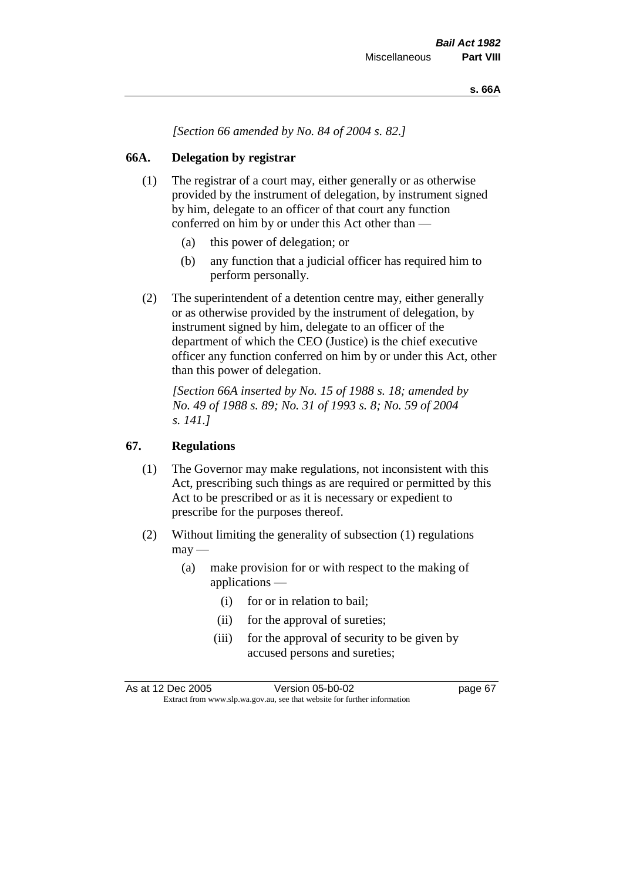*[Section 66 amended by No. 84 of 2004 s. 82.]*

# **66A. Delegation by registrar**

- (1) The registrar of a court may, either generally or as otherwise provided by the instrument of delegation, by instrument signed by him, delegate to an officer of that court any function conferred on him by or under this Act other than —
	- (a) this power of delegation; or
	- (b) any function that a judicial officer has required him to perform personally.
- (2) The superintendent of a detention centre may, either generally or as otherwise provided by the instrument of delegation, by instrument signed by him, delegate to an officer of the department of which the CEO (Justice) is the chief executive officer any function conferred on him by or under this Act, other than this power of delegation.

*[Section 66A inserted by No. 15 of 1988 s. 18; amended by No. 49 of 1988 s. 89; No. 31 of 1993 s. 8; No. 59 of 2004 s. 141.]* 

# **67. Regulations**

- (1) The Governor may make regulations, not inconsistent with this Act, prescribing such things as are required or permitted by this Act to be prescribed or as it is necessary or expedient to prescribe for the purposes thereof.
- (2) Without limiting the generality of subsection (1) regulations  $\text{max}$  —
	- (a) make provision for or with respect to the making of applications —
		- (i) for or in relation to bail;
		- (ii) for the approval of sureties;
		- (iii) for the approval of security to be given by accused persons and sureties;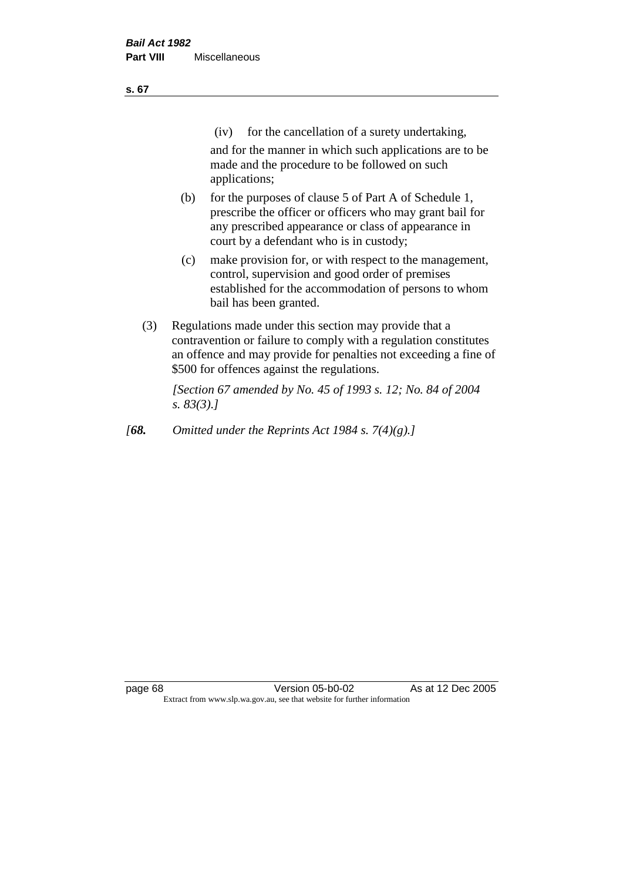| ×<br>v | ×<br>۰. |
|--------|---------|
|        |         |

(iv) for the cancellation of a surety undertaking,

and for the manner in which such applications are to be made and the procedure to be followed on such applications;

- (b) for the purposes of clause 5 of Part A of Schedule 1, prescribe the officer or officers who may grant bail for any prescribed appearance or class of appearance in court by a defendant who is in custody;
- (c) make provision for, or with respect to the management, control, supervision and good order of premises established for the accommodation of persons to whom bail has been granted.
- (3) Regulations made under this section may provide that a contravention or failure to comply with a regulation constitutes an offence and may provide for penalties not exceeding a fine of \$500 for offences against the regulations.

*[Section 67 amended by No. 45 of 1993 s. 12; No. 84 of 2004 s. 83(3).]* 

*[68. Omitted under the Reprints Act 1984 s. 7(4)(g).]*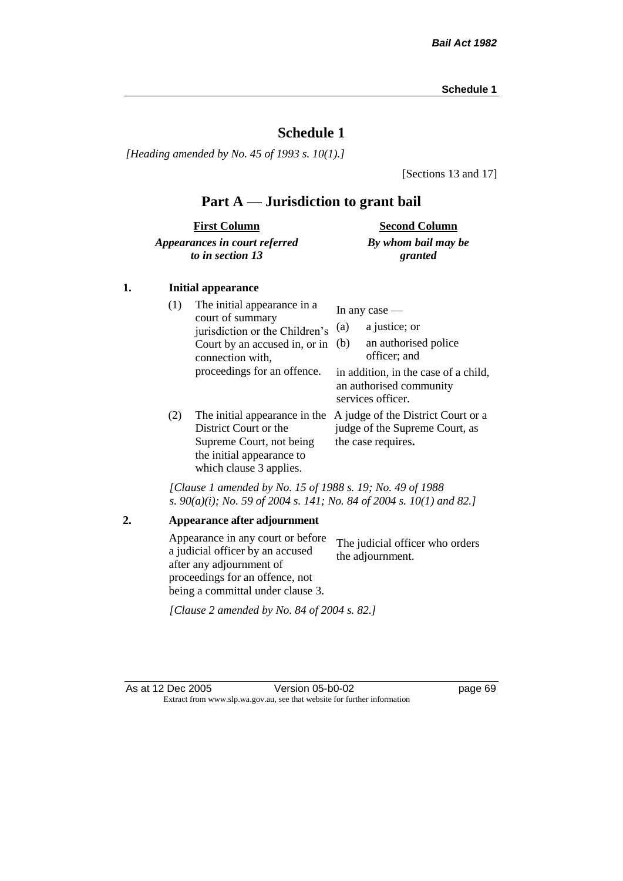*[Heading amended by No. 45 of 1993 s. 10(1).]*

[Sections 13 and 17]

# **Part A — Jurisdiction to grant bail**

| <b>First Column</b>           | <b>Second Column</b> |
|-------------------------------|----------------------|
| Appearances in court referred | By whom bail may be  |
| to in section 13              | granted              |

## **1. Initial appearance**

| (1) | The initial appearance in a<br>court of summary<br>jurisdiction or the Children's<br>Court by an accused in, or in<br>connection with,<br>proceedings for an offence. | In any case $-$<br>a justice; or<br>(a)<br>an authorised police<br>(b)<br>officer; and<br>in addition, in the case of a child,<br>an authorised community |
|-----|-----------------------------------------------------------------------------------------------------------------------------------------------------------------------|-----------------------------------------------------------------------------------------------------------------------------------------------------------|
| (2) | The initial appearance in the<br>District Court or the<br>Supreme Court, not being<br>the initial appearance to<br>which clause 3 applies.                            | services officer.<br>A judge of the District Court or a<br>judge of the Supreme Court, as<br>the case requires.                                           |

*[Clause 1 amended by No. 15 of 1988 s. 19; No. 49 of 1988 s. 90(a)(i); No. 59 of 2004 s. 141; No. 84 of 2004 s. 10(1) and 82.]*

**2. Appearance after adjournment** Appearance in any court or before a judicial officer by an accused after any adjournment of proceedings for an offence, not being a committal under clause 3. The judicial officer who orders the adjournment. *[Clause 2 amended by No. 84 of 2004 s. 82.]*

As at 12 Dec 2005 Version 05-b0-02 page 69 Extract from www.slp.wa.gov.au, see that website for further information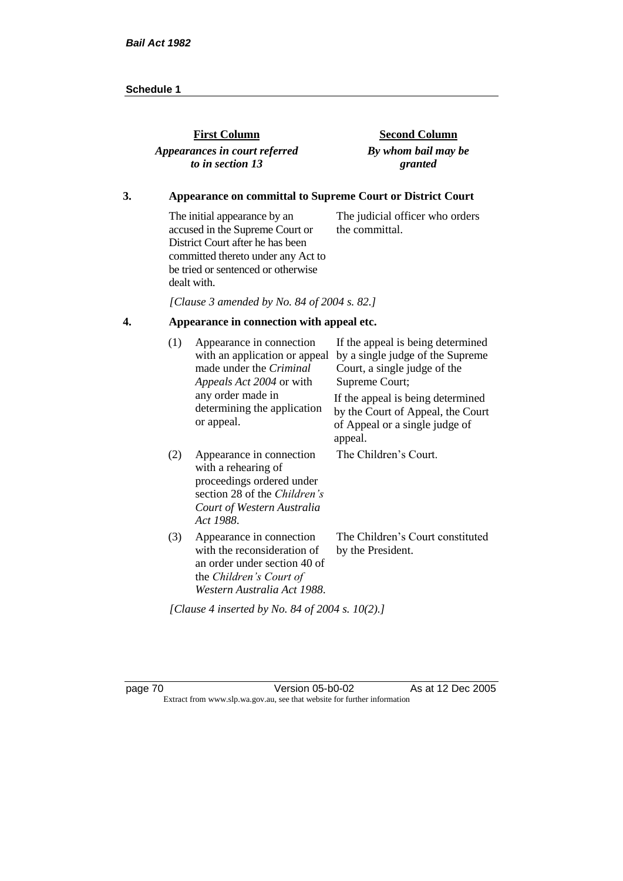| <b>First Column</b>           | <b>Second Column</b> |
|-------------------------------|----------------------|
| Appearances in court referred | By whom bail may be  |
| to in section 13              | granted              |
|                               |                      |

## **3. Appearance on committal to Supreme Court or District Court**

The initial appearance by an accused in the Supreme Court or District Court after he has been committed thereto under any Act to be tried or sentenced or otherwise dealt with. The judicial officer who orders the committal.

*[Clause 3 amended by No. 84 of 2004 s. 82.]*

# **4. Appearance in connection with appeal etc.**

| (1) | Appearance in connection<br>with an application or appeal<br>made under the <i>Criminal</i><br>Appeals Act 2004 or with                                 | If the appeal is being determined<br>by a single judge of the Supreme<br>Court, a single judge of the<br>Supreme Court; |
|-----|---------------------------------------------------------------------------------------------------------------------------------------------------------|-------------------------------------------------------------------------------------------------------------------------|
|     | any order made in<br>determining the application<br>or appeal.                                                                                          | If the appeal is being determined<br>by the Court of Appeal, the Court<br>of Appeal or a single judge of<br>appeal.     |
| (2) | Appearance in connection<br>with a rehearing of<br>proceedings ordered under<br>section 28 of the Children's<br>Court of Western Australia<br>Act 1988. | The Children's Court.                                                                                                   |
| (3) | Appearance in connection<br>with the reconsideration of<br>an order under section 40 of<br>the Children's Court of<br>Western Australia Act 1988.       | The Children's Court constituted<br>by the President.                                                                   |
|     | [Clause 4 inserted by No. 84 of 2004 s. 10(2).]                                                                                                         |                                                                                                                         |

page 70 **Version 05-b0-02** As at 12 Dec 2005 Extract from www.slp.wa.gov.au, see that website for further information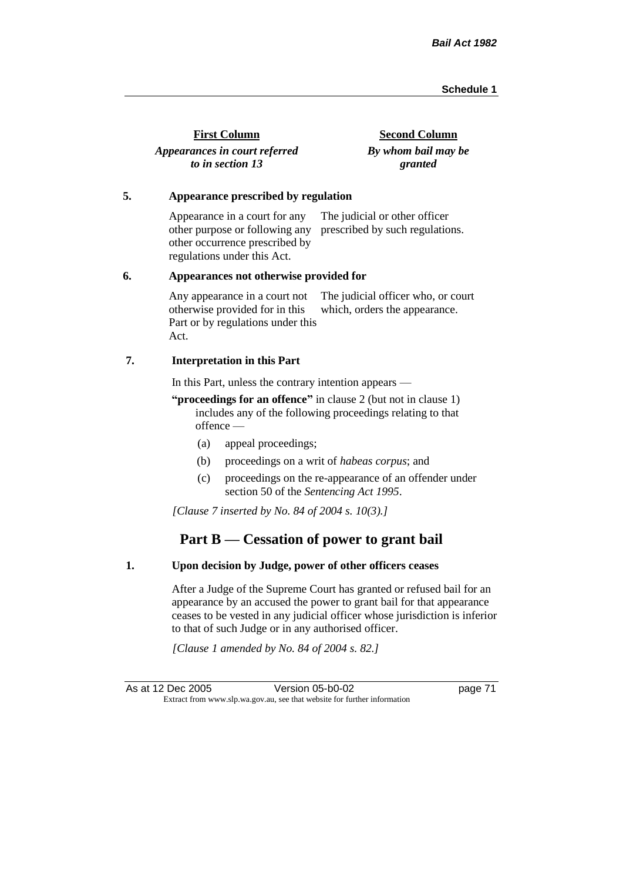| <b>First Column</b>           | <b>Second Column</b> |
|-------------------------------|----------------------|
| Appearances in court referred | By whom bail may be  |
| to in section 13              | granted              |

### **5. Appearance prescribed by regulation**

Appearance in a court for any other purpose or following any prescribed by such regulations. other occurrence prescribed by regulations under this Act. The judicial or other officer

#### **6. Appearances not otherwise provided for**

Any appearance in a court not otherwise provided for in this Part or by regulations under this Act. The judicial officer who, or court which, orders the appearance.

### **7. Interpretation in this Part**

In this Part, unless the contrary intention appears —

**"proceedings for an offence"** in clause 2 (but not in clause 1) includes any of the following proceedings relating to that offence —

- (a) appeal proceedings;
- (b) proceedings on a writ of *habeas corpus*; and
- (c) proceedings on the re-appearance of an offender under section 50 of the *Sentencing Act 1995*.

*[Clause 7 inserted by No. 84 of 2004 s. 10(3).]*

# **Part B — Cessation of power to grant bail**

### **1. Upon decision by Judge, power of other officers ceases**

After a Judge of the Supreme Court has granted or refused bail for an appearance by an accused the power to grant bail for that appearance ceases to be vested in any judicial officer whose jurisdiction is inferior to that of such Judge or in any authorised officer.

*[Clause 1 amended by No. 84 of 2004 s. 82.]*

As at 12 Dec 2005 Version 05-b0-02 page 71 Extract from www.slp.wa.gov.au, see that website for further information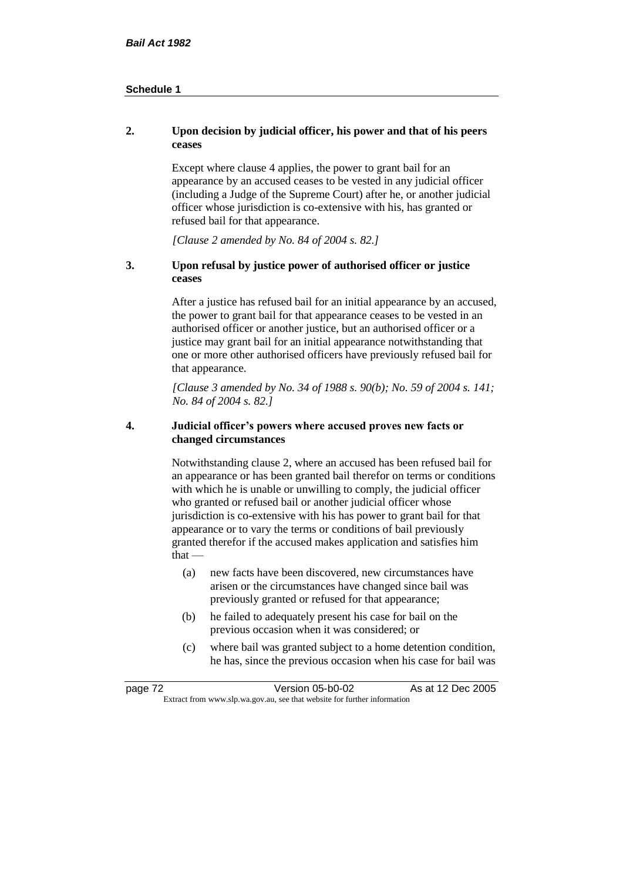## **2. Upon decision by judicial officer, his power and that of his peers ceases**

Except where clause 4 applies, the power to grant bail for an appearance by an accused ceases to be vested in any judicial officer (including a Judge of the Supreme Court) after he, or another judicial officer whose jurisdiction is co-extensive with his, has granted or refused bail for that appearance.

*[Clause 2 amended by No. 84 of 2004 s. 82.]*

## **3. Upon refusal by justice power of authorised officer or justice ceases**

After a justice has refused bail for an initial appearance by an accused, the power to grant bail for that appearance ceases to be vested in an authorised officer or another justice, but an authorised officer or a justice may grant bail for an initial appearance notwithstanding that one or more other authorised officers have previously refused bail for that appearance.

*[Clause 3 amended by No. 34 of 1988 s. 90(b); No. 59 of 2004 s. 141; No. 84 of 2004 s. 82.]*

### **4. Judicial officer's powers where accused proves new facts or changed circumstances**

Notwithstanding clause 2, where an accused has been refused bail for an appearance or has been granted bail therefor on terms or conditions with which he is unable or unwilling to comply, the judicial officer who granted or refused bail or another judicial officer whose jurisdiction is co-extensive with his has power to grant bail for that appearance or to vary the terms or conditions of bail previously granted therefor if the accused makes application and satisfies him  $that -$ 

- (a) new facts have been discovered, new circumstances have arisen or the circumstances have changed since bail was previously granted or refused for that appearance;
- (b) he failed to adequately present his case for bail on the previous occasion when it was considered; or
- (c) where bail was granted subject to a home detention condition, he has, since the previous occasion when his case for bail was

| page 72                                                                  | Version 05-b0-02 | As at 12 Dec 2005 |
|--------------------------------------------------------------------------|------------------|-------------------|
| Extract from www.slp.wa.gov.au, see that website for further information |                  |                   |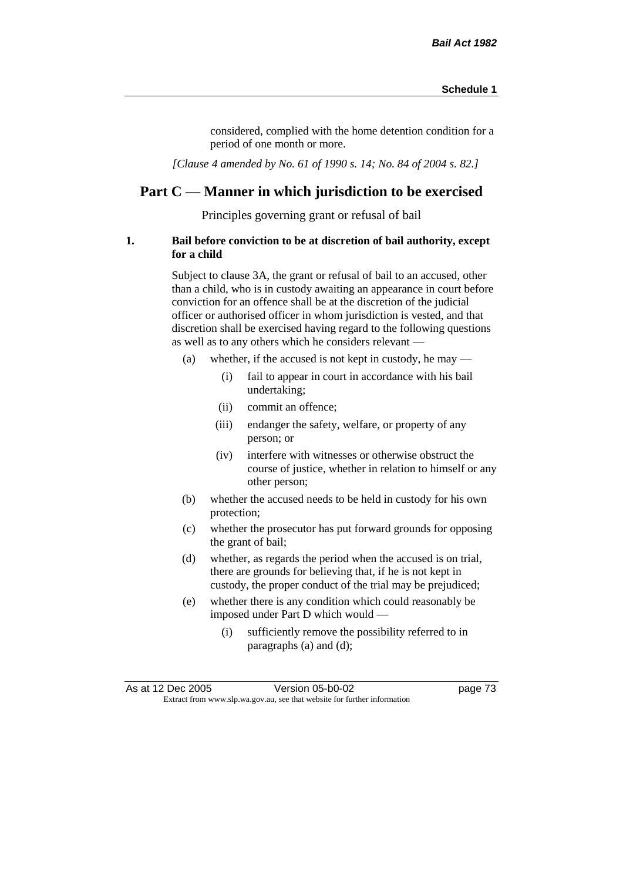considered, complied with the home detention condition for a period of one month or more.

*[Clause 4 amended by No. 61 of 1990 s. 14; No. 84 of 2004 s. 82.]*

# **Part C — Manner in which jurisdiction to be exercised**

Principles governing grant or refusal of bail

## **1. Bail before conviction to be at discretion of bail authority, except for a child**

Subject to clause 3A, the grant or refusal of bail to an accused, other than a child, who is in custody awaiting an appearance in court before conviction for an offence shall be at the discretion of the judicial officer or authorised officer in whom jurisdiction is vested, and that discretion shall be exercised having regard to the following questions as well as to any others which he considers relevant —

- (a) whether, if the accused is not kept in custody, he may
	- (i) fail to appear in court in accordance with his bail undertaking;
	- (ii) commit an offence;
	- (iii) endanger the safety, welfare, or property of any person; or
	- (iv) interfere with witnesses or otherwise obstruct the course of justice, whether in relation to himself or any other person;
- (b) whether the accused needs to be held in custody for his own protection;
- (c) whether the prosecutor has put forward grounds for opposing the grant of bail;
- (d) whether, as regards the period when the accused is on trial, there are grounds for believing that, if he is not kept in custody, the proper conduct of the trial may be prejudiced;
- (e) whether there is any condition which could reasonably be imposed under Part D which would —
	- (i) sufficiently remove the possibility referred to in paragraphs (a) and (d);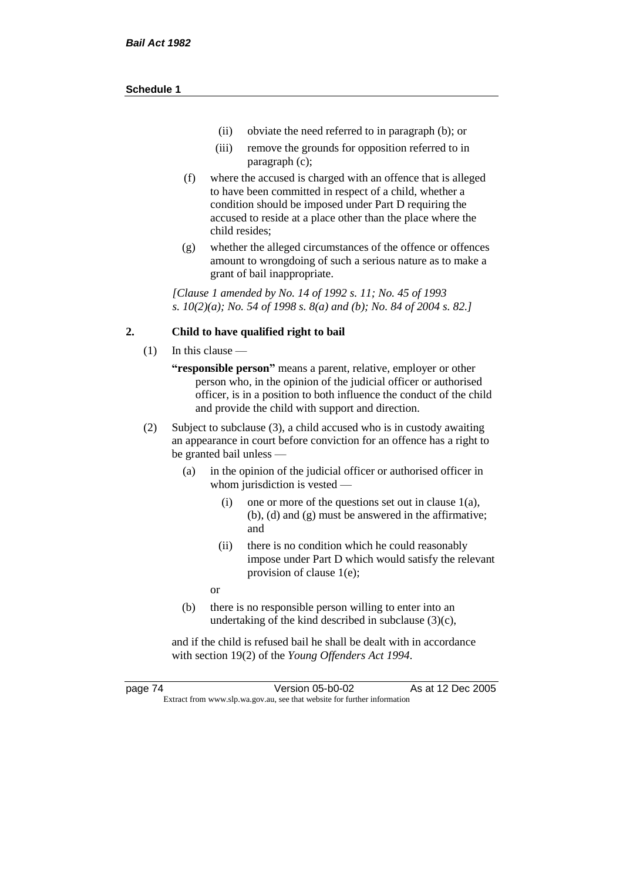- (ii) obviate the need referred to in paragraph (b); or
- (iii) remove the grounds for opposition referred to in paragraph (c);
- (f) where the accused is charged with an offence that is alleged to have been committed in respect of a child, whether a condition should be imposed under Part D requiring the accused to reside at a place other than the place where the child resides;
- (g) whether the alleged circumstances of the offence or offences amount to wrongdoing of such a serious nature as to make a grant of bail inappropriate.

*[Clause 1 amended by No. 14 of 1992 s. 11; No. 45 of 1993 s. 10(2)(a); No. 54 of 1998 s. 8(a) and (b); No. 84 of 2004 s. 82.]*

## **2. Child to have qualified right to bail**

- (1) In this clause
	- **"responsible person"** means a parent, relative, employer or other person who, in the opinion of the judicial officer or authorised officer, is in a position to both influence the conduct of the child and provide the child with support and direction.
- (2) Subject to subclause (3), a child accused who is in custody awaiting an appearance in court before conviction for an offence has a right to be granted bail unless —
	- (a) in the opinion of the judicial officer or authorised officer in whom jurisdiction is vested —
		- (i) one or more of the questions set out in clause 1(a), (b), (d) and (g) must be answered in the affirmative; and
		- (ii) there is no condition which he could reasonably impose under Part D which would satisfy the relevant provision of clause 1(e);
		- or
	- (b) there is no responsible person willing to enter into an undertaking of the kind described in subclause (3)(c),

and if the child is refused bail he shall be dealt with in accordance with section 19(2) of the *Young Offenders Act 1994*.

page 74 Version 05-b0-02 As at 12 Dec 2005 Extract from www.slp.wa.gov.au, see that website for further information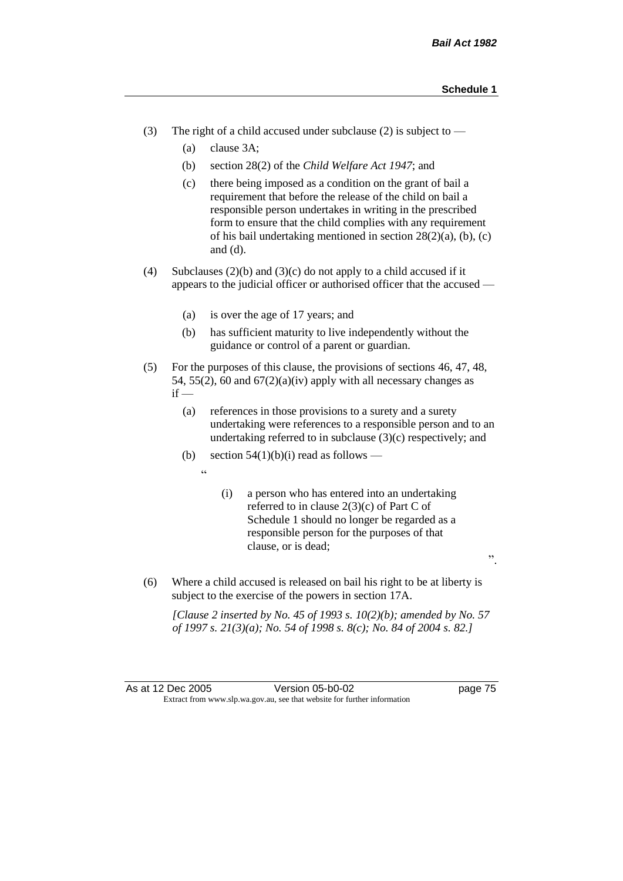- (3) The right of a child accused under subclause (2) is subject to  $-$ 
	- (a) clause 3A;
	- (b) section 28(2) of the *Child Welfare Act 1947*; and
	- (c) there being imposed as a condition on the grant of bail a requirement that before the release of the child on bail a responsible person undertakes in writing in the prescribed form to ensure that the child complies with any requirement of his bail undertaking mentioned in section 28(2)(a), (b), (c) and (d).
- (4) Subclauses (2)(b) and (3)(c) do not apply to a child accused if it appears to the judicial officer or authorised officer that the accused —
	- (a) is over the age of 17 years; and
	- (b) has sufficient maturity to live independently without the guidance or control of a parent or guardian.
- (5) For the purposes of this clause, the provisions of sections 46, 47, 48, 54, 55(2), 60 and  $67(2)(a)(iv)$  apply with all necessary changes as  $if -$ 
	- (a) references in those provisions to a surety and a surety undertaking were references to a responsible person and to an undertaking referred to in subclause (3)(c) respectively; and
	- (b) section  $54(1)(b)(i)$  read as follows
		- $\alpha$
- (i) a person who has entered into an undertaking referred to in clause 2(3)(c) of Part C of Schedule 1 should no longer be regarded as a responsible person for the purposes of that clause, or is dead;
- (6) Where a child accused is released on bail his right to be at liberty is subject to the exercise of the powers in section 17A.

*[Clause 2 inserted by No. 45 of 1993 s. 10(2)(b); amended by No. 57 of 1997 s. 21(3)(a); No. 54 of 1998 s. 8(c); No. 84 of 2004 s. 82.]*

".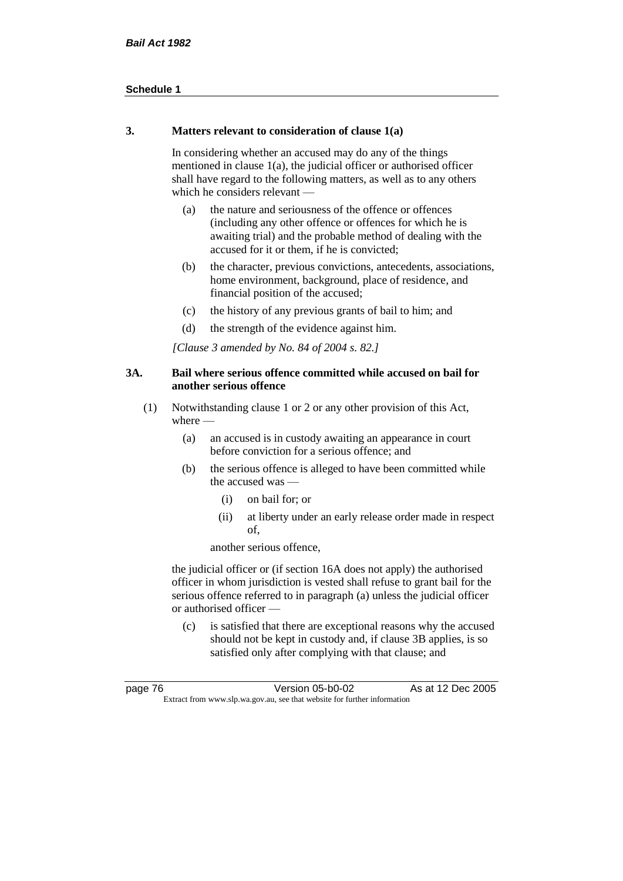## **3. Matters relevant to consideration of clause 1(a)**

In considering whether an accused may do any of the things mentioned in clause 1(a), the judicial officer or authorised officer shall have regard to the following matters, as well as to any others which he considers relevant —

- (a) the nature and seriousness of the offence or offences (including any other offence or offences for which he is awaiting trial) and the probable method of dealing with the accused for it or them, if he is convicted;
- (b) the character, previous convictions, antecedents, associations, home environment, background, place of residence, and financial position of the accused;
- (c) the history of any previous grants of bail to him; and
- (d) the strength of the evidence against him.

*[Clause 3 amended by No. 84 of 2004 s. 82.]*

## **3A. Bail where serious offence committed while accused on bail for another serious offence**

- (1) Notwithstanding clause 1 or 2 or any other provision of this Act, where —
	- (a) an accused is in custody awaiting an appearance in court before conviction for a serious offence; and
	- (b) the serious offence is alleged to have been committed while the accused was —
		- (i) on bail for; or
		- (ii) at liberty under an early release order made in respect of,

another serious offence,

the judicial officer or (if section 16A does not apply) the authorised officer in whom jurisdiction is vested shall refuse to grant bail for the serious offence referred to in paragraph (a) unless the judicial officer or authorised officer —

(c) is satisfied that there are exceptional reasons why the accused should not be kept in custody and, if clause 3B applies, is so satisfied only after complying with that clause; and

| page 76                                                                  | Version 05-b0-02 | As at 12 Dec 2005 |
|--------------------------------------------------------------------------|------------------|-------------------|
| Extract from www.slp.wa.gov.au, see that website for further information |                  |                   |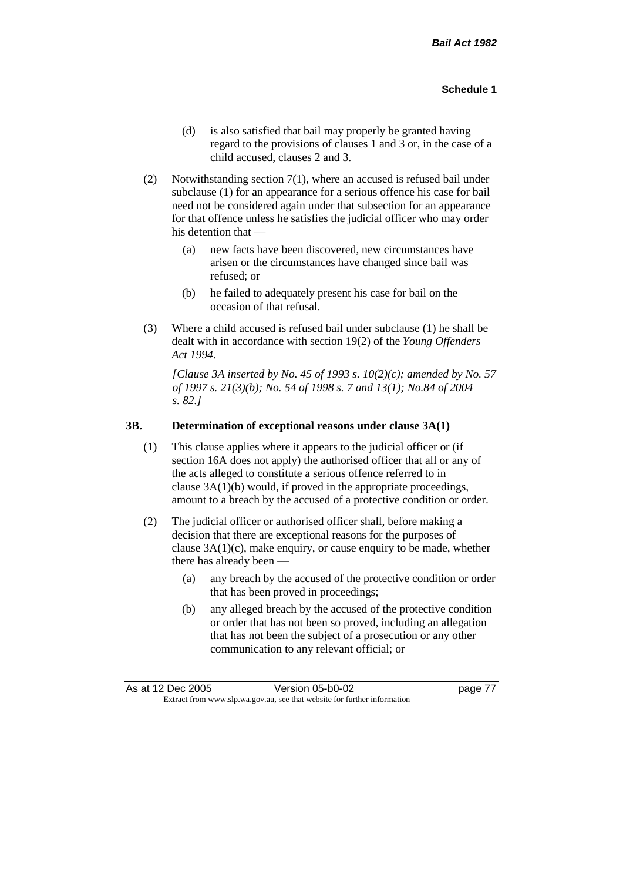- (d) is also satisfied that bail may properly be granted having regard to the provisions of clauses 1 and 3 or, in the case of a child accused, clauses 2 and 3.
- (2) Notwithstanding section 7(1), where an accused is refused bail under subclause (1) for an appearance for a serious offence his case for bail need not be considered again under that subsection for an appearance for that offence unless he satisfies the judicial officer who may order his detention that —
	- (a) new facts have been discovered, new circumstances have arisen or the circumstances have changed since bail was refused; or
	- (b) he failed to adequately present his case for bail on the occasion of that refusal.
- (3) Where a child accused is refused bail under subclause (1) he shall be dealt with in accordance with section 19(2) of the *Young Offenders Act 1994*.

*[Clause 3A inserted by No. 45 of 1993 s. 10(2)(c); amended by No. 57 of 1997 s. 21(3)(b); No. 54 of 1998 s. 7 and 13(1); No.84 of 2004 s. 82.]*

### **3B. Determination of exceptional reasons under clause 3A(1)**

- (1) This clause applies where it appears to the judicial officer or (if section 16A does not apply) the authorised officer that all or any of the acts alleged to constitute a serious offence referred to in clause 3A(1)(b) would, if proved in the appropriate proceedings, amount to a breach by the accused of a protective condition or order.
- (2) The judicial officer or authorised officer shall, before making a decision that there are exceptional reasons for the purposes of clause  $3A(1)(c)$ , make enquiry, or cause enquiry to be made, whether there has already been -
	- (a) any breach by the accused of the protective condition or order that has been proved in proceedings;
	- (b) any alleged breach by the accused of the protective condition or order that has not been so proved, including an allegation that has not been the subject of a prosecution or any other communication to any relevant official; or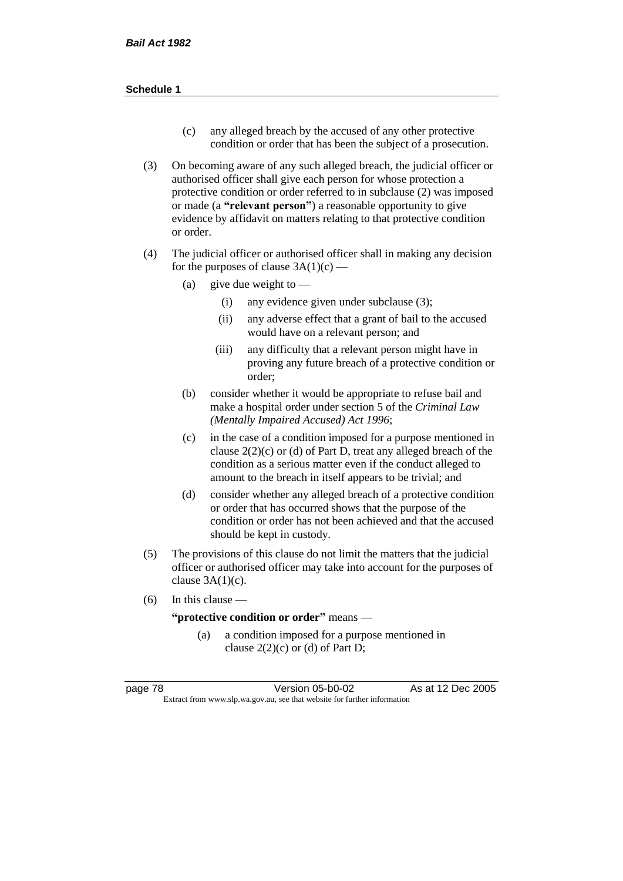- (c) any alleged breach by the accused of any other protective condition or order that has been the subject of a prosecution.
- (3) On becoming aware of any such alleged breach, the judicial officer or authorised officer shall give each person for whose protection a protective condition or order referred to in subclause (2) was imposed or made (a **"relevant person"**) a reasonable opportunity to give evidence by affidavit on matters relating to that protective condition or order.
- (4) The judicial officer or authorised officer shall in making any decision for the purposes of clause  $3A(1)(c)$  —
	- (a) give due weight to  $-$ 
		- (i) any evidence given under subclause (3);
		- (ii) any adverse effect that a grant of bail to the accused would have on a relevant person; and
		- (iii) any difficulty that a relevant person might have in proving any future breach of a protective condition or order;
	- (b) consider whether it would be appropriate to refuse bail and make a hospital order under section 5 of the *Criminal Law (Mentally Impaired Accused) Act 1996*;
	- (c) in the case of a condition imposed for a purpose mentioned in clause  $2(2)(c)$  or (d) of Part D, treat any alleged breach of the condition as a serious matter even if the conduct alleged to amount to the breach in itself appears to be trivial; and
	- (d) consider whether any alleged breach of a protective condition or order that has occurred shows that the purpose of the condition or order has not been achieved and that the accused should be kept in custody.
- (5) The provisions of this clause do not limit the matters that the judicial officer or authorised officer may take into account for the purposes of clause  $3A(1)(c)$ .
- (6) In this clause —

**"protective condition or order"** means —

(a) a condition imposed for a purpose mentioned in clause  $2(2)(c)$  or (d) of Part D;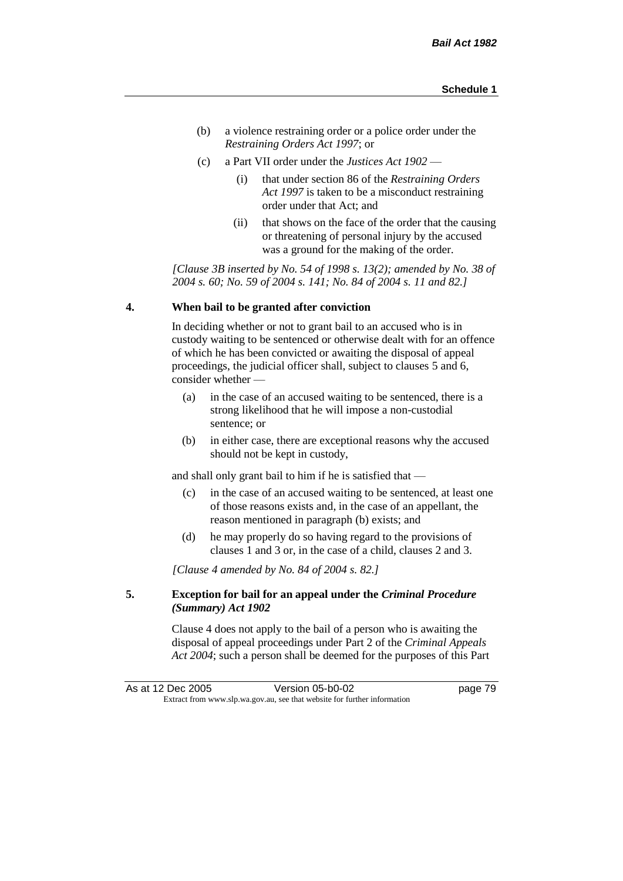- (b) a violence restraining order or a police order under the *Restraining Orders Act 1997*; or
- (c) a Part VII order under the *Justices Act 1902*
	- (i) that under section 86 of the *Restraining Orders Act 1997* is taken to be a misconduct restraining order under that Act; and
	- (ii) that shows on the face of the order that the causing or threatening of personal injury by the accused was a ground for the making of the order.

*[Clause 3B inserted by No. 54 of 1998 s. 13(2); amended by No. 38 of 2004 s. 60; No. 59 of 2004 s. 141; No. 84 of 2004 s. 11 and 82.]*

### **4. When bail to be granted after conviction**

In deciding whether or not to grant bail to an accused who is in custody waiting to be sentenced or otherwise dealt with for an offence of which he has been convicted or awaiting the disposal of appeal proceedings, the judicial officer shall, subject to clauses 5 and 6, consider whether —

- (a) in the case of an accused waiting to be sentenced, there is a strong likelihood that he will impose a non-custodial sentence; or
- (b) in either case, there are exceptional reasons why the accused should not be kept in custody,

and shall only grant bail to him if he is satisfied that —

- (c) in the case of an accused waiting to be sentenced, at least one of those reasons exists and, in the case of an appellant, the reason mentioned in paragraph (b) exists; and
- (d) he may properly do so having regard to the provisions of clauses 1 and 3 or, in the case of a child, clauses 2 and 3.

*[Clause 4 amended by No. 84 of 2004 s. 82.]*

## **5. Exception for bail for an appeal under the** *Criminal Procedure (Summary) Act 1902*

Clause 4 does not apply to the bail of a person who is awaiting the disposal of appeal proceedings under Part 2 of the *Criminal Appeals Act 2004*; such a person shall be deemed for the purposes of this Part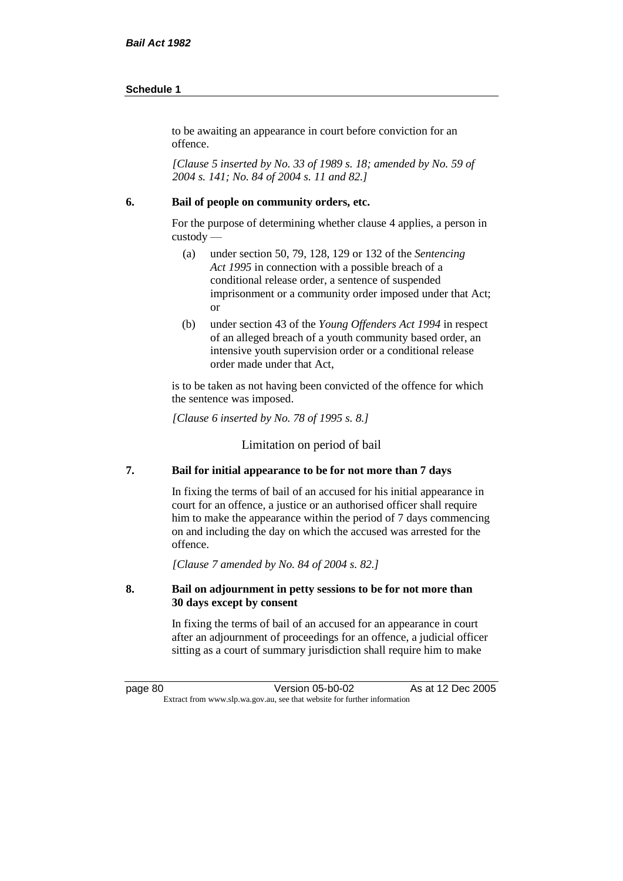to be awaiting an appearance in court before conviction for an offence.

*[Clause 5 inserted by No. 33 of 1989 s. 18; amended by No. 59 of 2004 s. 141; No. 84 of 2004 s. 11 and 82.]*

## **6. Bail of people on community orders, etc.**

For the purpose of determining whether clause 4 applies, a person in custody —

- (a) under section 50, 79, 128, 129 or 132 of the *Sentencing Act 1995* in connection with a possible breach of a conditional release order, a sentence of suspended imprisonment or a community order imposed under that Act; or
- (b) under section 43 of the *Young Offenders Act 1994* in respect of an alleged breach of a youth community based order, an intensive youth supervision order or a conditional release order made under that Act,

is to be taken as not having been convicted of the offence for which the sentence was imposed.

*[Clause 6 inserted by No. 78 of 1995 s. 8.]*

Limitation on period of bail

## **7. Bail for initial appearance to be for not more than 7 days**

In fixing the terms of bail of an accused for his initial appearance in court for an offence, a justice or an authorised officer shall require him to make the appearance within the period of 7 days commencing on and including the day on which the accused was arrested for the offence.

*[Clause 7 amended by No. 84 of 2004 s. 82.]*

## **8. Bail on adjournment in petty sessions to be for not more than 30 days except by consent**

In fixing the terms of bail of an accused for an appearance in court after an adjournment of proceedings for an offence, a judicial officer sitting as a court of summary jurisdiction shall require him to make

page 80 Version 05-b0-02 As at 12 Dec 2005 Extract from www.slp.wa.gov.au, see that website for further information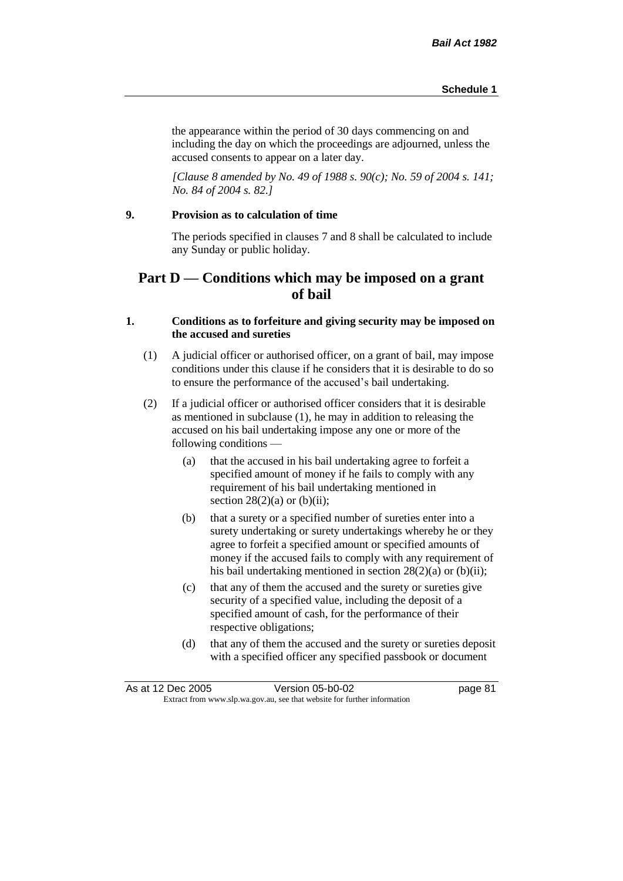the appearance within the period of 30 days commencing on and including the day on which the proceedings are adjourned, unless the accused consents to appear on a later day.

*[Clause 8 amended by No. 49 of 1988 s. 90(c); No. 59 of 2004 s. 141; No. 84 of 2004 s. 82.]*

### **9. Provision as to calculation of time**

The periods specified in clauses 7 and 8 shall be calculated to include any Sunday or public holiday.

# **Part D — Conditions which may be imposed on a grant of bail**

## **1. Conditions as to forfeiture and giving security may be imposed on the accused and sureties**

- (1) A judicial officer or authorised officer, on a grant of bail, may impose conditions under this clause if he considers that it is desirable to do so to ensure the performance of the accused's bail undertaking.
- (2) If a judicial officer or authorised officer considers that it is desirable as mentioned in subclause (1), he may in addition to releasing the accused on his bail undertaking impose any one or more of the following conditions —
	- (a) that the accused in his bail undertaking agree to forfeit a specified amount of money if he fails to comply with any requirement of his bail undertaking mentioned in section  $28(2)(a)$  or  $(b)(ii)$ ;
	- (b) that a surety or a specified number of sureties enter into a surety undertaking or surety undertakings whereby he or they agree to forfeit a specified amount or specified amounts of money if the accused fails to comply with any requirement of his bail undertaking mentioned in section 28(2)(a) or (b)(ii);
	- (c) that any of them the accused and the surety or sureties give security of a specified value, including the deposit of a specified amount of cash, for the performance of their respective obligations;
	- (d) that any of them the accused and the surety or sureties deposit with a specified officer any specified passbook or document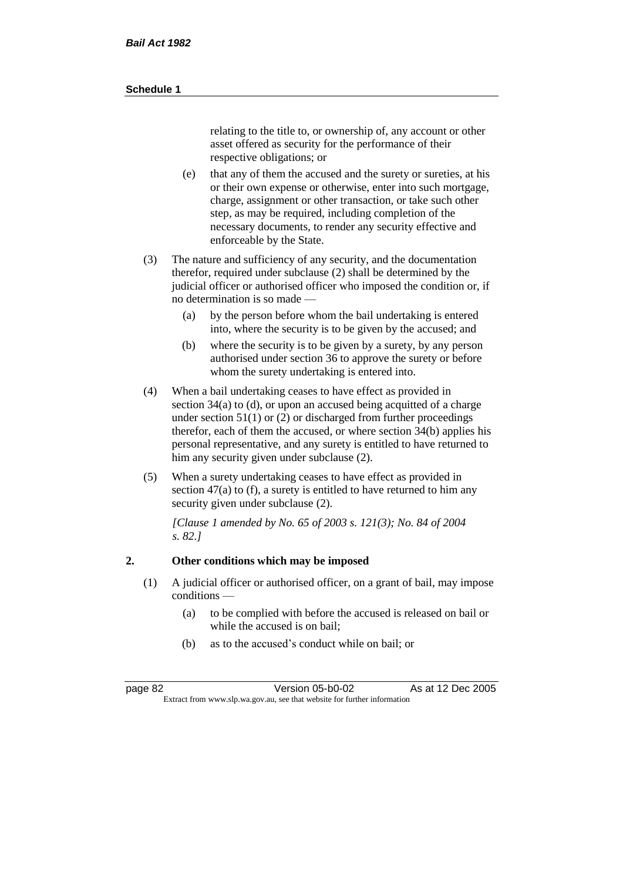relating to the title to, or ownership of, any account or other asset offered as security for the performance of their respective obligations; or

- (e) that any of them the accused and the surety or sureties, at his or their own expense or otherwise, enter into such mortgage, charge, assignment or other transaction, or take such other step, as may be required, including completion of the necessary documents, to render any security effective and enforceable by the State.
- (3) The nature and sufficiency of any security, and the documentation therefor, required under subclause (2) shall be determined by the judicial officer or authorised officer who imposed the condition or, if no determination is so made —
	- (a) by the person before whom the bail undertaking is entered into, where the security is to be given by the accused; and
	- (b) where the security is to be given by a surety, by any person authorised under section 36 to approve the surety or before whom the surety undertaking is entered into.
- (4) When a bail undertaking ceases to have effect as provided in section 34(a) to (d), or upon an accused being acquitted of a charge under section  $51(1)$  or (2) or discharged from further proceedings therefor, each of them the accused, or where section 34(b) applies his personal representative, and any surety is entitled to have returned to him any security given under subclause  $(2)$ .
- (5) When a surety undertaking ceases to have effect as provided in section 47(a) to (f), a surety is entitled to have returned to him any security given under subclause  $(2)$ .

*[Clause 1 amended by No. 65 of 2003 s. 121(3); No. 84 of 2004 s. 82.]*

## **2. Other conditions which may be imposed**

- (1) A judicial officer or authorised officer, on a grant of bail, may impose conditions —
	- (a) to be complied with before the accused is released on bail or while the accused is on bail<sup>.</sup>
	- (b) as to the accused's conduct while on bail; or

page 82 Version 05-b0-02 As at 12 Dec 2005 Extract from www.slp.wa.gov.au, see that website for further information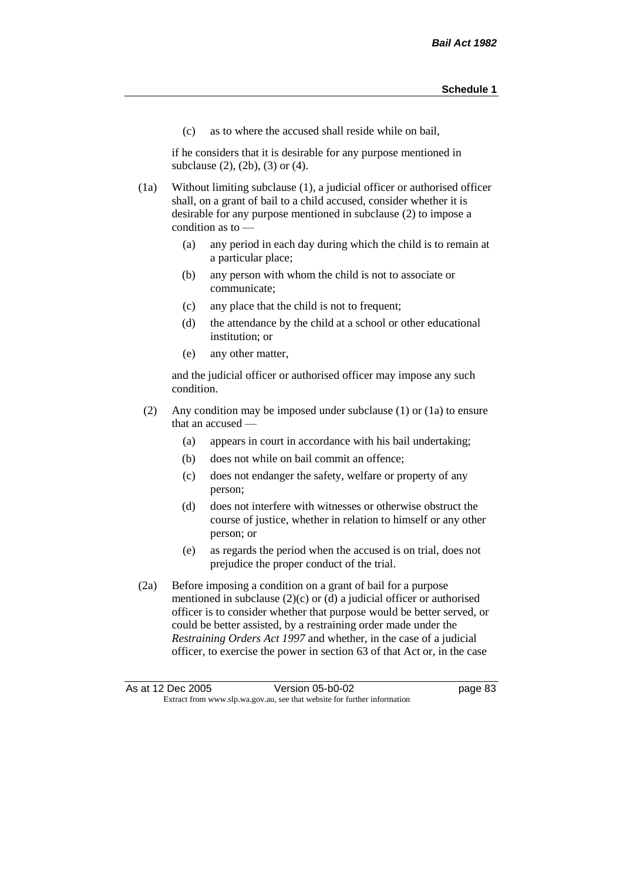(c) as to where the accused shall reside while on bail,

if he considers that it is desirable for any purpose mentioned in subclause (2), (2b), (3) or (4).

(1a) Without limiting subclause (1), a judicial officer or authorised officer shall, on a grant of bail to a child accused, consider whether it is desirable for any purpose mentioned in subclause (2) to impose a condition as to —

- (a) any period in each day during which the child is to remain at a particular place;
- (b) any person with whom the child is not to associate or communicate;
- (c) any place that the child is not to frequent;
- (d) the attendance by the child at a school or other educational institution; or
- (e) any other matter,

and the judicial officer or authorised officer may impose any such condition.

- (2) Any condition may be imposed under subclause (1) or (1a) to ensure that an accused —
	- (a) appears in court in accordance with his bail undertaking;
	- (b) does not while on bail commit an offence;
	- (c) does not endanger the safety, welfare or property of any person;
	- (d) does not interfere with witnesses or otherwise obstruct the course of justice, whether in relation to himself or any other person; or
	- (e) as regards the period when the accused is on trial, does not prejudice the proper conduct of the trial.
- (2a) Before imposing a condition on a grant of bail for a purpose mentioned in subclause (2)(c) or (d) a judicial officer or authorised officer is to consider whether that purpose would be better served, or could be better assisted, by a restraining order made under the *Restraining Orders Act 1997* and whether, in the case of a judicial officer, to exercise the power in section 63 of that Act or, in the case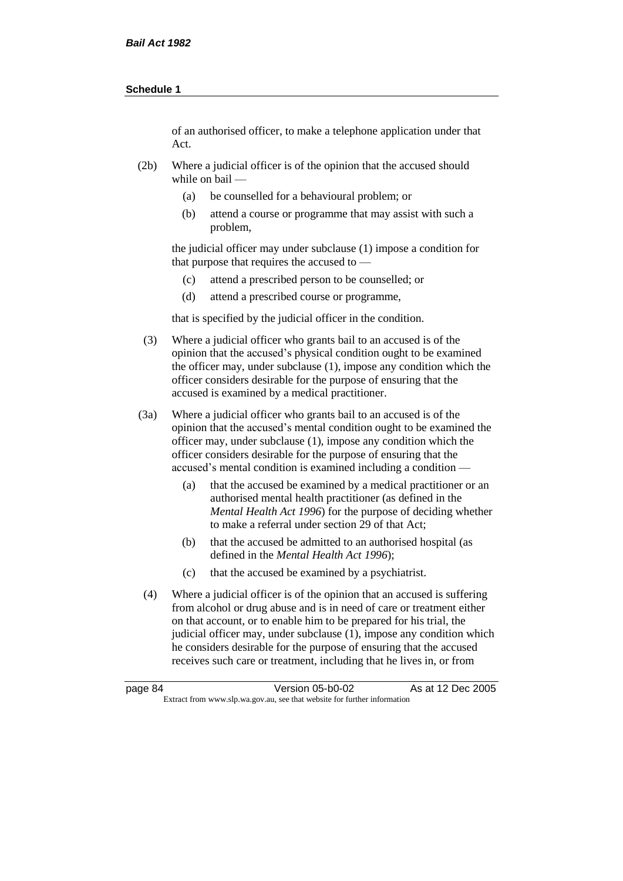of an authorised officer, to make a telephone application under that Act.

- (2b) Where a judicial officer is of the opinion that the accused should while on bail —
	- (a) be counselled for a behavioural problem; or
	- (b) attend a course or programme that may assist with such a problem,

the judicial officer may under subclause (1) impose a condition for that purpose that requires the accused to —

- (c) attend a prescribed person to be counselled; or
- (d) attend a prescribed course or programme,

that is specified by the judicial officer in the condition.

- (3) Where a judicial officer who grants bail to an accused is of the opinion that the accused's physical condition ought to be examined the officer may, under subclause (1), impose any condition which the officer considers desirable for the purpose of ensuring that the accused is examined by a medical practitioner.
- (3a) Where a judicial officer who grants bail to an accused is of the opinion that the accused's mental condition ought to be examined the officer may, under subclause (1), impose any condition which the officer considers desirable for the purpose of ensuring that the accused's mental condition is examined including a condition -
	- (a) that the accused be examined by a medical practitioner or an authorised mental health practitioner (as defined in the *Mental Health Act 1996*) for the purpose of deciding whether to make a referral under section 29 of that Act;
	- (b) that the accused be admitted to an authorised hospital (as defined in the *Mental Health Act 1996*);
	- (c) that the accused be examined by a psychiatrist.
- (4) Where a judicial officer is of the opinion that an accused is suffering from alcohol or drug abuse and is in need of care or treatment either on that account, or to enable him to be prepared for his trial, the judicial officer may, under subclause (1), impose any condition which he considers desirable for the purpose of ensuring that the accused receives such care or treatment, including that he lives in, or from

page 84 Version 05-b0-02 As at 12 Dec 2005 Extract from www.slp.wa.gov.au, see that website for further information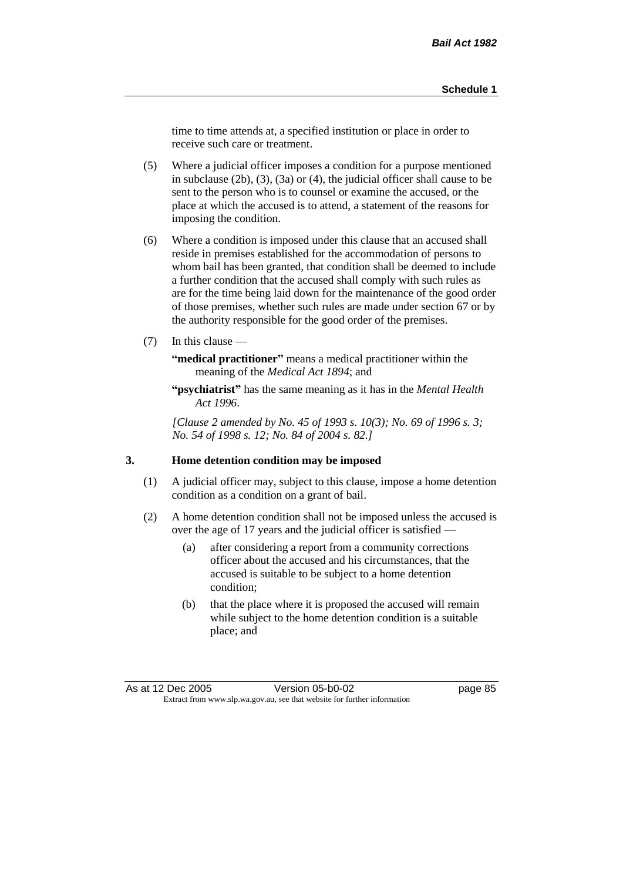time to time attends at, a specified institution or place in order to receive such care or treatment.

(5) Where a judicial officer imposes a condition for a purpose mentioned in subclause (2b), (3), (3a) or (4), the judicial officer shall cause to be sent to the person who is to counsel or examine the accused, or the place at which the accused is to attend, a statement of the reasons for imposing the condition.

- (6) Where a condition is imposed under this clause that an accused shall reside in premises established for the accommodation of persons to whom bail has been granted, that condition shall be deemed to include a further condition that the accused shall comply with such rules as are for the time being laid down for the maintenance of the good order of those premises, whether such rules are made under section 67 or by the authority responsible for the good order of the premises.
- (7) In this clause —

**"medical practitioner"** means a medical practitioner within the meaning of the *Medical Act 1894*; and

**"psychiatrist"** has the same meaning as it has in the *Mental Health Act 1996*.

*[Clause 2 amended by No. 45 of 1993 s. 10(3); No. 69 of 1996 s. 3; No. 54 of 1998 s. 12; No. 84 of 2004 s. 82.]*

### **3. Home detention condition may be imposed**

- (1) A judicial officer may, subject to this clause, impose a home detention condition as a condition on a grant of bail.
- (2) A home detention condition shall not be imposed unless the accused is over the age of 17 years and the judicial officer is satisfied —
	- (a) after considering a report from a community corrections officer about the accused and his circumstances, that the accused is suitable to be subject to a home detention condition;
	- (b) that the place where it is proposed the accused will remain while subject to the home detention condition is a suitable place; and

As at 12 Dec 2005 Version 05-b0-02 Page 85 Extract from www.slp.wa.gov.au, see that website for further information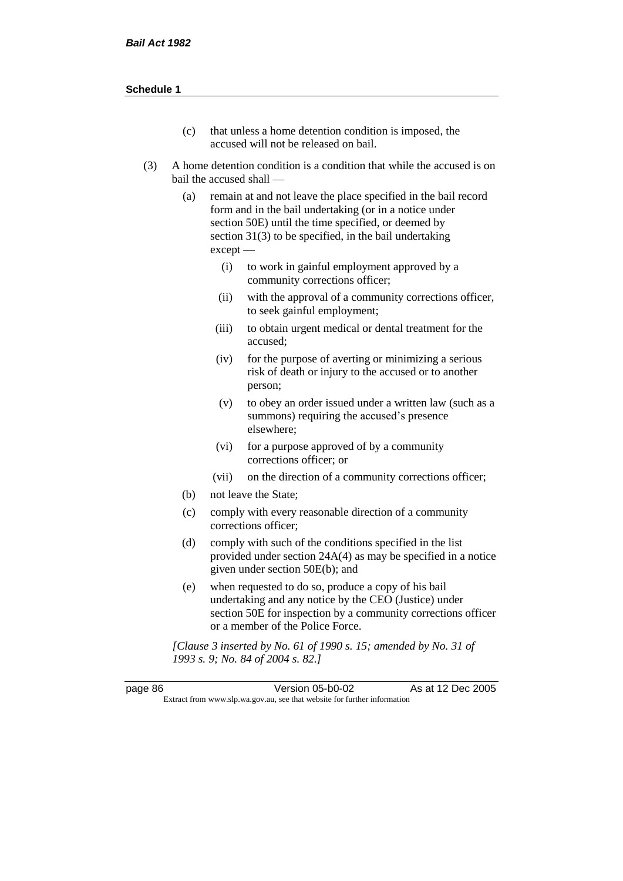- (c) that unless a home detention condition is imposed, the accused will not be released on bail.
- (3) A home detention condition is a condition that while the accused is on bail the accused shall —
	- (a) remain at and not leave the place specified in the bail record form and in the bail undertaking (or in a notice under section 50E) until the time specified, or deemed by section 31(3) to be specified, in the bail undertaking except —
		- (i) to work in gainful employment approved by a community corrections officer;
		- (ii) with the approval of a community corrections officer, to seek gainful employment;
		- (iii) to obtain urgent medical or dental treatment for the accused;
		- (iv) for the purpose of averting or minimizing a serious risk of death or injury to the accused or to another person;
		- (v) to obey an order issued under a written law (such as a summons) requiring the accused's presence elsewhere;
		- (vi) for a purpose approved of by a community corrections officer; or
		- (vii) on the direction of a community corrections officer;
	- (b) not leave the State;
	- (c) comply with every reasonable direction of a community corrections officer;
	- (d) comply with such of the conditions specified in the list provided under section 24A(4) as may be specified in a notice given under section 50E(b); and
	- (e) when requested to do so, produce a copy of his bail undertaking and any notice by the CEO (Justice) under section 50E for inspection by a community corrections officer or a member of the Police Force.

*[Clause 3 inserted by No. 61 of 1990 s. 15; amended by No. 31 of 1993 s. 9; No. 84 of 2004 s. 82.]*

page 86 Version 05-b0-02 As at 12 Dec 2005 Extract from www.slp.wa.gov.au, see that website for further information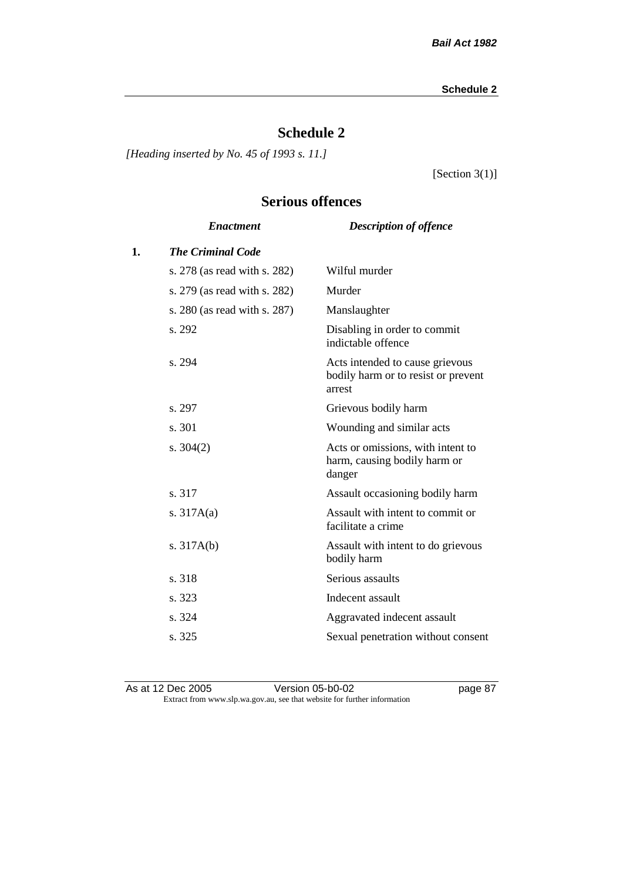# **Schedule 2**

*[Heading inserted by No. 45 of 1993 s. 11.]*

[Section 3(1)]

# **Serious offences**

|    | <b>Enactment</b>             | <b>Description of offence</b>                                                    |
|----|------------------------------|----------------------------------------------------------------------------------|
| 1. | <b>The Criminal Code</b>     |                                                                                  |
|    | s. 278 (as read with s. 282) | Wilful murder                                                                    |
|    | s. 279 (as read with s. 282) | Murder                                                                           |
|    | s. 280 (as read with s. 287) | Manslaughter                                                                     |
|    | s. 292                       | Disabling in order to commit<br>indictable offence                               |
|    | s. 294                       | Acts intended to cause grievous<br>bodily harm or to resist or prevent<br>arrest |
|    | s. 297                       | Grievous bodily harm                                                             |
|    | s. 301                       | Wounding and similar acts                                                        |
|    | s. $304(2)$                  | Acts or omissions, with intent to<br>harm, causing bodily harm or<br>danger      |
|    | s. 317                       | Assault occasioning bodily harm                                                  |
|    | s. $317A(a)$                 | Assault with intent to commit or<br>facilitate a crime                           |
|    | s. $317A(b)$                 | Assault with intent to do grievous<br>bodily harm                                |
|    | s. 318                       | Serious assaults                                                                 |
|    | s. 323                       | Indecent assault                                                                 |
|    | s. 324                       | Aggravated indecent assault                                                      |
|    | s. 325                       | Sexual penetration without consent                                               |
|    |                              |                                                                                  |

As at 12 Dec 2005 Version 05-b0-02 page 87 Extract from www.slp.wa.gov.au, see that website for further information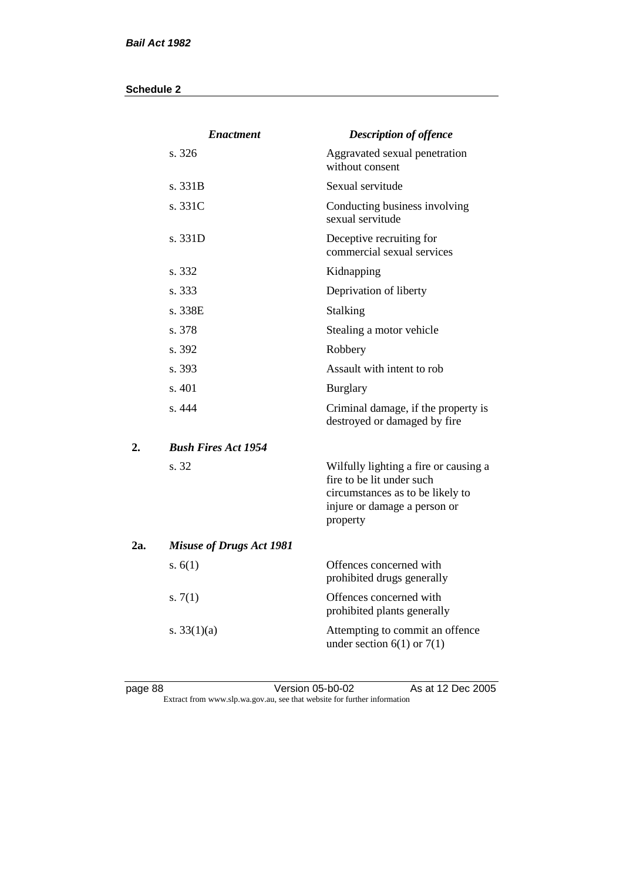|     | <b>Enactment</b>                | <b>Description of offence</b>                                                                                                                      |
|-----|---------------------------------|----------------------------------------------------------------------------------------------------------------------------------------------------|
|     | s. 326                          | Aggravated sexual penetration<br>without consent                                                                                                   |
|     | s. 331B                         | Sexual servitude                                                                                                                                   |
|     | s. 331C                         | Conducting business involving<br>sexual servitude                                                                                                  |
|     | s. 331D                         | Deceptive recruiting for<br>commercial sexual services                                                                                             |
|     | s. 332                          | Kidnapping                                                                                                                                         |
|     | s. 333                          | Deprivation of liberty                                                                                                                             |
|     | s. 338E                         | <b>Stalking</b>                                                                                                                                    |
|     | s. 378                          | Stealing a motor vehicle                                                                                                                           |
|     | s. 392                          | Robbery                                                                                                                                            |
|     | s. 393                          | Assault with intent to rob                                                                                                                         |
|     | s. 401                          | <b>Burglary</b>                                                                                                                                    |
|     | s. 444                          | Criminal damage, if the property is<br>destroyed or damaged by fire                                                                                |
| 2.  | <b>Bush Fires Act 1954</b>      |                                                                                                                                                    |
|     | s. 32                           | Wilfully lighting a fire or causing a<br>fire to be lit under such<br>circumstances as to be likely to<br>injure or damage a person or<br>property |
| 2а. | <b>Misuse of Drugs Act 1981</b> |                                                                                                                                                    |
|     | s. $6(1)$                       | Offences concerned with<br>prohibited drugs generally                                                                                              |
|     | s. $7(1)$                       | Offences concerned with<br>prohibited plants generally                                                                                             |
|     | s. $33(1)(a)$                   | Attempting to commit an offence<br>under section $6(1)$ or $7(1)$                                                                                  |

page 88 Version 05-b0-02 As at 12 Dec 2005 Extract from www.slp.wa.gov.au, see that website for further information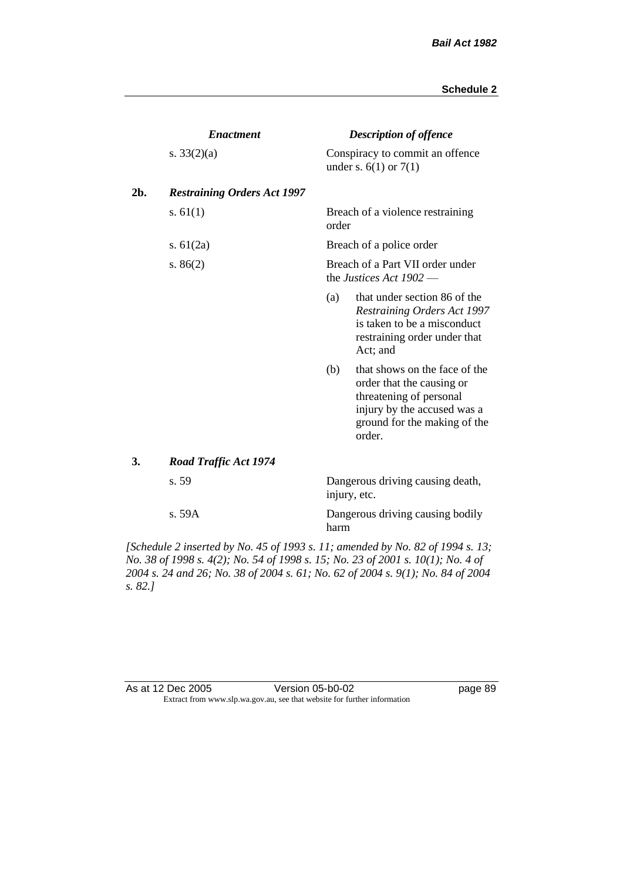|     | <b>Enactment</b>                   |       | <b>Description of offence</b>                                                                                                                                  |
|-----|------------------------------------|-------|----------------------------------------------------------------------------------------------------------------------------------------------------------------|
|     | s. $33(2)(a)$                      |       | Conspiracy to commit an offence<br>under s. $6(1)$ or $7(1)$                                                                                                   |
| 2b. | <b>Restraining Orders Act 1997</b> |       |                                                                                                                                                                |
|     | s. $61(1)$                         | order | Breach of a violence restraining                                                                                                                               |
|     | s. $61(2a)$                        |       | Breach of a police order                                                                                                                                       |
|     | s. $86(2)$                         |       | Breach of a Part VII order under<br>the Justices Act $1902$ —                                                                                                  |
|     |                                    | (a)   | that under section 86 of the<br><b>Restraining Orders Act 1997</b><br>is taken to be a misconduct<br>restraining order under that<br>Act; and                  |
|     |                                    | (b)   | that shows on the face of the<br>order that the causing or<br>threatening of personal<br>injury by the accused was a<br>ground for the making of the<br>order. |
| 3.  | <b>Road Traffic Act 1974</b>       |       |                                                                                                                                                                |
|     | s. 59                              |       | Dangerous driving causing death,<br>injury, etc.                                                                                                               |
|     | s.59A                              | harm  | Dangerous driving causing bodily                                                                                                                               |

*[Schedule 2 inserted by No. 45 of 1993 s. 11; amended by No. 82 of 1994 s. 13; No. 38 of 1998 s. 4(2); No. 54 of 1998 s. 15; No. 23 of 2001 s. 10(1); No. 4 of 2004 s. 24 and 26; No. 38 of 2004 s. 61; No. 62 of 2004 s. 9(1); No. 84 of 2004 s. 82.]* 

| As at 12 Dec 2005 | Version 05-b0-02                                                         |
|-------------------|--------------------------------------------------------------------------|
|                   | Extract from www.slp.wa.gov.au, see that website for further information |

page 89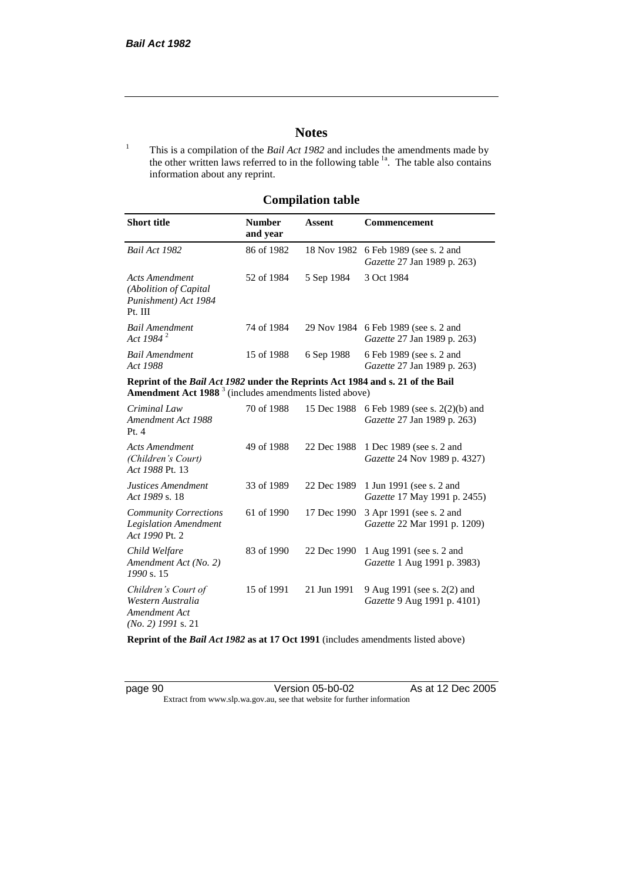# **Notes**

<sup>1</sup> This is a compilation of the *Bail Act 1982* and includes the amendments made by the other written laws referred to in the following table <sup>1a</sup>. The table also contains information about any reprint.

## **Compilation table**

| <b>Short title</b>                                                          | <b>Number</b><br>and year | Assent     | <b>Commencement</b>                                                        |
|-----------------------------------------------------------------------------|---------------------------|------------|----------------------------------------------------------------------------|
| Bail Act 1982                                                               | 86 of 1982                |            | 18 Nov 1982 6 Feb 1989 (see s. 2 and<br><i>Gazette</i> 27 Jan 1989 p. 263) |
| Acts Amendment<br>(Abolition of Capital)<br>Punishment) Act 1984<br>Pt. III | 52 of 1984                | 5 Sep 1984 | 3 Oct 1984                                                                 |
| Bail Amendment<br>Act 1984 <sup>2</sup>                                     | 74 of 1984                |            | 29 Nov 1984 6 Feb 1989 (see s. 2 and<br>Gazette 27 Jan 1989 p. 263)        |
| <b>Bail Amendment</b><br>Act 1988                                           | 15 of 1988                | 6 Sep 1988 | 6 Feb 1989 (see s. 2 and<br><i>Gazette</i> 27 Jan 1989 p. 263)             |

**Reprint of the** *Bail Act 1982* **under the Reprints Act 1984 and s. 21 of the Bail Amendment Act 1988** <sup>3</sup> (includes amendments listed above)

| Criminal Law<br>Amendment Act 1988<br>Pt.4                                        | 70 of 1988 | 15 Dec 1988 | 6 Feb 1989 (see s. 2(2)(b) and<br><i>Gazette</i> 27 Jan 1989 p. 263) |
|-----------------------------------------------------------------------------------|------------|-------------|----------------------------------------------------------------------|
| <b>Acts Amendment</b><br>(Children's Court)<br>Act 1988 Pt. 13                    | 49 of 1988 | 22 Dec 1988 | 1 Dec 1989 (see s. 2 and<br><i>Gazette</i> 24 Nov 1989 p. 4327)      |
| Justices Amendment<br>Act 1989 s. 18                                              | 33 of 1989 | 22 Dec 1989 | 1 Jun 1991 (see s. 2 and<br><i>Gazette</i> 17 May 1991 p. 2455)      |
| <b>Community Corrections</b><br><b>Legislation Amendment</b><br>Act 1990 Pt. 2    | 61 of 1990 | 17 Dec 1990 | 3 Apr 1991 (see s. 2 and<br><i>Gazette</i> 22 Mar 1991 p. 1209)      |
| Child Welfare<br>Amendment Act (No. 2)<br>1990 s. 15                              | 83 of 1990 | 22 Dec 1990 | 1 Aug 1991 (see s. 2 and<br><i>Gazette</i> 1 Aug 1991 p. 3983)       |
| Children's Court of<br>Western Australia<br>Amendment Act<br>$(No. 2)$ 1991 s. 21 | 15 of 1991 | 21 Jun 1991 | 9 Aug 1991 (see s. 2(2) and<br><i>Gazette</i> 9 Aug 1991 p. 4101)    |

**Reprint of the** *Bail Act 1982* **as at 17 Oct 1991** (includes amendments listed above)

page 90 **Version 05-b0-02** As at 12 Dec 2005 Extract from www.slp.wa.gov.au, see that website for further information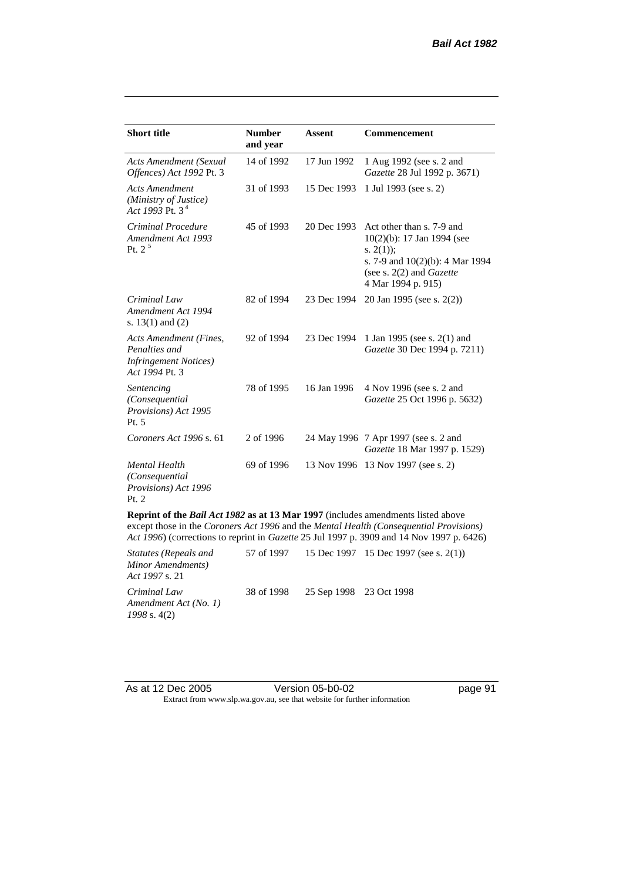| <b>Short title</b>                                                                                                                                                         | <b>Number</b><br>and year | <b>Assent</b> | <b>Commencement</b>                                                                                                                                                     |  |
|----------------------------------------------------------------------------------------------------------------------------------------------------------------------------|---------------------------|---------------|-------------------------------------------------------------------------------------------------------------------------------------------------------------------------|--|
| <b>Acts Amendment (Sexual</b><br>Offences) Act 1992 Pt. 3                                                                                                                  | 14 of 1992                | 17 Jun 1992   | 1 Aug 1992 (see s. 2 and<br>Gazette 28 Jul 1992 p. 3671)                                                                                                                |  |
| <b>Acts Amendment</b><br>(Ministry of Justice)<br>Act 1993 Pt. $3^4$                                                                                                       | 31 of 1993                | 15 Dec 1993   | 1 Jul 1993 (see s. 2)                                                                                                                                                   |  |
| Criminal Procedure<br>Amendment Act 1993<br>Pt. $2^5$                                                                                                                      | 45 of 1993                | 20 Dec 1993   | Act other than s. 7-9 and<br>10(2)(b): 17 Jan 1994 (see<br>s. $2(1)$ ;<br>s. 7-9 and $10(2)(b)$ : 4 Mar 1994<br>(see s. $2(2)$ and <i>Gazette</i><br>4 Mar 1994 p. 915) |  |
| Criminal Law<br>Amendment Act 1994<br>s. $13(1)$ and $(2)$                                                                                                                 | 82 of 1994                | 23 Dec 1994   | 20 Jan 1995 (see s. 2(2))                                                                                                                                               |  |
| Acts Amendment (Fines,<br>Penalties and<br><b>Infringement Notices</b> )<br>Act 1994 Pt. 3                                                                                 | 92 of 1994                | 23 Dec 1994   | 1 Jan 1995 (see s. 2(1) and<br>Gazette 30 Dec 1994 p. 7211)                                                                                                             |  |
| Sentencing<br>(Consequential<br>Provisions) Act 1995<br>Pt. 5                                                                                                              | 78 of 1995                | 16 Jan 1996   | 4 Nov 1996 (see s. 2 and<br>Gazette 25 Oct 1996 p. 5632)                                                                                                                |  |
| Coroners Act 1996 s. 61                                                                                                                                                    | 2 of 1996                 |               | 24 May 1996 7 Apr 1997 (see s. 2 and<br>Gazette 18 Mar 1997 p. 1529)                                                                                                    |  |
| <b>Mental Health</b><br>(Consequential<br>Provisions) Act 1996<br>Pt. 2                                                                                                    | 69 of 1996                |               | 13 Nov 1996 13 Nov 1997 (see s. 2)                                                                                                                                      |  |
| Reprint of the Bail Act 1982 as at 13 Mar 1997 (includes amendments listed above<br>except those in the Coroners Act 1996 and the Mental Health (Consequential Provisions) |                           |               |                                                                                                                                                                         |  |

*Act 1996*) (corrections to reprint in *Gazette* 25 Jul 1997 p. 3909 and 14 Nov 1997 p. 6426)

| Statutes (Repeals and<br>Minor Amendments)<br>Act 1997 s. 21 |            |                         | 57 of 1997 15 Dec 1997 15 Dec 1997 (see s. 2(1)) |
|--------------------------------------------------------------|------------|-------------------------|--------------------------------------------------|
| Criminal Law<br>Amendment Act (No. 1)<br>$1998$ s. 4(2)      | 38 of 1998 | 25 Sep 1998 23 Oct 1998 |                                                  |

| As at 12 Dec 2005 | Version 05-b0-02                                                         |
|-------------------|--------------------------------------------------------------------------|
|                   | Extract from www.slp.wa.gov.au, see that website for further information |

page 91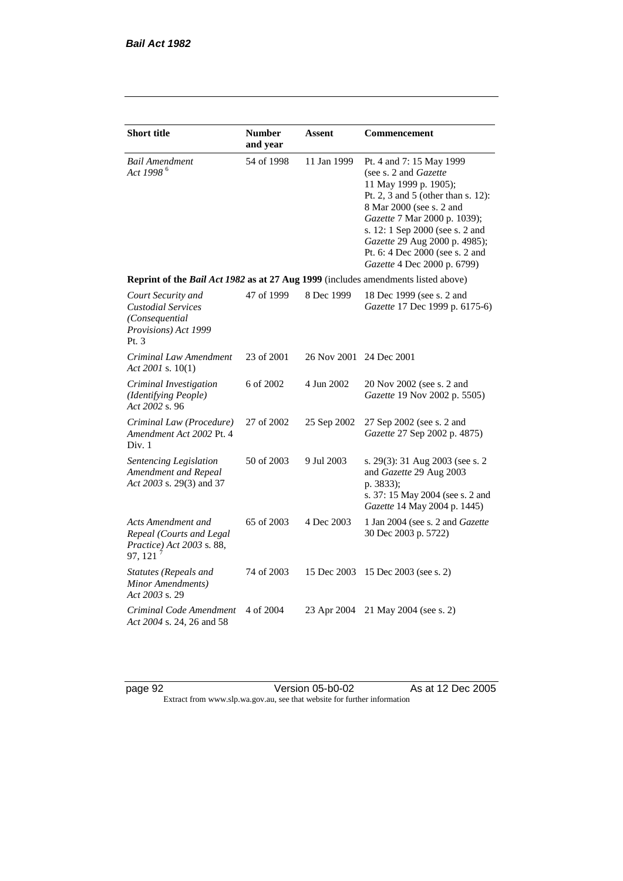| <b>Short title</b>                                                                                | <b>Number</b><br>and year | Assent      | Commencement                                                                                                                                                                                                                                                                                                                |
|---------------------------------------------------------------------------------------------------|---------------------------|-------------|-----------------------------------------------------------------------------------------------------------------------------------------------------------------------------------------------------------------------------------------------------------------------------------------------------------------------------|
| Bail Amendment<br>Act 1998 <sup>6</sup>                                                           | 54 of 1998                | 11 Jan 1999 | Pt. 4 and 7: 15 May 1999<br>(see s. 2 and <i>Gazette</i> )<br>11 May 1999 p. 1905);<br>Pt. 2, 3 and 5 (other than s. 12):<br>8 Mar 2000 (see s. 2 and<br>Gazette 7 Mar 2000 p. 1039);<br>s. 12: 1 Sep 2000 (see s. 2 and<br>Gazette 29 Aug 2000 p. 4985);<br>Pt. 6: 4 Dec 2000 (see s. 2 and<br>Gazette 4 Dec 2000 p. 6799) |
| Reprint of the <i>Bail Act 1982</i> as at 27 Aug 1999 (includes amendments listed above)          |                           |             |                                                                                                                                                                                                                                                                                                                             |
| Court Security and<br><b>Custodial Services</b><br>(Consequential<br>Provisions) Act 1999<br>Pt.3 | 47 of 1999                | 8 Dec 1999  | 18 Dec 1999 (see s. 2 and<br>Gazette 17 Dec 1999 p. 6175-6)                                                                                                                                                                                                                                                                 |
| Criminal Law Amendment<br>Act 2001 s. $10(1)$                                                     | 23 of 2001                | 26 Nov 2001 | 24 Dec 2001                                                                                                                                                                                                                                                                                                                 |
| Criminal Investigation<br>(Identifying People)<br>Act 2002 s. 96                                  | 6 of 2002                 | 4 Jun 2002  | 20 Nov 2002 (see s. 2 and<br>Gazette 19 Nov 2002 p. 5505)                                                                                                                                                                                                                                                                   |
| Criminal Law (Procedure)<br>Amendment Act 2002 Pt. 4<br>Div. 1                                    | 27 of 2002                | 25 Sep 2002 | 27 Sep 2002 (see s. 2 and<br>Gazette 27 Sep 2002 p. 4875)                                                                                                                                                                                                                                                                   |
| Sentencing Legislation<br>Amendment and Repeal<br>Act 2003 s. 29(3) and 37                        | 50 of 2003                | 9 Jul 2003  | s. 29(3): 31 Aug 2003 (see s. 2<br>and Gazette 29 Aug 2003<br>p. 3833);<br>s. 37: 15 May 2004 (see s. 2 and<br>Gazette 14 May 2004 p. 1445)                                                                                                                                                                                 |
| Acts Amendment and<br>Repeal (Courts and Legal<br>Practice) Act 2003 s. 88,<br>97, 121            | 65 of 2003                | 4 Dec 2003  | 1 Jan 2004 (see s. 2 and Gazette<br>30 Dec 2003 p. 5722)                                                                                                                                                                                                                                                                    |
| <b>Statutes (Repeals and</b><br>Minor Amendments)<br>Act 2003 s. 29                               | 74 of 2003                | 15 Dec 2003 | 15 Dec 2003 (see s. 2)                                                                                                                                                                                                                                                                                                      |
| Criminal Code Amendment<br>Act 2004 s. 24, 26 and 58                                              | 4 of 2004                 | 23 Apr 2004 | 21 May 2004 (see s. 2)                                                                                                                                                                                                                                                                                                      |

page 92 Version 05-b0-02 As at 12 Dec 2005 Extract from www.slp.wa.gov.au, see that website for further information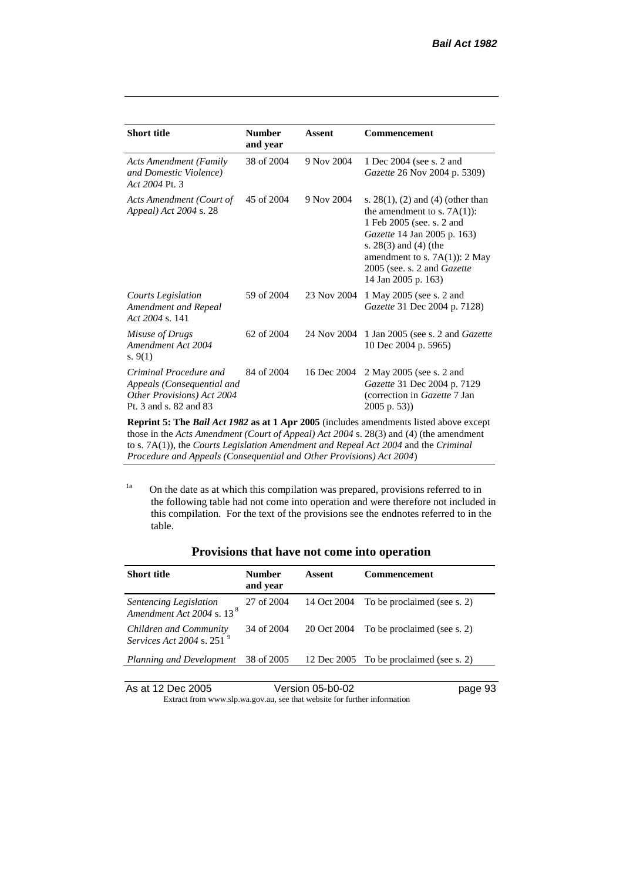| <b>Short title</b>                                                                                                                                                                                                                                                               | <b>Number</b><br>and year | <b>Assent</b> | <b>Commencement</b>                                                                                                                                                                                                                                     |  |
|----------------------------------------------------------------------------------------------------------------------------------------------------------------------------------------------------------------------------------------------------------------------------------|---------------------------|---------------|---------------------------------------------------------------------------------------------------------------------------------------------------------------------------------------------------------------------------------------------------------|--|
| <b>Acts Amendment (Family</b><br>and Domestic Violence)<br>Act 2004 Pt. 3                                                                                                                                                                                                        | 38 of 2004                | 9 Nov 2004    | 1 Dec 2004 (see s. 2 and<br>Gazette 26 Nov 2004 p. 5309)                                                                                                                                                                                                |  |
| Acts Amendment (Court of<br>Appeal) Act 2004 s. 28                                                                                                                                                                                                                               | 45 of 2004                | 9 Nov 2004    | s. $28(1)$ , (2) and (4) (other than<br>the amendment to s. $7A(1)$ :<br>1 Feb 2005 (see. s. 2 and<br>Gazette 14 Jan 2005 p. 163)<br>s. $28(3)$ and $(4)$ (the<br>amendment to s. $7A(1)$ : 2 May<br>2005 (see. s. 2 and Gazette<br>14 Jan 2005 p. 163) |  |
| Courts Legislation<br>Amendment and Repeal<br>Act 2004 s. 141                                                                                                                                                                                                                    | 59 of 2004                | 23 Nov 2004   | 1 May 2005 (see s. 2 and<br>Gazette 31 Dec 2004 p. 7128)                                                                                                                                                                                                |  |
| Misuse of Drugs<br>Amendment Act 2004<br>s. $9(1)$                                                                                                                                                                                                                               | 62 of 2004                | 24 Nov 2004   | 1 Jan 2005 (see s. 2 and <i>Gazette</i><br>10 Dec 2004 p. 5965)                                                                                                                                                                                         |  |
| Criminal Procedure and<br>Appeals (Consequential and<br>Other Provisions) Act 2004<br>Pt. 3 and s. 82 and 83                                                                                                                                                                     | 84 of 2004                | 16 Dec 2004   | 2 May 2005 (see s. 2 and<br>Gazette 31 Dec 2004 p. 7129<br>(correction in <i>Gazette</i> 7 Jan<br>$2005$ p. 53))                                                                                                                                        |  |
| <b>Reprint 5: The Bail Act 1982 as at 1 Apr 2005</b> (includes amendments listed above except<br>those in the Acts Amendment (Court of Appeal) Act 2004 s. 28(3) and (4) (the amendment<br>to s. $7A(1)$ , the Courts Legislation Amendment and Repeal Act 2004 and the Criminal |                           |               |                                                                                                                                                                                                                                                         |  |

*Procedure and Appeals (Consequential and Other Provisions) Act 2004*) <sup>1a</sup> On the date as at which this compilation was prepared, provisions referred to in

the following table had not come into operation and were therefore not included in this compilation. For the text of the provisions see the endnotes referred to in the table.

| <b>Short title</b>                                        | Number<br>and year | Assent      | <b>Commencement</b>                     |
|-----------------------------------------------------------|--------------------|-------------|-----------------------------------------|
| Sentencing Legislation<br>Amendment Act 2004 s. $138$     | 27 of 2004         | 14 Oct 2004 | To be proclaimed (see s. 2)             |
| Children and Community<br>Services Act 2004 s. 251 $^{9}$ | 34 of 2004         | 20 Oct 2004 | To be proclaimed (see s. 2)             |
| Planning and Development 38 of 2005                       |                    |             | 12 Dec 2005 To be proclaimed (see s. 2) |

**Provisions that have not come into operation**

As at 12 Dec 2005 Version 05-b0-02 Page 93 Extract from www.slp.wa.gov.au, see that website for further information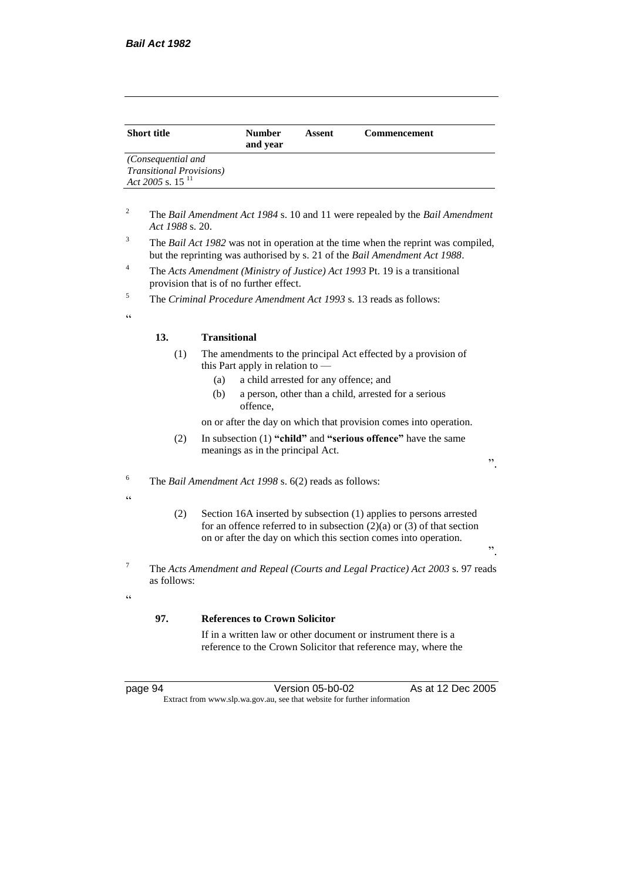| <b>Short title</b>               | <b>Number</b><br>and year | Assent | <b>Commencement</b> |  |
|----------------------------------|---------------------------|--------|---------------------|--|
| (Consequential and               |                           |        |                     |  |
| <b>Transitional Provisions</b> ) |                           |        |                     |  |
| Act 2005 s. $15^{11}$            |                           |        |                     |  |

- <sup>2</sup> The *Bail Amendment Act 1984* s. 10 and 11 were repealed by the *Bail Amendment Act 1988* s. 20.
- <sup>3</sup> The *Bail Act 1982* was not in operation at the time when the reprint was compiled, but the reprinting was authorised by s. 21 of the *Bail Amendment Act 1988*.
- <sup>4</sup> The *Acts Amendment (Ministry of Justice) Act 1993* Pt. 19 is a transitional provision that is of no further effect.
- <sup>5</sup> The *Criminal Procedure Amendment Act 1993* s. 13 reads as follows:

"

#### **13. Transitional**

- (1) The amendments to the principal Act effected by a provision of this Part apply in relation to —
	- (a) a child arrested for any offence; and
	- (b) a person, other than a child, arrested for a serious offence,

on or after the day on which that provision comes into operation.

(2) In subsection (1) **"child"** and **"serious offence"** have the same meanings as in the principal Act.

".

".

- <sup>6</sup> The *Bail Amendment Act 1998* s. 6(2) reads as follows:
- .<br>44
- (2) Section 16A inserted by subsection (1) applies to persons arrested for an offence referred to in subsection  $(2)(a)$  or  $(3)$  of that section on or after the day on which this section comes into operation.
- <sup>7</sup> The *Acts Amendment and Repeal (Courts and Legal Practice) Act 2003* s. 97 reads as follows:

"

#### **97. References to Crown Solicitor**

If in a written law or other document or instrument there is a reference to the Crown Solicitor that reference may, where the

page 94 Version 05-b0-02 As at 12 Dec 2005 Extract from www.slp.wa.gov.au, see that website for further information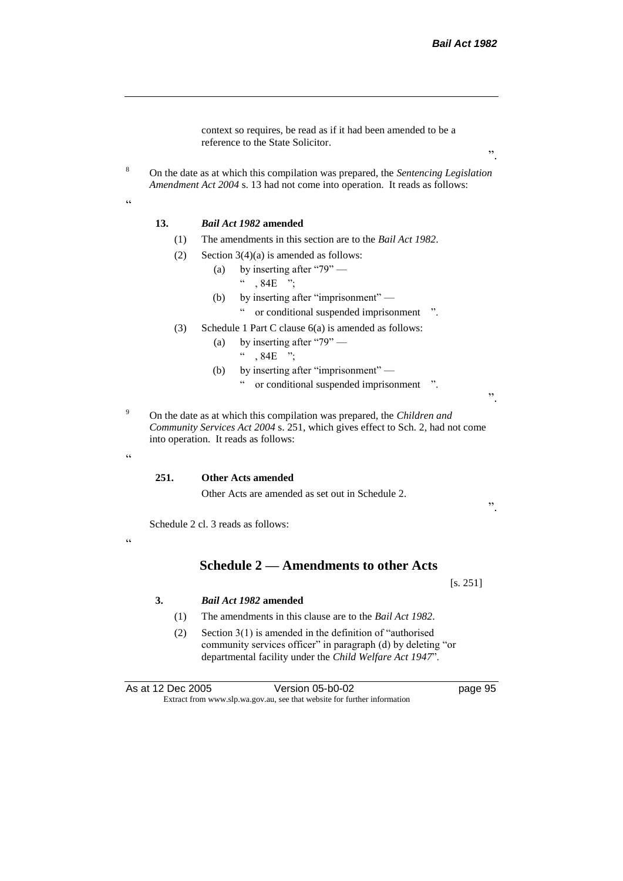context so requires, be read as if it had been amended to be a reference to the State Solicitor.

<sup>8</sup> On the date as at which this compilation was prepared, the *Sentencing Legislation Amendment Act 2004* s. 13 had not come into operation. It reads as follows:

 $\epsilon$ 

#### **13.** *Bail Act 1982* **amended**

- (1) The amendments in this section are to the *Bail Act 1982*.
- (2) Section  $3(4)(a)$  is amended as follows:
	- (a) by inserting after "79"
		- $\cdot$  , 84E ";
	- (b) by inserting after "imprisonment" " or conditional suspended imprisonment ".
- (3) Schedule 1 Part C clause 6(a) is amended as follows:
	- (a) by inserting after "79"
		- $\cdot$  , 84E ";
	- (b) by inserting after "imprisonment" " or conditional suspended imprisonment ".
- <sup>9</sup> On the date as at which this compilation was prepared, the *Children and Community Services Act 2004* s. 251, which gives effect to Sch. 2, had not come into operation. It reads as follows:

<u>، د</u>

"

### **251. Other Acts amended**

Other Acts are amended as set out in Schedule 2.

Schedule 2 cl. 3 reads as follows:

## **Schedule 2 — Amendments to other Acts**

[s. 251]

#### **3.** *Bail Act 1982* **amended**

- (1) The amendments in this clause are to the *Bail Act 1982*.
- (2) Section  $3(1)$  is amended in the definition of "authorised" community services officer" in paragraph (d) by deleting "or departmental facility under the *Child Welfare Act 1947*".

".

".

".